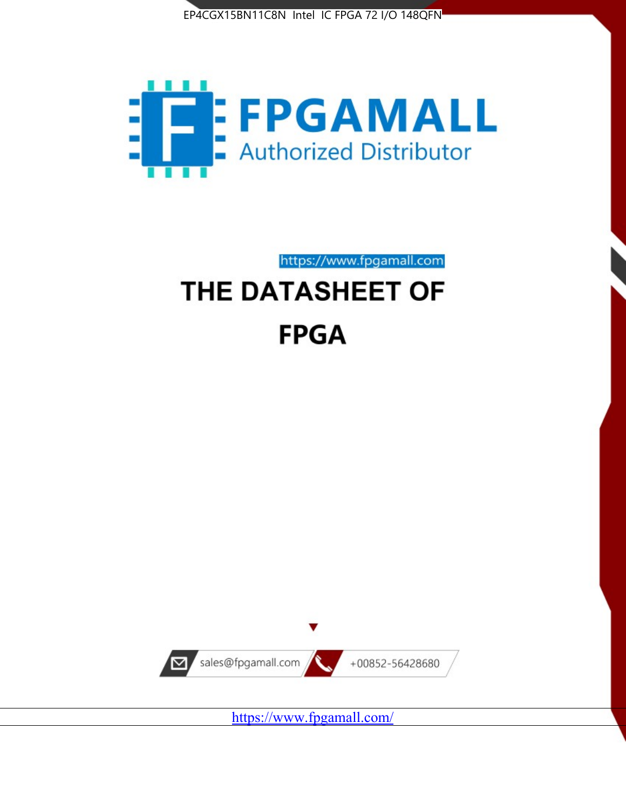



https://www.fpgamall.com THE DATASHEET OF

# **FPGA**



<https://www.fpgamall.com/>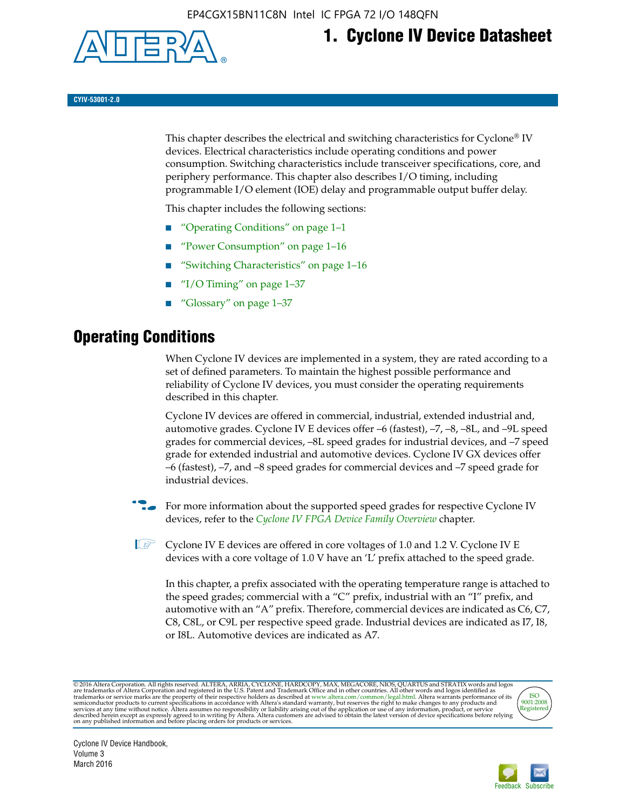

## **1. Cyclone IV Device Datasheet**

**CYIV-53001-2.0**

This chapter describes the electrical and switching characteristics for Cyclone<sup>®</sup> IV devices. Electrical characteristics include operating conditions and power consumption. Switching characteristics include transceiver specifications, core, and periphery performance. This chapter also describes I/O timing, including programmable I/O element (IOE) delay and programmable output buffer delay.

This chapter includes the following sections:

- "Operating Conditions" on page 1–1
- "Power Consumption" on page 1–16
- "Switching Characteristics" on page 1–16
- "I/O Timing" on page  $1-37$
- "Glossary" on page 1–37

## **Operating Conditions**

When Cyclone IV devices are implemented in a system, they are rated according to a set of defined parameters. To maintain the highest possible performance and reliability of Cyclone IV devices, you must consider the operating requirements described in this chapter.

Cyclone IV devices are offered in commercial, industrial, extended industrial and, automotive grades. Cyclone IV E devices offer –6 (fastest), –7, –8, –8L, and –9L speed grades for commercial devices, –8L speed grades for industrial devices, and –7 speed grade for extended industrial and automotive devices. Cyclone IV GX devices offer –6 (fastest), –7, and –8 speed grades for commercial devices and –7 speed grade for industrial devices.

**For more information about the supported speed grades for respective Cyclone IV** devices, refer to the *[Cyclone IV FPGA Device Family Overview](http://www.altera.com/literature/hb/cyclone-iv/cyiv-51001.pdf)* chapter.

**1** Cyclone IV E devices are offered in core voltages of 1.0 and 1.2 V. Cyclone IV E devices with a core voltage of 1.0 V have an 'L' prefix attached to the speed grade.

In this chapter, a prefix associated with the operating temperature range is attached to the speed grades; commercial with a "C" prefix, industrial with an "I" prefix, and automotive with an "A" prefix. Therefore, commercial devices are indicated as C6, C7, C8, C8L, or C9L per respective speed grade. Industrial devices are indicated as I7, I8, or I8L. Automotive devices are indicated as A7.

@2016 Altera Corporation. All rights reserved. ALTERA, ARRIA, CYCLONE, HARDCOPY, MAX, MEGACORE, NIOS, QUARTUS and STRATIX words and logos are trademarks of Altera Corporation and registered in the U.S. Patent and Trademark



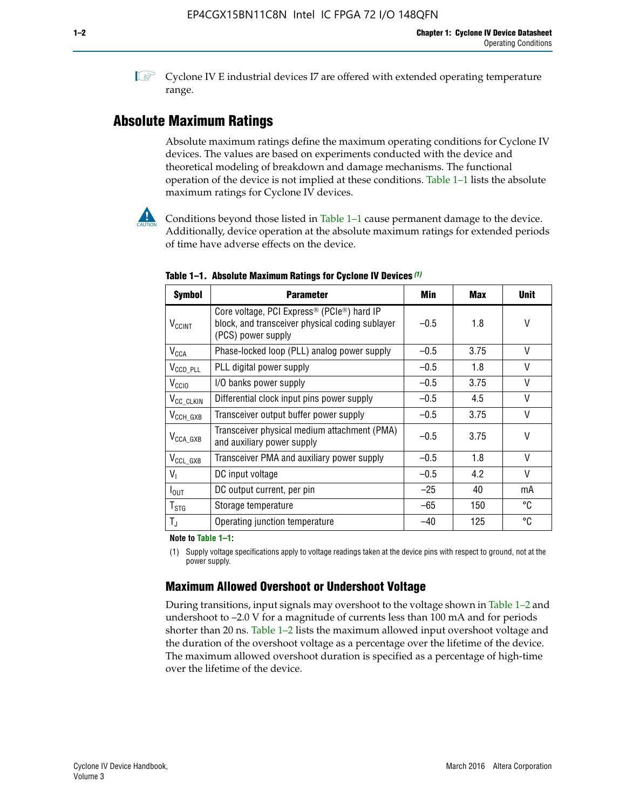**1 Cyclone IV E industrial devices I7 are offered with extended operating temperature** range.

## **Absolute Maximum Ratings**

Absolute maximum ratings define the maximum operating conditions for Cyclone IV devices. The values are based on experiments conducted with the device and theoretical modeling of breakdown and damage mechanisms. The functional operation of the device is not implied at these conditions. Table 1–1 lists the absolute maximum ratings for Cyclone IV devices.



Conditions beyond those listed in Table  $1-1$  cause permanent damage to the device. Additionally, device operation at the absolute maximum ratings for extended periods of time have adverse effects on the device.

| <b>Symbol</b>            | <b>Parameter</b>                                                                                                                             | Min    | <b>Max</b> | <b>Unit</b> |
|--------------------------|----------------------------------------------------------------------------------------------------------------------------------------------|--------|------------|-------------|
| <b>V<sub>CCINT</sub></b> | Core voltage, PCI Express <sup>®</sup> (PCIe <sup>®</sup> ) hard IP<br>block, and transceiver physical coding sublayer<br>(PCS) power supply | $-0.5$ | 1.8        | V           |
| $V_{CCA}$                | Phase-locked loop (PLL) analog power supply                                                                                                  | $-0.5$ | 3.75       | V           |
| $V_{CCD\_PLL}$           | PLL digital power supply                                                                                                                     | $-0.5$ | 1.8        | V           |
| V <sub>CCIO</sub>        | I/O banks power supply                                                                                                                       | $-0.5$ | 3.75       | V           |
| V <sub>CC_CLKIN</sub>    | Differential clock input pins power supply                                                                                                   | $-0.5$ | 4.5        | V           |
| $V_{\text{CCH_GXB}}$     | Transceiver output buffer power supply                                                                                                       | $-0.5$ | 3.75       | V           |
| $V_{\text{CCA\_GXB}}$    | Transceiver physical medium attachment (PMA)<br>and auxiliary power supply                                                                   | $-0.5$ | 3.75       | V           |
| $V_{CCL_GXB}$            | Transceiver PMA and auxiliary power supply                                                                                                   | $-0.5$ | 1.8        | V           |
| $V_{1}$                  | DC input voltage                                                                                                                             | $-0.5$ | 4.2        | V           |
| $I_{\text{OUT}}$         | DC output current, per pin                                                                                                                   | $-25$  | 40         | mA          |
| $T_{\mathtt{STG}}$       | Storage temperature                                                                                                                          | -65    | 150        | °C          |
| $T_{\rm J}$              | Operating junction temperature                                                                                                               | $-40$  | 125        | °C          |

**Table 1–1. Absolute Maximum Ratings for Cyclone IV Devices** *(1)*

**Note to Table 1–1:**

(1) Supply voltage specifications apply to voltage readings taken at the device pins with respect to ground, not at the power supply.

## **Maximum Allowed Overshoot or Undershoot Voltage**

During transitions, input signals may overshoot to the voltage shown in Table 1–2 and undershoot to –2.0 V for a magnitude of currents less than 100 mA and for periods shorter than 20 ns. Table 1–2 lists the maximum allowed input overshoot voltage and the duration of the overshoot voltage as a percentage over the lifetime of the device. The maximum allowed overshoot duration is specified as a percentage of high-time over the lifetime of the device.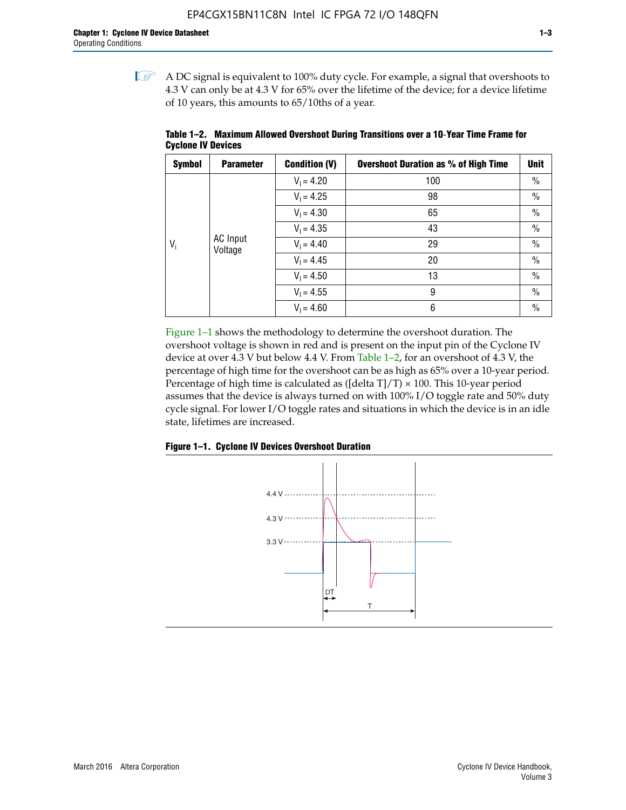$\mathbb{I}$  A DC signal is equivalent to 100% duty cycle. For example, a signal that overshoots to 4.3 V can only be at 4.3 V for 65% over the lifetime of the device; for a device lifetime of 10 years, this amounts to 65/10ths of a year.

| <b>Symbol</b> | <b>Parameter</b>  | <b>Condition (V)</b> | <b>Overshoot Duration as % of High Time</b> | <b>Unit</b>   |         |              |    |
|---------------|-------------------|----------------------|---------------------------------------------|---------------|---------|--------------|----|
|               |                   | $V_1 = 4.20$         | 100                                         | $\%$          |         |              |    |
|               |                   | $V_1 = 4.25$         | 98                                          | $\%$          |         |              |    |
|               | AC Input<br>$V_i$ | $V_1 = 4.30$         | 65                                          | $\%$          |         |              |    |
|               |                   | $V_1 = 4.35$         | 43                                          | $\frac{0}{0}$ |         |              |    |
|               |                   |                      |                                             |               | Voltage | $V_1 = 4.40$ | 29 |
|               |                   | $V_1 = 4.45$         | 20                                          | $\%$          |         |              |    |
|               |                   | $V_1 = 4.50$         | 13                                          | $\%$          |         |              |    |
|               |                   | $V_1 = 4.55$         | 9                                           | $\%$          |         |              |    |
|               |                   | $V_1 = 4.60$         | 6                                           | $\%$          |         |              |    |

**Table 1–2. Maximum Allowed Overshoot During Transitions over a 10**-**Year Time Frame for Cyclone IV Devices**

Figure 1–1 shows the methodology to determine the overshoot duration. The overshoot voltage is shown in red and is present on the input pin of the Cyclone IV device at over 4.3 V but below 4.4 V. From Table 1–2, for an overshoot of 4.3 V, the percentage of high time for the overshoot can be as high as 65% over a 10-year period. Percentage of high time is calculated as ([delta  $T$ ]/T)  $\times$  100. This 10-year period assumes that the device is always turned on with 100% I/O toggle rate and 50% duty cycle signal. For lower I/O toggle rates and situations in which the device is in an idle state, lifetimes are increased.



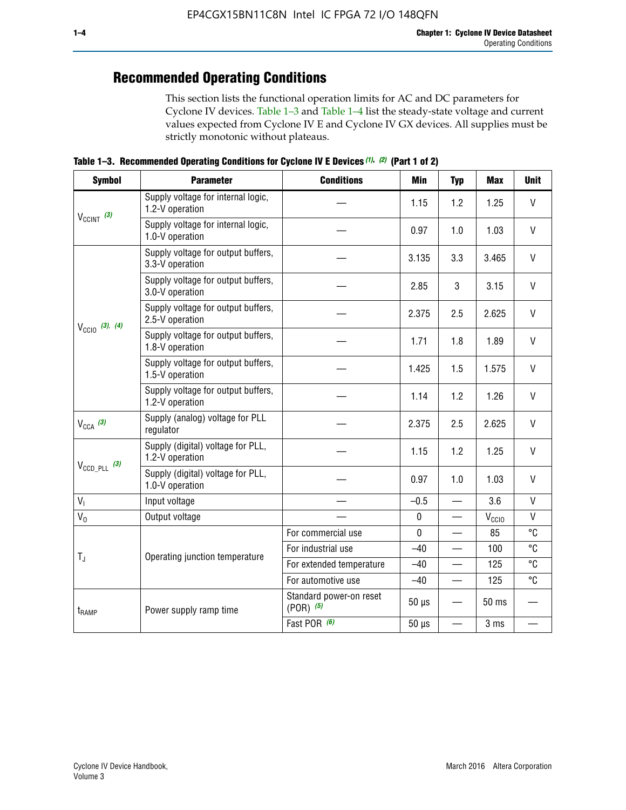## **Recommended Operating Conditions**

This section lists the functional operation limits for AC and DC parameters for Cyclone IV devices. Table 1–3 and Table 1–4 list the steady-state voltage and current values expected from Cyclone IV E and Cyclone IV GX devices. All supplies must be strictly monotonic without plateaus.

**Table 1–3. Recommended Operating Conditions for Cyclone IV E Devices** *(1)***,** *(2)* **(Part 1 of 2)**

| <b>Symbol</b>              | <b>Parameter</b>                                      | <b>Conditions</b>                        | Min                                                                                                                                                                                                                                                                   | <b>Typ</b> | <b>Max</b> | <b>Unit</b>  |
|----------------------------|-------------------------------------------------------|------------------------------------------|-----------------------------------------------------------------------------------------------------------------------------------------------------------------------------------------------------------------------------------------------------------------------|------------|------------|--------------|
|                            | Supply voltage for internal logic,<br>1.2-V operation |                                          | 1.15                                                                                                                                                                                                                                                                  | 1.2        | 1.25       | $\mathsf{V}$ |
| $V_{CClNT}$ (3)            | Supply voltage for internal logic,<br>1.0-V operation |                                          | 0.97                                                                                                                                                                                                                                                                  | 1.0        | 1.03       | $\mathsf{V}$ |
|                            | Supply voltage for output buffers,<br>3.3-V operation |                                          | 3.135                                                                                                                                                                                                                                                                 | 3.3        | 3.465      | $\vee$       |
| $V_{\text{CC10}}$ (3), (4) | Supply voltage for output buffers,<br>3.0-V operation |                                          | 2.85                                                                                                                                                                                                                                                                  | 3          | 3.15       | V            |
|                            | Supply voltage for output buffers,<br>2.5-V operation |                                          | 2.375                                                                                                                                                                                                                                                                 | 2.5        | 2.625      | $\vee$       |
|                            | Supply voltage for output buffers,<br>1.8-V operation |                                          | 1.71                                                                                                                                                                                                                                                                  | 1.8        | 1.89       | V            |
|                            | Supply voltage for output buffers,<br>1.5-V operation |                                          | 1.425                                                                                                                                                                                                                                                                 | 1.5        | 1.575      | $\vee$       |
|                            | Supply voltage for output buffers,<br>1.2-V operation |                                          | 1.14                                                                                                                                                                                                                                                                  | 1.2        | 1.26       | $\mathsf{V}$ |
| $V_{CCA}$ (3)              | Supply (analog) voltage for PLL<br>regulator          |                                          | 2.375                                                                                                                                                                                                                                                                 | 2.5        | 2.625      | $\vee$       |
|                            | Supply (digital) voltage for PLL,<br>1.2-V operation  |                                          | 1.15                                                                                                                                                                                                                                                                  | 1.2        | 1.25       | V            |
|                            | Supply (digital) voltage for PLL,<br>1.0-V operation  |                                          | 0.97<br>1.0<br>1.03<br>$-0.5$<br>3.6<br>$\overline{\phantom{0}}$<br>$\pmb{0}$<br>$V_{\rm CClO}$<br>—<br>$\mathbf 0$<br>85<br>$-40$<br>100<br>125<br>$-40$<br>$-40$<br>125<br>$\qquad \qquad$<br>$50 \mu s$<br>50 ms<br>$50 \mu s$<br>3 ms<br>$\overline{\phantom{0}}$ | $\vee$     |            |              |
| V <sub>1</sub>             | Input voltage                                         |                                          |                                                                                                                                                                                                                                                                       |            |            | $\mathsf{V}$ |
| $V_0$                      | Output voltage                                        |                                          |                                                                                                                                                                                                                                                                       |            |            | $\mathsf{V}$ |
|                            |                                                       | For commercial use                       |                                                                                                                                                                                                                                                                       |            |            | °C           |
|                            | Operating junction temperature                        | For industrial use                       |                                                                                                                                                                                                                                                                       |            |            | °C           |
| $T_{\rm J}$                |                                                       | For extended temperature                 |                                                                                                                                                                                                                                                                       |            |            | °C           |
|                            |                                                       | For automotive use                       |                                                                                                                                                                                                                                                                       |            |            | °C           |
| t <sub>RAMP</sub>          | Power supply ramp time                                | Standard power-on reset<br>$(POR)$ $(5)$ |                                                                                                                                                                                                                                                                       |            |            |              |
| $V_{\text{CCD\_PLL}}$ (3)  |                                                       | Fast POR (6)                             |                                                                                                                                                                                                                                                                       |            |            |              |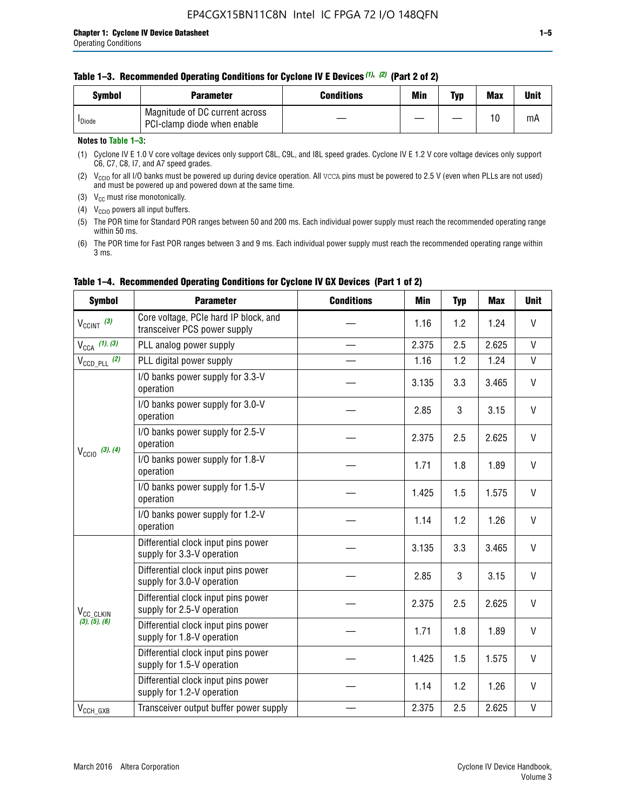#### **Table 1–3. Recommended Operating Conditions for Cyclone IV E Devices** *(1)***,** *(2)* **(Part 2 of 2)**

| Svmbol             | <b>Parameter</b>                                              | <b>Conditions</b> | Min | Typ | <b>Max</b> | Unit |
|--------------------|---------------------------------------------------------------|-------------------|-----|-----|------------|------|
| <sup>I</sup> Diode | Magnitude of DC current across<br>PCI-clamp diode when enable |                   |     |     | 10         | mA   |

#### **Notes to Table 1–3:**

(1) Cyclone IV E 1.0 V core voltage devices only support C8L, C9L, and I8L speed grades. Cyclone IV E 1.2 V core voltage devices only support C6, C7, C8, I7, and A7 speed grades.

(2)  $V_{CCIO}$  for all I/O banks must be powered up during device operation. All vcca pins must be powered to 2.5 V (even when PLLs are not used) and must be powered up and powered down at the same time.

(3)  $V_{CC}$  must rise monotonically.

(4)  $V_{\text{CCIO}}$  powers all input buffers.

(5) The POR time for Standard POR ranges between 50 and 200 ms. Each individual power supply must reach the recommended operating range within 50 ms.

(6) The POR time for Fast POR ranges between 3 and 9 ms. Each individual power supply must reach the recommended operating range within 3 ms.

| <b>Symbol</b>                | <b>Parameter</b>                                                      | <b>Conditions</b> | <b>Min</b> | <b>Typ</b> | <b>Max</b> | <b>Unit</b>  |
|------------------------------|-----------------------------------------------------------------------|-------------------|------------|------------|------------|--------------|
| $V_{\text{CCINT}}$ (3)       | Core voltage, PCIe hard IP block, and<br>transceiver PCS power supply |                   | 1.16       | 1.2        | 1.24       | V            |
| $V_{CCA}$ (1), (3)           | PLL analog power supply                                               |                   | 2.375      | 2.5        | 2.625      | V            |
| $V_{CCD\ PLL}$ (2)           | PLL digital power supply                                              |                   | 1.16       | 1.2        | 1.24       | V            |
|                              | I/O banks power supply for 3.3-V<br>operation                         |                   | 3.135      | 3.3        | 3.465      | V            |
| $V_{\text{CC10}}$ (3), (4)   | I/O banks power supply for 3.0-V<br>operation                         |                   | 2.85       | 3          | 3.15       | V            |
|                              | I/O banks power supply for 2.5-V<br>operation                         |                   | 2.375      | 2.5        | 2.625      | V            |
|                              | I/O banks power supply for 1.8-V<br>operation                         |                   | 1.71       | 1.8        | 1.89       | V            |
|                              | I/O banks power supply for 1.5-V<br>operation                         |                   | 1.425      | 1.5        | 1.575      | V            |
|                              | I/O banks power supply for 1.2-V<br>operation                         |                   | 1.14       | 1.2        | 1.26       | V            |
|                              | Differential clock input pins power<br>supply for 3.3-V operation     |                   | 3.135      | 3.3        | 3.465      | V            |
|                              | Differential clock input pins power<br>supply for 3.0-V operation     |                   | 2.85       | 3          | 3.15       | $\mathsf{V}$ |
| V <sub>CC_CLKIN</sub>        | Differential clock input pins power<br>supply for 2.5-V operation     |                   | 2.375      | 2.5        | 2.625      | V            |
| (3), (5), (6)                | Differential clock input pins power<br>supply for 1.8-V operation     |                   | 1.71       | 1.8        | 1.89       | V            |
|                              | Differential clock input pins power<br>supply for 1.5-V operation     |                   | 1.425      | 1.5        | 1.575      | V            |
|                              | Differential clock input pins power<br>supply for 1.2-V operation     |                   | 1.14       | 1.2        | 1.26       | V            |
| $V_{\text{CCH}\_\text{GXB}}$ | Transceiver output buffer power supply                                |                   | 2.375      | 2.5        | 2.625      | $\mathsf{V}$ |

#### **Table 1–4. Recommended Operating Conditions for Cyclone IV GX Devices (Part 1 of 2)**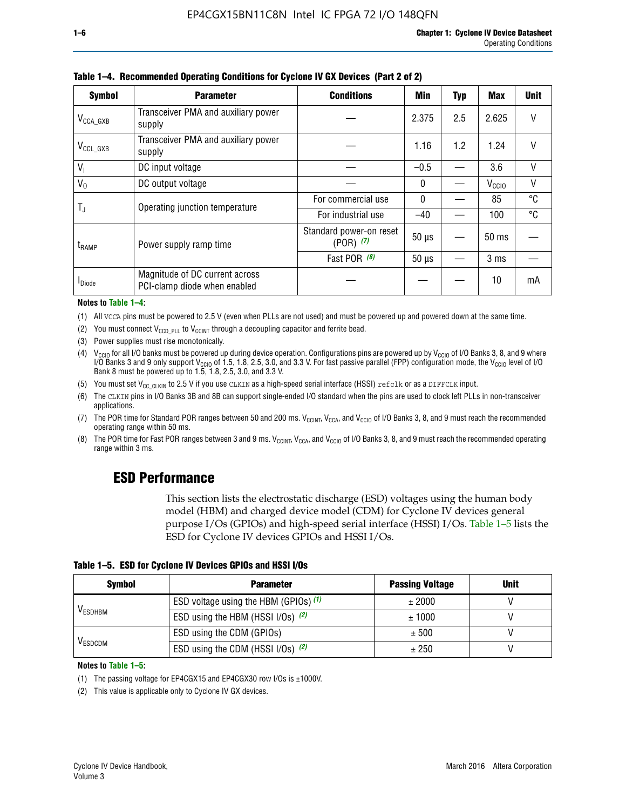| <b>Symbol</b>         | <b>Parameter</b>                                               | <b>Conditions</b>                        | <b>Min</b>   | <b>Typ</b> | Max               | <b>Unit</b> |
|-----------------------|----------------------------------------------------------------|------------------------------------------|--------------|------------|-------------------|-------------|
| $V_{\text{CCA\_GXB}}$ | Transceiver PMA and auxiliary power<br>supply                  |                                          | 2.375        | 2.5        | 2.625             | V           |
| $V_{\rm CCL\_GXB}$    | Transceiver PMA and auxiliary power<br>supply                  |                                          | 1.16         | 1.2        | 1.24              | V           |
| V <sub>1</sub>        | DC input voltage                                               |                                          | $-0.5$       |            | 3.6               | V           |
| $V_0$                 | DC output voltage                                              |                                          | $\mathbf{0}$ |            | V <sub>CCIO</sub> | ٧           |
|                       | Operating junction temperature                                 | For commercial use                       | $\mathbf{0}$ |            | 85                | °C          |
| T,                    |                                                                | For industrial use                       | $-40$        |            | 100               | °C          |
| t <sub>RAMP</sub>     | Power supply ramp time                                         | Standard power-on reset<br>$(POR)$ $(7)$ | $50 \mu s$   |            | $50$ ms           |             |
|                       |                                                                | Fast POR (8)                             | $50 \mu s$   |            | 3 <sub>ms</sub>   |             |
| <b>I</b> Diode        | Magnitude of DC current across<br>PCI-clamp diode when enabled |                                          |              |            | 10                | mA          |

**Table 1–4. Recommended Operating Conditions for Cyclone IV GX Devices (Part 2 of 2)**

#### **Notes to Table 1–4:**

- (1) All VCCA pins must be powered to 2.5 V (even when PLLs are not used) and must be powered up and powered down at the same time.
- (2) You must connect  $V_{CCD-PLL}$  to  $V_{CCINT}$  through a decoupling capacitor and ferrite bead.
- (3) Power supplies must rise monotonically.
- (4)  $V_{\text{CCIO}}$  for all I/O banks must be powered up during device operation. Configurations pins are powered up by V<sub>CCIO</sub> of I/O Banks 3, 8, and 9 where I/O Banks 3 and 9 only support V<sub>CCIO</sub> of 1.5, 1.8, 2.5, 3.0, and 3.3 V. For fast passive parallel (FPP) configuration mode, the V<sub>CCIO</sub> level of I/O<br>Bank 8 must be powered up to 1.5, 1.8, 2.5, 3.0, and 3.3 V.
- (5) You must set  $V_{CC_CCLKIN}$  to 2.5 V if you use CLKIN as a high-speed serial interface (HSSI) refclk or as a DIFFCLK input.
- (6) The CLKIN pins in I/O Banks 3B and 8B can support single-ended I/O standard when the pins are used to clock left PLLs in non-transceiver applications.
- (7) The POR time for Standard POR ranges between 50 and 200 ms.  $V_{\text{CCIA}}$ ,  $V_{\text{CCIA}}$ , and  $V_{\text{CCIO}}$  of I/O Banks 3, 8, and 9 must reach the recommended operating range within 50 ms.
- (8) The POR time for Fast POR ranges between 3 and 9 ms.  $V_{\text{CCH},T}$ ,  $V_{\text{CCA}}$ , and  $V_{\text{CCI}}$  of I/O Banks 3, 8, and 9 must reach the recommended operating range within 3 ms.

## **ESD Performance**

This section lists the electrostatic discharge (ESD) voltages using the human body model (HBM) and charged device model (CDM) for Cyclone IV devices general purpose I/Os (GPIOs) and high-speed serial interface (HSSI) I/Os. Table 1–5 lists the ESD for Cyclone IV devices GPIOs and HSSI I/Os.

|  |  |  |  | Table 1–5. ESD for Cyclone IV Devices GPIOs and HSSI I/Os |  |
|--|--|--|--|-----------------------------------------------------------|--|
|--|--|--|--|-----------------------------------------------------------|--|

| <b>Symbol</b>  | <b>Parameter</b>                      | <b>Passing Voltage</b> | <b>Unit</b> |
|----------------|---------------------------------------|------------------------|-------------|
|                | ESD voltage using the HBM (GPIOs) (1) | ± 2000                 |             |
| <b>VESDHBM</b> | ESD using the HBM (HSSI I/Os) (2)     | ± 1000                 |             |
|                | ESD using the CDM (GPIOs)             | ± 500                  |             |
| <b>VESDCDM</b> | ESD using the CDM (HSSI I/Os) (2)     | ± 250                  |             |

#### **Notes to Table 1–5:**

(1) The passing voltage for EP4CGX15 and EP4CGX30 row I/Os is ±1000V.

(2) This value is applicable only to Cyclone IV GX devices.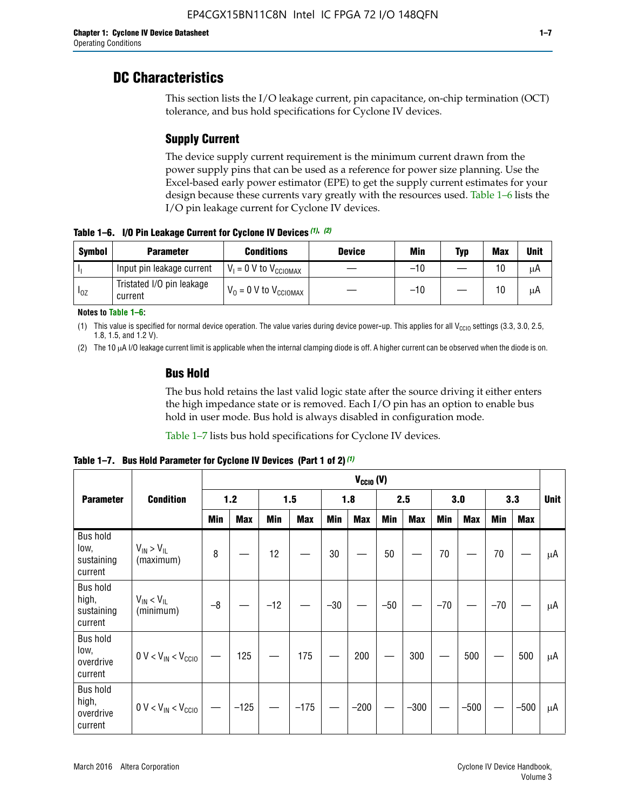## **DC Characteristics**

This section lists the I/O leakage current, pin capacitance, on-chip termination (OCT) tolerance, and bus hold specifications for Cyclone IV devices.

## **Supply Current**

The device supply current requirement is the minimum current drawn from the power supply pins that can be used as a reference for power size planning. Use the Excel-based early power estimator (EPE) to get the supply current estimates for your design because these currents vary greatly with the resources used. Table 1–6 lists the I/O pin leakage current for Cyclone IV devices.

**Table 1–6. I/O Pin Leakage Current for Cyclone IV Devices** *(1)***,** *(2)*

| <b>Symbol</b>          | <b>Parameter</b>                     | <b>Conditions</b><br><b>Device</b>  |  | Min   | Typ | <b>Max</b> | <b>Unit</b> |
|------------------------|--------------------------------------|-------------------------------------|--|-------|-----|------------|-------------|
|                        | Input pin leakage current            | $V_1 = 0$ V to $V_{\text{CCIOMAX}}$ |  | $-10$ |     | 10         | μA          |
| <b>I</b> <sub>OZ</sub> | Tristated I/O pin leakage<br>current | $V_0 = 0$ V to $V_{\text{CCIOMAX}}$ |  | $-10$ |     | 10         | μA          |

**Notes to Table 1–6:**

(1) This value is specified for normal device operation. The value varies during device power-up. This applies for all V<sub>CCIO</sub> settings (3.3, 3.0, 2.5, 1.8, 1.5, and 1.2 V).

(2) The 10 µA I/O leakage current limit is applicable when the internal clamping diode is off. A higher current can be observed when the diode is on.

### **Bus Hold**

The bus hold retains the last valid logic state after the source driving it either enters the high impedance state or is removed. Each I/O pin has an option to enable bus hold in user mode. Bus hold is always disabled in configuration mode.

Table 1–7 lists bus hold specifications for Cyclone IV devices.

**Table 1–7. Bus Hold Parameter for Cyclone IV Devices (Part 1 of 2)** *(1)*

|                                                   |                                  | $V_{CClO}$ (V) |            |       |            |       |            |            |            |       |            |       |            |             |
|---------------------------------------------------|----------------------------------|----------------|------------|-------|------------|-------|------------|------------|------------|-------|------------|-------|------------|-------------|
| <b>Parameter</b>                                  | <b>Condition</b>                 |                | $1.2$      |       | 1.5        |       | 1.8        |            | 2.5        |       | 3.0        |       | 3.3        | <b>Unit</b> |
|                                                   |                                  | <b>Min</b>     | <b>Max</b> | Min   | <b>Max</b> | Min   | <b>Max</b> | <b>Min</b> | <b>Max</b> | Min   | <b>Max</b> | Min   | <b>Max</b> |             |
| <b>Bus hold</b><br>low,<br>sustaining<br>current  | $V_{IN}$ > $V_{IL}$<br>(maximum) | 8              |            | 12    |            | 30    |            | 50         |            | 70    |            | 70    |            | μA          |
| <b>Bus hold</b><br>high,<br>sustaining<br>current | $V_{IN}$ < $V_{IL}$<br>(minimum) | $-8$           |            | $-12$ |            | $-30$ |            | $-50$      |            | $-70$ |            | $-70$ |            | μA          |
| <b>Bus hold</b><br>low,<br>overdrive<br>current   | $0 V < V_{IN} < V_{CC10}$        |                | 125        |       | 175        |       | 200        |            | 300        |       | 500        |       | 500        | μA          |
| <b>Bus hold</b><br>high,<br>overdrive<br>current  | $0 V < V_{IN} < V_{CC10}$        |                | $-125$     |       | $-175$     |       | $-200$     |            | $-300$     |       | $-500$     |       | $-500$     | μA          |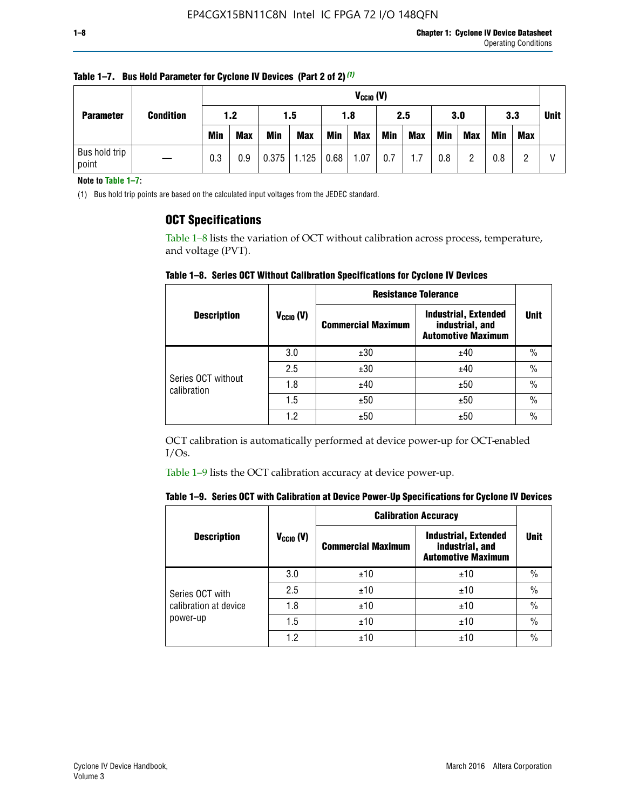|                        |                  |            | $V_{CGI0} (V)$ |            |            |      |            |     |            |            |            |            |     |             |
|------------------------|------------------|------------|----------------|------------|------------|------|------------|-----|------------|------------|------------|------------|-----|-------------|
| <b>Parameter</b>       | <b>Condition</b> |            | 1.2            |            | 1.5        |      | 1.8        |     | 2.5        |            | 3.0        |            | 3.3 | <b>Unit</b> |
|                        |                  | <b>Min</b> | <b>Max</b>     | <b>Min</b> | <b>Max</b> | Min  | <b>Max</b> | Min | <b>Max</b> | <b>Min</b> | <b>Max</b> | <b>Min</b> | Max |             |
| Bus hold trip<br>point |                  | 0.3        | 0.9            | 0.375      | 1.125      | 0.68 | 1.07       | 0.7 | 1.7        | 0.8        |            | 0.8        |     |             |

**Table 1–7. Bus Hold Parameter for Cyclone IV Devices (Part 2 of 2)** *(1)*

**Note to Table 1–7:**

(1) Bus hold trip points are based on the calculated input voltages from the JEDEC standard.

### **OCT Specifications**

Table 1–8 lists the variation of OCT without calibration across process, temperature, and voltage (PVT).

**Table 1–8. Series OCT Without Calibration Specifications for Cyclone IV Devices**

|                                   |                      | <b>Resistance Tolerance</b> |                                                                             |               |
|-----------------------------------|----------------------|-----------------------------|-----------------------------------------------------------------------------|---------------|
| <b>Description</b>                | $V_{\text{CCIO}}(V)$ | <b>Commercial Maximum</b>   | <b>Industrial, Extended</b><br>industrial, and<br><b>Automotive Maximum</b> | <b>Unit</b>   |
|                                   | 3.0                  | ±30                         | ±40                                                                         | $\frac{0}{0}$ |
|                                   | 2.5                  | ±30                         | ±40                                                                         | $\frac{0}{0}$ |
| Series OCT without<br>calibration | 1.8                  | ±40                         | ±50                                                                         | $\frac{0}{0}$ |
|                                   | 1.5                  | ±50                         | ±50                                                                         | $\frac{0}{0}$ |
|                                   | 1.2                  | ±50                         | ±50                                                                         | $\frac{0}{0}$ |

OCT calibration is automatically performed at device power-up for OCT-enabled I/Os.

Table 1–9 lists the OCT calibration accuracy at device power-up.

|  | Table 1–9.  Series OCT with Calibration at Device Power-Up Specifications for Cyclone IV Devices |  |  |  |
|--|--------------------------------------------------------------------------------------------------|--|--|--|
|--|--------------------------------------------------------------------------------------------------|--|--|--|

|                       |                | <b>Calibration Accuracy</b> |                                                                             |               |
|-----------------------|----------------|-----------------------------|-----------------------------------------------------------------------------|---------------|
| <b>Description</b>    | $V_{CGI0} (V)$ | <b>Commercial Maximum</b>   | <b>Industrial, Extended</b><br>industrial, and<br><b>Automotive Maximum</b> | Unit          |
|                       | 3.0            | ±10                         | ±10                                                                         | $\%$          |
| Series OCT with       | 2.5            | ±10                         | ±10                                                                         | $\%$          |
| calibration at device | 1.8            | ±10                         | ±10                                                                         | $\frac{0}{0}$ |
| power-up              | 1.5            | ±10                         | ±10                                                                         | $\frac{0}{0}$ |
|                       | 1.2            | ±10                         | ±10                                                                         | $\frac{0}{0}$ |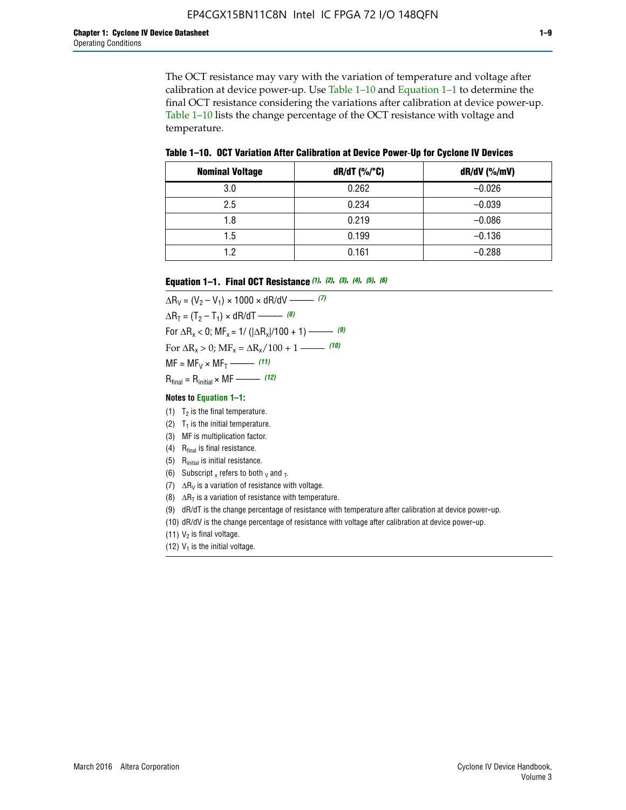The OCT resistance may vary with the variation of temperature and voltage after calibration at device power-up. Use Table 1–10 and Equation 1–1 to determine the final OCT resistance considering the variations after calibration at device power-up. Table 1–10 lists the change percentage of the OCT resistance with voltage and temperature.

**Table 1–10. OCT Variation After Calibration at Device Power**-**Up for Cyclone IV Devices**

| <b>Nominal Voltage</b> | dR/dT (%/°C) | $dR/dV$ (%/mV) |
|------------------------|--------------|----------------|
| 3.0                    | 0.262        | $-0.026$       |
| 2.5                    | 0.234        | $-0.039$       |
| 1.8                    | 0.219        | $-0.086$       |
| 1.5                    | 0.199        | $-0.136$       |
| 1.2                    | 0.161        | $-0.288$       |

#### **Equation 1–1. Final OCT Resistance** *(1)***,** *(2)***,** *(3)***,** *(4)***,** *(5)***,** *(6)*

 $\Delta R_V = (V_2 - V_1) \times 1000 \times dR/dV$  ––––––––––––(7)  $\Delta R_T = (T_2 - T_1) \times dR/dT$  ––––––– (8) For  $\Delta R_x < 0$ ; MF<sub>x</sub> = 1/ ( $|\Delta R_x|/100 + 1$ ) –––––– (9) For  $\Delta R_x > 0$ ;  $\text{MF}_x = \Delta R_x / 100 + 1$  ——– (10)  $MF = MF_V \times MF_T$  –––––––––––(11) Rfinal = Rinitial × MF ––––– *(12)*

#### **Notes to Equation 1–1:**

- (1)  $T_2$  is the final temperature.
- (2)  $T_1$  is the initial temperature.
- (3) MF is multiplication factor.
- (4)  $R<sub>final</sub>$  is final resistance.
- (5) Rinitial is initial resistance.
- (6) Subscript x refers to both  $\sqrt{v}$  and  $\sqrt{v}$ .
- (7)  $\Delta R_V$  is a variation of resistance with voltage.
- (8)  $\Delta R_T$  is a variation of resistance with temperature.
- (9) dR/dT is the change percentage of resistance with temperature after calibration at device power-up.
- (10) dR/dV is the change percentage of resistance with voltage after calibration at device power-up.
- (11)  $V_2$  is final voltage.
- (12)  $V_1$  is the initial voltage.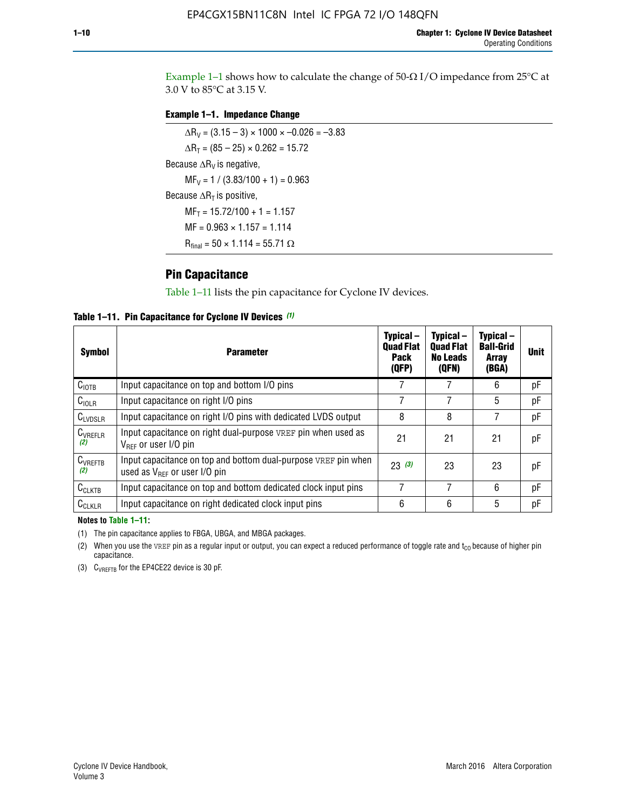Example 1-1 shows how to calculate the change of  $50$ - $\Omega$  I/O impedance from 25°C at 3.0 V to 85°C at 3.15 V.

#### **Example 1–1. Impedance Change**

 $\Delta R_V = (3.15 - 3) \times 1000 \times -0.026 = -3.83$  $\Delta R_T = (85 - 25) \times 0.262 = 15.72$ Because  $\Delta R_V$  is negative,  $MF_V = 1 / (3.83/100 + 1) = 0.963$ Because  $\Delta R_T$  is positive,  $MF_T = 15.72/100 + 1 = 1.157$  $MF = 0.963 \times 1.157 = 1.114$  $R_{final} = 50 \times 1.114 = 55.71 \Omega$ 

### **Pin Capacitance**

Table 1–11 lists the pin capacitance for Cyclone IV devices.

**Table 1–11. Pin Capacitance for Cyclone IV Devices** *(1)*

| <b>Symbol</b>       | <b>Parameter</b>                                                                                           | Typical-<br><b>Quad Flat</b><br><b>Pack</b><br>(QFP) | Typical-<br><b>Quad Flat</b><br><b>No Leads</b><br>(QFN) | Typical-<br><b>Ball-Grid</b><br><b>Array</b><br>(BGA) | <b>Unit</b> |
|---------------------|------------------------------------------------------------------------------------------------------------|------------------------------------------------------|----------------------------------------------------------|-------------------------------------------------------|-------------|
| C <sub>IOTB</sub>   | Input capacitance on top and bottom I/O pins                                                               |                                                      |                                                          | 6                                                     | рF          |
| $C_{IOLR}$          | Input capacitance on right I/O pins                                                                        |                                                      |                                                          | 5                                                     | рF          |
| $C_{LVDSLR}$        | Input capacitance on right I/O pins with dedicated LVDS output                                             | 8                                                    | 8                                                        | 7                                                     | рF          |
| $C_{VREFLR}$<br>(2) | Input capacitance on right dual-purpose VREF pin when used as<br>$V_{\text{RFF}}$ or user I/O pin          | 21                                                   | 21                                                       | 21                                                    | pF          |
| $C_{VREFTB}$<br>(2) | Input capacitance on top and bottom dual-purpose VREF pin when<br>used as $V_{\text{RFF}}$ or user I/O pin | 23(3)                                                | 23                                                       | 23                                                    | рF          |
| $C_{CLKTB}$         | Input capacitance on top and bottom dedicated clock input pins                                             | 7                                                    | 7                                                        | 6                                                     | рF          |
| $C_{CLKLR}$         | Input capacitance on right dedicated clock input pins                                                      | 6                                                    | 6                                                        | 5                                                     | рF          |

#### **Notes to Table 1–11:**

(1) The pin capacitance applies to FBGA, UBGA, and MBGA packages.

(2) When you use the VREF pin as a regular input or output, you can expect a reduced performance of toggle rate and  $t_{\rm CO}$  because of higher pin capacitance.

(3) CVREFTB for the EP4CE22 device is 30 pF.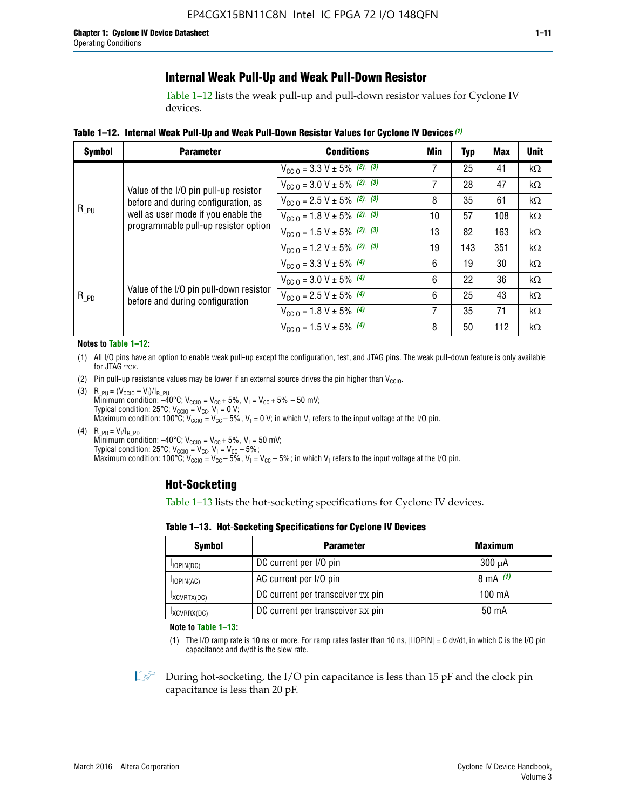### **Internal Weak Pull-Up and Weak Pull-Down Resistor**

Table 1–12 lists the weak pull-up and pull-down resistor values for Cyclone IV devices.

**Table 1–12. Internal Weak Pull**-**Up and Weak Pull**-**Down Resistor Values for Cyclone IV Devices** *(1)*

| <b>Symbol</b> | <b>Parameter</b>                                                                                                   | <b>Conditions</b>                                  | Min | <b>Typ</b> | <b>Max</b> | <b>Unit</b> |
|---------------|--------------------------------------------------------------------------------------------------------------------|----------------------------------------------------|-----|------------|------------|-------------|
|               |                                                                                                                    | $V_{\text{CC10}} = 3.3 \text{ V} \pm 5\%$ (2), (3) | 7   | 25         | 41         | $k\Omega$   |
| $R_{PU}$      | Value of the I/O pin pull-up resistor                                                                              | $V_{\text{CC10}} = 3.0 \text{ V} \pm 5\%$ (2), (3) | 7   | 28         | 47         | kΩ          |
|               | before and during configuration, as<br>well as user mode if you enable the<br>programmable pull-up resistor option | $V_{\text{CC10}} = 2.5 V \pm 5\%$ (2), (3)         | 8   | 35         | 61         | kΩ          |
|               |                                                                                                                    | $V_{\text{CGI0}} = 1.8 V \pm 5\%$ (2), (3)         | 10  | 57         | 108        | $k\Omega$   |
|               |                                                                                                                    | $V_{\text{CC10}} = 1.5 V \pm 5\%$ (2), (3)         | 13  | 82         | 163        | $k\Omega$   |
|               |                                                                                                                    | $V_{\text{CC10}} = 1.2 V \pm 5\%$ (2), (3)         | 19  | 143        | 351        | kΩ          |
|               |                                                                                                                    | $V_{\text{CC10}} = 3.3 V \pm 5\%$ (4)              | 6   | 19         | 30         | kΩ          |
|               |                                                                                                                    | $V_{\text{CC10}} = 3.0 V \pm 5\%$ (4)              | 6   | 22         | 36         | $k\Omega$   |
| $R_{PD}$      | Value of the I/O pin pull-down resistor<br>before and during configuration                                         | $V_{\text{CC10}} = 2.5 V \pm 5\%$ (4)              | 6   | 25         | 43         | kΩ          |
|               |                                                                                                                    | $V_{\text{CC10}} = 1.8 V \pm 5\%$ (4)              | 7   | 35         | 71         | $k\Omega$   |
|               |                                                                                                                    | $V_{\text{CC10}} = 1.5 V \pm 5\%$ (4)              | 8   | 50         | 112        | kΩ          |

#### **Notes to Table 1–12:**

- (1) All I/O pins have an option to enable weak pull-up except the configuration, test, and JTAG pins. The weak pull-down feature is only available for JTAG TCK.
- (2) Pin pull-up resistance values may be lower if an external source drives the pin higher than  $V_{\text{CCIO}}$ .
- (3)  $R_{PU} = (V_{CC10} V_1)/I_{R_PU}$ Minimum condition: –40°C; V<sub>CCIO</sub> = V<sub>CC</sub> + 5%, V<sub>I</sub> = V<sub>CC</sub> + 5% – 50 mV; Typical condition: 25°C; V<sub>CCIO</sub> = V<sub>CC</sub>, V<sub>I</sub> = 0 V; Maximum condition: 100°C;  $V_{\text{CCIO}} = V_{\text{CC}} - 5\%$ ,  $V_1 = 0$  V; in which V<sub>I</sub> refers to the input voltage at the I/O pin.
- (4)  $R_{PD} = V_I/I_{R_PD}$ Minimum condition:  $-40^{\circ}$ C; V<sub>CCIO</sub> = V<sub>CC</sub> + 5%, V<sub>I</sub> = 50 mV; Typical condition: 25°C;  $V_{\text{CCIO}} = V_{\text{CC}}$ ,  $V_{\text{I}} = V_{\text{CC}} - 5\%$ ; Maximum condition: 100°C; V<sub>CClO</sub> = V<sub>CC</sub> – 5%, V<sub>I</sub> = V<sub>CC</sub> – 5%; in which V<sub>I</sub> refers to the input voltage at the I/O pin.

#### **Hot-Socketing**

Table 1–13 lists the hot-socketing specifications for Cyclone IV devices.

**Table 1–13. Hot**-**Socketing Specifications for Cyclone IV Devices**

| <b>Symbol</b> | <b>Parameter</b>                  | <b>Maximum</b> |
|---------------|-----------------------------------|----------------|
| $I$ IOPIN(DC) | DC current per I/O pin            | $300 \mu A$    |
| $I$ IOPIN(AC) | AC current per I/O pin            | 8 mA $(1)$     |
| IXCVRTX(DC)   | DC current per transceiver TX pin | 100 mA         |
| IXCVRRX(DC)   | DC current per transceiver RX pin | 50 mA          |

**Note to Table 1–13:**

(1) The I/O ramp rate is 10 ns or more. For ramp rates faster than 10 ns, |IIOPIN| = C dv/dt, in which C is the I/O pin capacitance and dv/dt is the slew rate.

 $\mathbb{I} \rightarrow \mathbb{I}$  During hot-socketing, the I/O pin capacitance is less than 15 pF and the clock pin capacitance is less than 20 pF.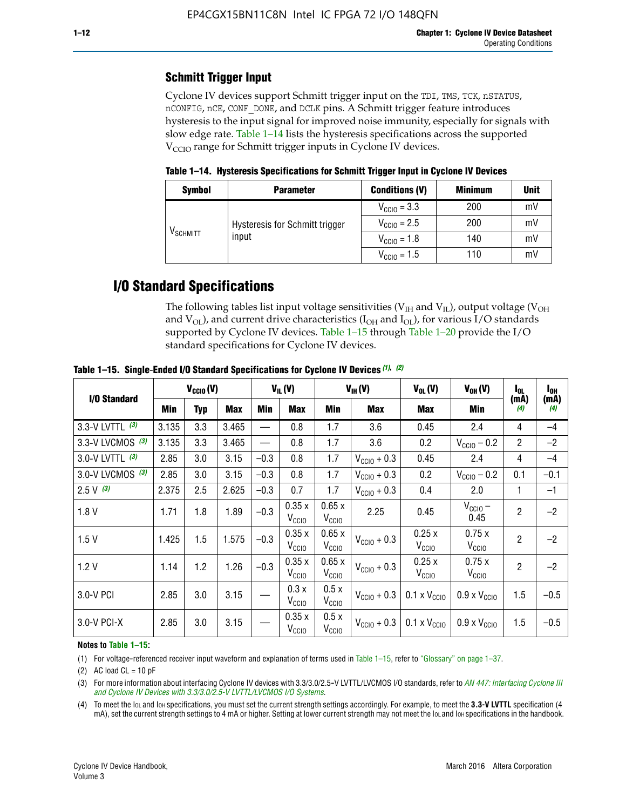## **Schmitt Trigger Input**

Cyclone IV devices support Schmitt trigger input on the TDI, TMS, TCK, nSTATUS, nCONFIG, nCE, CONF\_DONE, and DCLK pins. A Schmitt trigger feature introduces hysteresis to the input signal for improved noise immunity, especially for signals with slow edge rate. Table 1–14 lists the hysteresis specifications across the supported  $V<sub>CCIO</sub>$  range for Schmitt trigger inputs in Cyclone IV devices.

**Table 1–14. Hysteresis Specifications for Schmitt Trigger Input in Cyclone IV Devices**

| <b>Symbol</b>                                                             | <b>Parameter</b>        | <b>Conditions (V)</b>   | <b>Minimum</b> | <b>Unit</b> |
|---------------------------------------------------------------------------|-------------------------|-------------------------|----------------|-------------|
| Hysteresis for Schmitt trigger<br>$\mathsf{V}_{\mathsf{SCHMIT}}$<br>input | $V_{\text{CGI0}} = 3.3$ | 200                     | mV             |             |
|                                                                           |                         | $V_{\text{CCIO}} = 2.5$ | 200            | mV          |
|                                                                           | $V_{\text{CCIO}} = 1.8$ |                         | 140            | mV          |
|                                                                           |                         | $V_{\text{CCIO}} = 1.5$ | 110            | mV          |

## **I/O Standard Specifications**

The following tables list input voltage sensitivities ( $V<sub>IH</sub>$  and  $V<sub>II</sub>$ ), output voltage ( $V<sub>OH</sub>$ and  $V_{OL}$ ), and current drive characteristics ( $I_{OH}$  and  $I_{OL}$ ), for various I/O standards supported by Cyclone IV devices. Table 1–15 through Table 1–20 provide the I/O standard specifications for Cyclone IV devices.

|                    | $V_{CClO}(V)$ |     | $V_{IL}(V)$ |        | $V_{IH} (V)$               |                            | $V_{OL}(V)$             | $V_{OH} (V)$                                    | l <sub>ol</sub>              | $I_{0H}$       |                          |
|--------------------|---------------|-----|-------------|--------|----------------------------|----------------------------|-------------------------|-------------------------------------------------|------------------------------|----------------|--------------------------|
| I/O Standard       | <b>Min</b>    | Typ | Max         | Min    | Max                        | Min                        | <b>Max</b>              | Max                                             | Min                          | (mA)<br>(4)    | (mA)<br>$\left(4\right)$ |
| 3.3-V LVTTL (3)    | 3.135         | 3.3 | 3.465       |        | 0.8                        | 1.7                        | 3.6                     | 2.4<br>0.45                                     |                              | 4              | $-4$                     |
| 3.3-V LVCMOS $(3)$ | 3.135         | 3.3 | 3.465       |        | 0.8                        | 1.7                        | 3.6                     | 0.2                                             | $V_{\text{CC10}} - 0.2$      | $\overline{2}$ | $-2$                     |
| 3.0-V LVTTL (3)    | 2.85          | 3.0 | 3.15        | $-0.3$ | 0.8                        | 1.7                        | $V_{\text{CC10}} + 0.3$ | 0.45                                            | 2.4                          | 4              | $-4$                     |
| 3.0-V LVCMOS (3)   | 2.85          | 3.0 | 3.15        | $-0.3$ | 0.8                        | 1.7                        | $V_{\text{CC10}} + 0.3$ | 0.2                                             | $V_{\text{CC10}} - 0.2$      | 0.1            | $-0.1$                   |
| $2.5 V$ (3)        | 2.375         | 2.5 | 2.625       | $-0.3$ | 0.7                        | 1.7                        | $V_{\text{CGI0}} + 0.3$ | 0.4                                             | 2.0                          | 1              | $-1$                     |
| 1.8V               | 1.71          | 1.8 | 1.89        | $-0.3$ | 0.35x<br>V <sub>CCIO</sub> | 0.65x<br>V <sub>CCIO</sub> | 2.25                    | 0.45                                            | $V_{CGIO}$ –<br>0.45         | $\overline{2}$ | $-2$                     |
| 1.5V               | 1.425         | 1.5 | 1.575       | $-0.3$ | 0.35x<br>V <sub>CCIO</sub> | 0.65x<br>V <sub>CCIO</sub> | $V_{\text{CC10}} + 0.3$ | 0.25x<br>V <sub>CCIO</sub>                      | 0.75x<br>V <sub>CCIO</sub>   | $\overline{2}$ | $-2$                     |
| 1.2V               | 1.14          | 1.2 | 1.26        | $-0.3$ | 0.35x<br>V <sub>CCIO</sub> | 0.65x<br>V <sub>CCIO</sub> | $V_{\text{CC10}} + 0.3$ | 0.25x<br>V <sub>CCIO</sub>                      | 0.75x<br>V <sub>CCIO</sub>   | $\overline{2}$ | $-2$                     |
| 3.0-V PCI          | 2.85          | 3.0 | 3.15        |        | 0.3x<br>V <sub>CCIO</sub>  | 0.5x<br>V <sub>CCIO</sub>  | $V_{\text{CCI0}} + 0.3$ | $0.1 \times V_{\text{CC10}}$                    | $0.9 \times V_{\text{CC10}}$ | 1.5            | $-0.5$                   |
| $3.0 - V$ PCI-X    | 2.85          | 3.0 | 3.15        |        | 0.35x<br>V <sub>CCIO</sub> | 0.5x<br>V <sub>CCIO</sub>  |                         | $V_{\text{CC10}} + 0.3$ 0.1 x $V_{\text{CC10}}$ | $0.9 \times V_{\text{CC10}}$ | 1.5            | $-0.5$                   |

**Table 1–15. Single**-**Ended I/O Standard Specifications for Cyclone IV Devices** *(1)***,** *(2)*

#### **Notes to Table 1–15:**

(1) For voltage-referenced receiver input waveform and explanation of terms used in Table 1–15, refer to "Glossary" on page 1–37.

(2) AC load  $CL = 10$  pF

(3) For more information about interfacing Cyclone IV devices with 3.3/3.0/2.5-V LVTTL/LVCMOS I/O standards, refer to *[AN 447: Interfacing Cyclone III](http://www.altera.com/literature/an/an447.pdf)  [and Cyclone IV Devices with 3.3/3.0/2.5-V LVTTL/LVCMOS I/O Systems](http://www.altera.com/literature/an/an447.pdf)*.

(4) To meet the IOL and IOH specifications, you must set the current strength settings accordingly. For example, to meet the **3.3-V LVTTL** specification (4 mA), set the current strength settings to 4 mA or higher. Setting at lower current strength may not meet the lou and lon specifications in the handbook.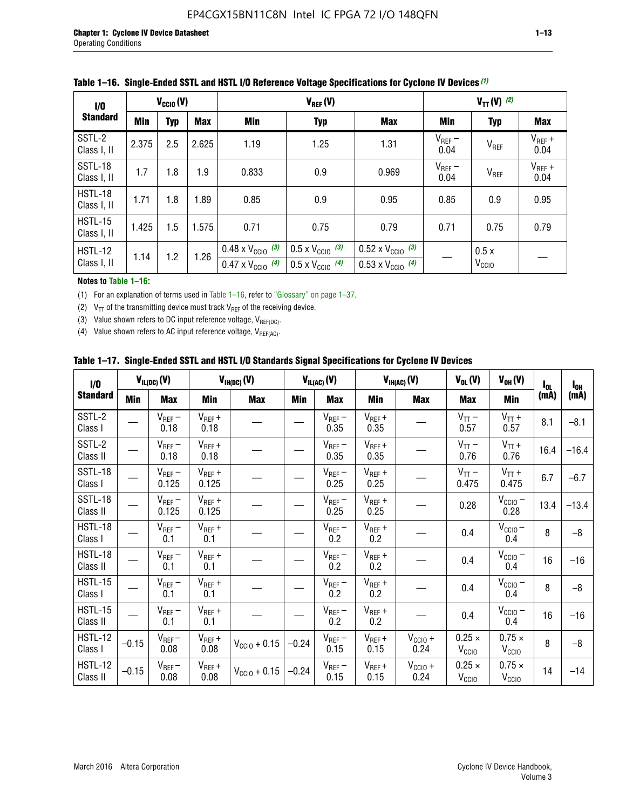| $\frac{1}{0}$          | $V_{\text{CCIO}}(V)$     |     |       |                                                                        | $V_{TT}(V)$ (2)                                                      |                                                                        |                     |                           |                     |  |
|------------------------|--------------------------|-----|-------|------------------------------------------------------------------------|----------------------------------------------------------------------|------------------------------------------------------------------------|---------------------|---------------------------|---------------------|--|
| <b>Standard</b>        | <b>Min</b><br><b>Typ</b> |     | Max   | Min                                                                    | <b>Typ</b>                                                           | <b>Max</b>                                                             | Min                 | <b>Typ</b>                | Max                 |  |
| SSTL-2<br>Class I, II  | 2.375                    | 2.5 | 2.625 | 1.19                                                                   | 1.25                                                                 | 1.31                                                                   | $V_{REF}$ –<br>0.04 | V <sub>REF</sub>          | $V_{REF}$ +<br>0.04 |  |
| SSTL-18<br>Class I, II | 1.7                      | 1.8 | 1.9   | 0.833                                                                  | 0.9                                                                  | 0.969                                                                  | $V_{REF}$ –<br>0.04 | V <sub>REF</sub>          | $V_{REF}$ +<br>0.04 |  |
| HSTL-18<br>Class I, II | 1.71                     | 1.8 | .89   | 0.85                                                                   | 0.9                                                                  | 0.95                                                                   | 0.85                | 0.9                       | 0.95                |  |
| HSTL-15<br>Class I, II | 1.425                    | 1.5 | 1.575 | 0.71                                                                   | 0.75                                                                 | 0.79                                                                   | 0.71                | 0.75                      | 0.79                |  |
| HSTL-12<br>Class I, II | 1.14                     | 1.2 | 1.26  | $0.48 \times V_{\text{CC10}}$ (3)<br>$0.47 \times V_{\text{CC10}}$ (4) | $0.5 \times V_{\text{CC10}}$ (3)<br>$0.5 \times V_{\text{CC10}}$ (4) | $0.52 \times V_{\text{CC10}}$ (3)<br>$0.53 \times V_{\text{CC10}}$ (4) |                     | 0.5x<br>V <sub>CCIO</sub> |                     |  |

|  |  |  |  | Table 1–16. Single-Ended SSTL and HSTL I/O Reference Voltage Specifications for Cyclone IV Devices (1) |
|--|--|--|--|--------------------------------------------------------------------------------------------------------|
|--|--|--|--|--------------------------------------------------------------------------------------------------------|

#### **Notes to Table 1–16:**

(1) For an explanation of terms used in Table 1–16, refer to "Glossary" on page 1–37.

(2)  $V_{TT}$  of the transmitting device must track  $V_{REF}$  of the receiving device.

(3) Value shown refers to DC input reference voltage,  $V_{REF(DC)}$ .

(4) Value shown refers to AC input reference voltage,  $V_{REF(AC)}$ .

|  |  |  |  |  | Table 1–17.  Single-Ended SSTL and HSTL I/O Standards Signal Specifications for Cyclone IV Devices |
|--|--|--|--|--|----------------------------------------------------------------------------------------------------|
|--|--|--|--|--|----------------------------------------------------------------------------------------------------|

| I/O                        |         | $V_{IL(DC)}(V)$        |                                      | $V_{IH(DC)}(V)$       |         | $V_{IL(AC)}(V)$     |                     | $V_{IH(AC)}(V)$      |                                    | $V_{OH} (V)$                       | l <sub>ol</sub> | $I_{0H}$ |
|----------------------------|---------|------------------------|--------------------------------------|-----------------------|---------|---------------------|---------------------|----------------------|------------------------------------|------------------------------------|-----------------|----------|
| <b>Standard</b>            | Min     | <b>Max</b>             | Min                                  | <b>Max</b>            | Min     | <b>Max</b>          | Min                 | <b>Max</b>           | <b>Max</b>                         | Min                                | (mA)            | (mA)     |
| SSTL-2<br>Class I          |         | $\rm V_{REF}-$<br>0.18 | $V_{REF} +$<br>0.18                  |                       |         | $V_{REF}$ –<br>0.35 | $V_{REF} +$<br>0.35 |                      | $V_{TT}$ –<br>0.57                 | $V_{TT}$ +<br>0.57                 | 8.1             | $-8.1$   |
| SSTL-2<br>Class II         |         | $V_{REF}$ –<br>0.18    | $V_{REF} +$<br>0.18                  |                       |         | $V_{REF}$ –<br>0.35 | $V_{REF} +$<br>0.35 |                      | $V_{TT}$ –<br>0.76                 | $V_{TT}$ +<br>0.76                 | 16.4            | $-16.4$  |
| <b>SSTL-18</b><br>Class I  |         | $V_{REF}$ –<br>0.125   | $V_{REF}$ +<br>0.125                 |                       |         | $V_{REF}$ –<br>0.25 | $V_{REF}$ +<br>0.25 |                      | $V_{TT}$ –<br>0.475                | $V_{TT}$ +<br>0.475                | 6.7             | $-6.7$   |
| <b>SSTL-18</b><br>Class II |         | $V_{REF}$ –<br>0.125   | $V_{REF}$ +<br>0.125                 |                       |         | $V_{REF}$ –<br>0.25 | $V_{REF}$ +<br>0.25 |                      | 0.28                               | $V_{CC10} -$<br>0.28               | 13.4            | $-13.4$  |
| HSTL-18<br>Class I         |         | $V_{REF}$ –<br>0.1     | $V_{REF} +$<br>0.1                   |                       |         | $V_{REF}$ –<br>0.2  | $V_{REF}$ +<br>0.2  |                      | 0.4                                | $V_{CCIO}$ –<br>0.4                | 8               | $-8$     |
| HSTL-18<br>Class II        |         | $V_{REF}$ –<br>0.1     | $V_{REF} +$<br>0.1                   |                       |         | $V_{REF}$ –<br>0.2  | $V_{REF} +$<br>0.2  |                      | 0.4                                | $V_{CC10}$ –<br>0.4                | 16              | $-16$    |
| HSTL-15<br>Class I         |         | $V_{REF}$ –<br>0.1     | $V_{REF} +$<br>0.1                   |                       |         | $V_{REF}$ –<br>0.2  | $V_{REF}$ +<br>0.2  |                      | 0.4                                | $V_{\text{CC1O}} -$<br>0.4         | 8               | $-8$     |
| HSTL-15<br>Class II        |         | $V_{REF}$ –<br>0.1     | $\mathsf{V}_{\mathsf{REF}}$ +<br>0.1 |                       |         | $V_{REF}$ –<br>0.2  | $V_{REF}$ +<br>0.2  |                      | 0.4                                | $V_{CC10}$ –<br>0.4                | 16              | $-16$    |
| <b>HSTL-12</b><br>Class I  | $-0.15$ | $V_{REF}-$<br>0.08     | $V_{REF} +$<br>0.08                  | $V_{CGI0} + 0.15$     | $-0.24$ | $V_{REF}$ –<br>0.15 | $V_{REF} +$<br>0.15 | $V_{CCIO} +$<br>0.24 | $0.25 \times$<br>V <sub>CCIO</sub> | $0.75 \times$<br>V <sub>CCIO</sub> | 8               | $-8$     |
| HSTL-12<br>Class II        | $-0.15$ | $V_{REF}-$<br>0.08     | $V_{REF} +$<br>0.08                  | $V_{\rm CClO} + 0.15$ | $-0.24$ | $V_{REF}$ –<br>0.15 | $V_{REF} +$<br>0.15 | $V_{CC10}$ +<br>0.24 | $0.25 \times$<br>V <sub>CCIO</sub> | $0.75 \times$<br>V <sub>CCIO</sub> | 14              | $-14$    |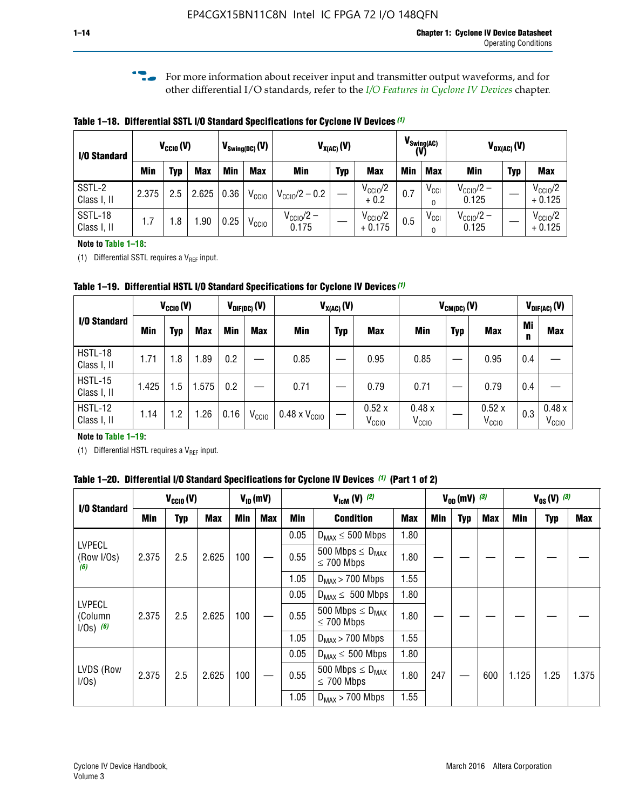**f For more information about receiver input and transmitter output waveforms, and for** other differential I/O standards, refer to the *[I/O Features in Cyclone IV Devices](http://www.altera.com/literature/hb/cyclone-iv/cyiv-51006.pdf)* chapter*.*

**Table 1–18. Differential SSTL I/O Standard Specifications for Cyclone IV Devices** *(1)*

| I/O Standard           |       | $V_{\text{CCIO}}(V)$ |            | $V_{\text{Swing(DC)}}(V)$ |                   | $V_{X(AC)}(V)$            |            | (V)                             | $V_{\text{Swing}(AC)}$ | $V_{OX(AC)}(V)$              |                                |            |                                 |
|------------------------|-------|----------------------|------------|---------------------------|-------------------|---------------------------|------------|---------------------------------|------------------------|------------------------------|--------------------------------|------------|---------------------------------|
|                        | Min   | Typ                  | <b>Max</b> | Min                       | <b>Max</b>        | <b>Min</b>                | <b>Typ</b> | <b>Max</b>                      | Min                    | <b>Max</b>                   | Min                            | <b>Typ</b> | <b>Max</b>                      |
| SSTL-2<br>Class I, II  | 2.375 | 2.5                  | 2.625      | 0.36                      | V <sub>CCIO</sub> | $V_{\text{CC10}}/2 - 0.2$ |            | $V_{\text{CC10}}/2$<br>$+0.2$   | 0.7                    | V <sub>CCI</sub><br>$\Omega$ | $V_{\text{CC10}}/2 -$<br>0.125 |            | $V_{\text{CC10}}/2$<br>$+0.125$ |
| SSTL-18<br>Class I, II | 1.7   | .8                   | .90        | 0.25                      | V <sub>CCIO</sub> | $V_{CC10}/2 -$<br>0.175   |            | $V_{\text{CC10}}/2$<br>$+0.175$ | 0.5                    | V <sub>CCI</sub><br>0        | $V_{\text{CC10}}/2 -$<br>0.125 |            | $V_{\text{CC10}}/2$<br>$+0.125$ |

#### **Note to Table 1–18:**

(1) Differential SSTL requires a  $V_{REF}$  input.

**Table 1–19. Differential HSTL I/O Standard Specifications for Cyclone IV Devices** *(1)*

|                               | $V_{CClO}(V)$ |     |            | $V_{\text{DIF(DC)}}(V)$ |                   | $V_{X(AC)}(V)$                |            |                            | $V_{CM(DC)}(V)$            |            |                            | $V_{\text{DIF(AC)}}(V)$ |                            |
|-------------------------------|---------------|-----|------------|-------------------------|-------------------|-------------------------------|------------|----------------------------|----------------------------|------------|----------------------------|-------------------------|----------------------------|
| I/O Standard                  | Min           | Typ | <b>Max</b> | Min                     | <b>Max</b>        | Min                           | <b>Typ</b> | <b>Max</b>                 | Min                        | <b>Typ</b> | <b>Max</b>                 | Mi<br>n                 | <b>Max</b>                 |
| HSTL-18<br>Class I, II        | 1.71          | 1.8 | .89        | 0.2                     |                   | 0.85                          |            | 0.95                       | 0.85                       |            | 0.95                       | 0.4                     |                            |
| <b>HSTL-15</b><br>Class I, II | 1.425         | 1.5 | .575       | $0.2\,$                 |                   | 0.71                          |            | 0.79                       | 0.71                       |            | 0.79                       | 0.4                     |                            |
| <b>HSTL-12</b><br>Class I, II | 1.14          | 1.2 | 1.26       | 0.16                    | V <sub>CCIO</sub> | $0.48 \times V_{\text{CC10}}$ |            | 0.52x<br>V <sub>CCIO</sub> | 0.48x<br>V <sub>CCIO</sub> |            | 0.52x<br>V <sub>CCIO</sub> | 0.3                     | 0.48x<br>V <sub>CCIO</sub> |

#### **Note to Table 1–19:**

(1) Differential HSTL requires a  $V_{REF}$  input.

**Table 1–20. Differential I/O Standard Specifications for Cyclone IV Devices** *(1)* **(Part 1 of 2)**

| I/O Standard                            |       | $V_{CCl0} (V)$ |            |            | $V_{ID}$ (mV) |                         | $V_{\text{lcm}}(V)^{(2)}$                           |            |     | $V_{0D}$ (mV) $(3)$ |     |       | $V_{0S} (V)^{(3)}$ |       |  |
|-----------------------------------------|-------|----------------|------------|------------|---------------|-------------------------|-----------------------------------------------------|------------|-----|---------------------|-----|-------|--------------------|-------|--|
|                                         | Min   | Typ            | <b>Max</b> | <b>Min</b> | <b>Max</b>    | Min<br><b>Condition</b> |                                                     | <b>Max</b> | Min | Typ                 | Max | Min   | <b>Typ</b>         | Max   |  |
|                                         |       |                |            |            |               | 0.05                    | $D_{MAX} \leq 500$ Mbps                             |            |     |                     |     |       |                    |       |  |
| <b>LVPECL</b><br>(Row I/Os)<br>(6)      | 2.375 | 2.5            | 2.625      | 100        |               | 0.55                    | 500 Mbps $\leq$ D <sub>MAX</sub><br>$\leq$ 700 Mbps | 1.80       |     |                     |     |       |                    |       |  |
|                                         |       |                |            |            |               | 1.05                    | $D_{MAX}$ > 700 Mbps                                |            |     |                     |     |       |                    |       |  |
|                                         |       |                |            |            |               | 0.05                    | $D_{MAX} \leq 500$ Mbps                             | 1.80       |     |                     |     |       |                    |       |  |
| <b>LVPECL</b><br>(Column<br>$1/Os)$ (6) | 2.375 | 2.5            | 2.625      | 100        |               | 0.55                    | 500 Mbps $\leq D_{MAX}$<br>$\leq$ 700 Mbps          | 1.80       |     |                     |     |       |                    |       |  |
|                                         |       |                |            |            |               | 1.05                    | $D_{MAX}$ > 700 Mbps                                | 1.55       |     |                     |     |       |                    |       |  |
|                                         |       |                |            |            |               | 0.05                    | $D_{MAX} \leq 500$ Mbps                             | 1.80       |     |                     |     |       |                    |       |  |
| LVDS (Row<br>I/Os)                      | 2.375 | 2.5            | 2.625      | 100        |               | 0.55                    | 500 Mbps $\leq D_{MAX}$<br>1.80<br>$\leq 700$ Mbps  |            | 247 |                     | 600 | 1.125 | 1.25               | 1.375 |  |
|                                         |       |                |            |            |               | 1.05                    | $D_{MAX}$ > 700 Mbps                                | 1.55       |     |                     |     |       |                    |       |  |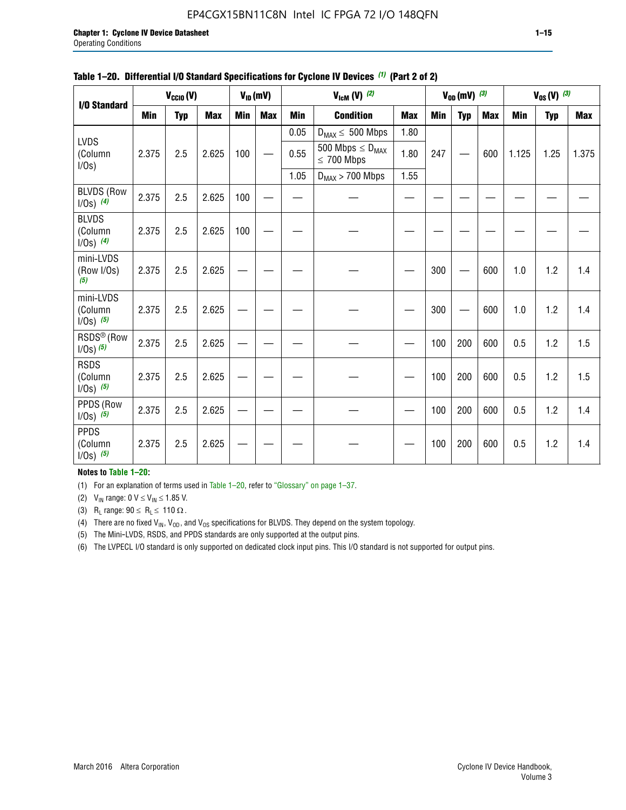#### EP4CGX15BN11C8N Intel IC FPGA 72 I/O 148QFN

| I/O Standard                             |            | $V_{CClO}(V)$ |            |            | $V_{ID}(mV)$ |            | $V_{\text{lcm}}(V)^{(2)}$                  |            |            | $V_{0D}$ (mV) $(3)$ |            |            | $V_{0S} (V)$ (3) |       |
|------------------------------------------|------------|---------------|------------|------------|--------------|------------|--------------------------------------------|------------|------------|---------------------|------------|------------|------------------|-------|
|                                          | <b>Min</b> | <b>Typ</b>    | <b>Max</b> | <b>Min</b> | <b>Max</b>   | <b>Min</b> | <b>Condition</b>                           | <b>Max</b> | <b>Min</b> | <b>Typ</b>          | <b>Max</b> | <b>Min</b> | <b>Typ</b>       | Max   |
|                                          |            |               |            |            |              | 0.05       | $D_{MAX} \leq 500$ Mbps                    | 1.80       |            |                     |            |            |                  |       |
| <b>LVDS</b><br>(Column<br>$I/Os$ )       | 2.375      | 2.5           | 2.625      | 100        |              | 0.55       | 500 Mbps $\leq D_{MAX}$<br>$\leq 700$ Mbps | 1.80       | 247        |                     | 600        | 1.125      | 1.25             | 1.375 |
|                                          |            |               |            |            |              | 1.05       | $D_{MAX}$ > 700 Mbps                       | 1.55       |            |                     |            |            |                  |       |
| <b>BLVDS (Row</b><br>$1/0s)$ (4)         | 2.375      | 2.5           | 2.625      | 100        |              |            |                                            |            |            |                     |            |            |                  |       |
| <b>BLVDS</b><br>(Column<br>$1/0s)$ (4)   | 2.375      | 2.5           | 2.625      | 100        |              |            |                                            |            |            |                     |            |            |                  |       |
| mini-LVDS<br>(Row I/Os)<br>(5)           | 2.375      | 2.5           | 2.625      |            |              |            |                                            |            | 300        |                     | 600        | 1.0        | 1.2              | 1.4   |
| mini-LVDS<br>(Column<br>$1/0s)$ (5)      | 2.375      | 2.5           | 2.625      |            |              |            |                                            |            | 300        |                     | 600        | 1.0        | 1.2              | 1.4   |
| RSDS <sup>®</sup> (Row<br>$1/0s$ ) $(5)$ | 2.375      | 2.5           | 2.625      |            |              |            |                                            |            | 100        | 200                 | 600        | 0.5        | 1.2              | 1.5   |
| <b>RSDS</b><br>(Column<br>$1/0s)$ (5)    | 2.375      | 2.5           | 2.625      |            |              |            |                                            |            | 100        | 200                 | 600        | 0.5        | 1.2              | 1.5   |
| PPDS (Row<br>$1/Os)$ (5)                 | 2.375      | 2.5           | 2.625      |            |              |            |                                            |            | 100        | 200                 | 600        | 0.5        | 1.2              | 1.4   |
| <b>PPDS</b><br>(Column<br>$1/0s)$ (5)    | 2.375      | 2.5           | 2.625      |            |              |            |                                            |            | 100        | 200                 | 600        | 0.5        | 1.2              | 1.4   |

#### **Table 1–20. Differential I/O Standard Specifications for Cyclone IV Devices** *(1)* **(Part 2 of 2)**

**Notes to Table 1–20:**

(1) For an explanation of terms used in Table 1–20, refer to "Glossary" on page 1–37.

(2)  $V_{IN}$  range: 0  $V \le V_{IN} \le 1.85$  V.

(3) R<sub>L</sub> range:  $90 \le R_L \le 110 \Omega$ .

(4) There are no fixed  $V_{IN}$ ,  $V_{OD}$ , and  $V_{OS}$  specifications for BLVDS. They depend on the system topology.

(5) The Mini-LVDS, RSDS, and PPDS standards are only supported at the output pins.

(6) The LVPECL I/O standard is only supported on dedicated clock input pins. This I/O standard is not supported for output pins.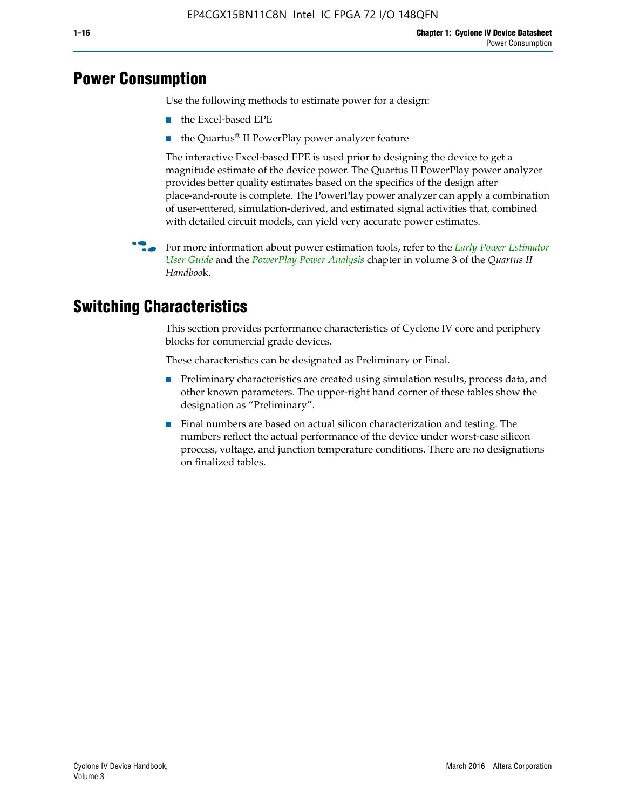## **Power Consumption**

Use the following methods to estimate power for a design:

- the Excel-based EPE
- the Quartus® II PowerPlay power analyzer feature

The interactive Excel-based EPE is used prior to designing the device to get a magnitude estimate of the device power. The Quartus II PowerPlay power analyzer provides better quality estimates based on the specifics of the design after place-and-route is complete. The PowerPlay power analyzer can apply a combination of user-entered, simulation-derived, and estimated signal activities that, combined with detailed circuit models, can yield very accurate power estimates.

f For more information about power estimation tools, refer to the *[Early Power Estimator](http://www.altera.com/literature/ug/ug_epe.pdf
)  [User Guide](http://www.altera.com/literature/ug/ug_epe.pdf
)* and the *[PowerPlay Power Analysis](http://www.altera.com/literature/hb/qts/qts_qii53013.pdf)* chapter in volume 3 of the *Quartus II Handboo*k.

## **Switching Characteristics**

This section provides performance characteristics of Cyclone IV core and periphery blocks for commercial grade devices.

These characteristics can be designated as Preliminary or Final.

- Preliminary characteristics are created using simulation results, process data, and other known parameters. The upper-right hand corner of these tables show the designation as "Preliminary".
- Final numbers are based on actual silicon characterization and testing. The numbers reflect the actual performance of the device under worst-case silicon process, voltage, and junction temperature conditions. There are no designations on finalized tables.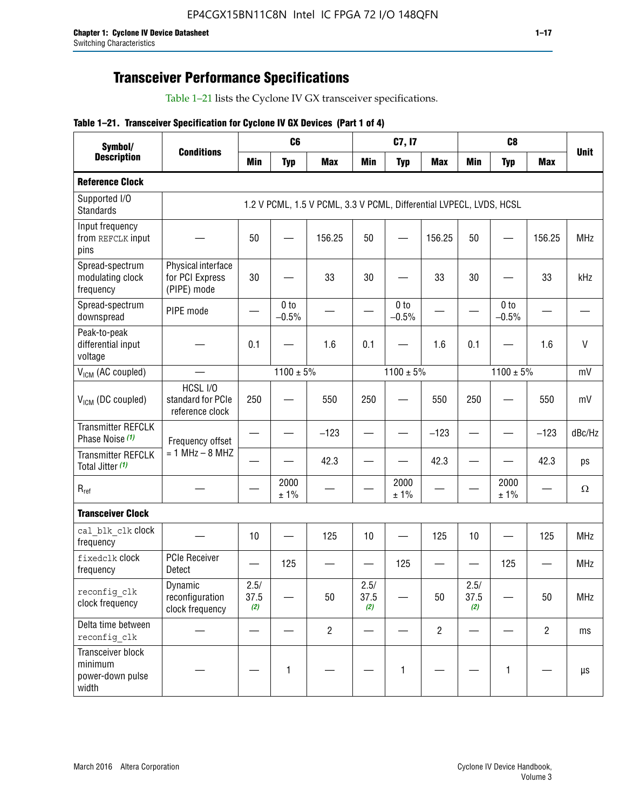## **Transceiver Performance Specifications**

Table 1–21 lists the Cyclone IV GX transceiver specifications.

#### **Table 1–21. Transceiver Specification for Cyclone IV GX Devices (Part 1 of 4)**

| Symbol/                                                   |                                                      |                          | C <sub>6</sub>             |                                                                     |                               | C7, I7                     |                               | C <sub>8</sub>      |                          |                |             |
|-----------------------------------------------------------|------------------------------------------------------|--------------------------|----------------------------|---------------------------------------------------------------------|-------------------------------|----------------------------|-------------------------------|---------------------|--------------------------|----------------|-------------|
| <b>Description</b>                                        | <b>Conditions</b>                                    | <b>Min</b>               | <b>Typ</b>                 | <b>Max</b>                                                          | <b>Min</b>                    | <b>Typ</b>                 | <b>Max</b>                    | <b>Min</b>          | <b>Typ</b>               | <b>Max</b>     | <b>Unit</b> |
| <b>Reference Clock</b>                                    |                                                      |                          |                            |                                                                     |                               |                            |                               |                     |                          |                |             |
| Supported I/O<br><b>Standards</b>                         |                                                      |                          |                            | 1.2 V PCML, 1.5 V PCML, 3.3 V PCML, Differential LVPECL, LVDS, HCSL |                               |                            |                               |                     |                          |                |             |
| Input frequency<br>from REFCLK input<br>pins              |                                                      | 50                       |                            | 156.25                                                              | 50                            |                            | 156.25                        | 50                  |                          | 156.25         | <b>MHz</b>  |
| Spread-spectrum<br>modulating clock<br>frequency          | Physical interface<br>for PCI Express<br>(PIPE) mode | 30                       |                            | 33                                                                  | 30                            |                            | 33                            | 30                  |                          | 33             | kHz         |
| Spread-spectrum<br>downspread                             | PIPE mode                                            |                          | 0 <sub>to</sub><br>$-0.5%$ |                                                                     |                               | 0 <sub>to</sub><br>$-0.5%$ |                               |                     | 0 to<br>$-0.5%$          |                |             |
| Peak-to-peak<br>differential input<br>voltage             |                                                      | 0.1                      |                            | 1.6                                                                 | 0.1                           |                            | 1.6                           | 0.1                 |                          | 1.6            | V           |
| V <sub>ICM</sub> (AC coupled)                             |                                                      |                          | $1100 \pm 5\%$             |                                                                     |                               | $1100 \pm 5\%$             |                               |                     | $1100 \pm 5\%$           |                | mV          |
| V <sub>ICM</sub> (DC coupled)                             | HCSL I/O<br>standard for PCIe<br>reference clock     | 250                      |                            | 550                                                                 | 250                           |                            | 550                           | 250                 |                          | 550            | mV          |
| <b>Transmitter REFCLK</b><br>Phase Noise (1)              | Frequency offset                                     |                          |                            | $-123$                                                              | $\overline{\phantom{0}}$      |                            | $-123$                        | —                   |                          | $-123$         | dBc/Hz      |
| <b>Transmitter REFCLK</b><br>Total Jitter (1)             | $= 1$ MHz $- 8$ MHZ                                  |                          |                            | 42.3                                                                |                               |                            | 42.3                          |                     |                          | 42.3           | ps          |
| $R_{ref}$                                                 |                                                      |                          | 2000<br>± 1%               |                                                                     |                               | 2000<br>± 1%               |                               |                     | 2000<br>± 1%             |                | $\Omega$    |
| <b>Transceiver Clock</b>                                  |                                                      |                          |                            |                                                                     |                               |                            |                               |                     |                          |                |             |
| cal blk clk clock<br>frequency                            |                                                      | 10                       |                            | 125                                                                 | 10                            |                            | 125                           | 10                  | $\overline{\phantom{0}}$ | 125            | MHz         |
| fixedclk Clock<br>frequency                               | <b>PCIe Receiver</b><br>Detect                       | $\overline{\phantom{0}}$ | 125                        |                                                                     | $\overbrace{\phantom{13333}}$ | 125                        | $\overbrace{\phantom{13333}}$ | —                   | 125                      |                | <b>MHz</b>  |
| reconfig_clk<br>clock frequency                           | Dynamic<br>reconfiguration<br>clock frequency        | 2.5/<br>37.5<br>(2)      |                            | 50                                                                  | 2.5/<br>37.5<br>(2)           |                            | 50                            | 2.5/<br>37.5<br>(2) |                          | 50             | <b>MHz</b>  |
| Delta time between<br>reconfig clk                        |                                                      |                          |                            | $\overline{2}$                                                      |                               |                            | $\overline{c}$                |                     |                          | $\overline{2}$ | ms          |
| Transceiver block<br>minimum<br>power-down pulse<br>width |                                                      |                          | 1                          |                                                                     |                               | 1                          |                               |                     | $\mathbf{1}$             |                | μs          |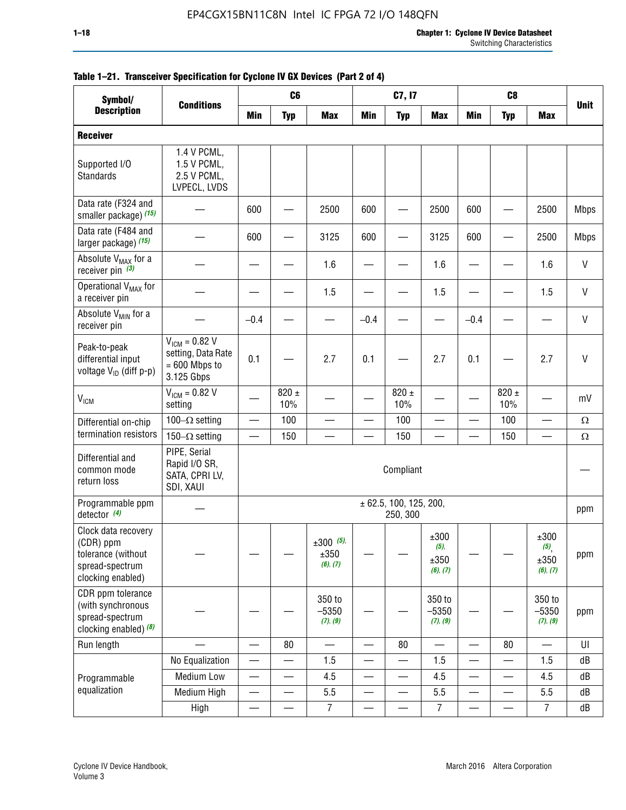| Symbol/                                                                                        |                                                                           |                          | C <sub>6</sub>   |                                    |                          | C7, I7                             |                                     |                          | C <sub>8</sub>           |                                                |              |
|------------------------------------------------------------------------------------------------|---------------------------------------------------------------------------|--------------------------|------------------|------------------------------------|--------------------------|------------------------------------|-------------------------------------|--------------------------|--------------------------|------------------------------------------------|--------------|
| <b>Description</b>                                                                             | <b>Conditions</b>                                                         | <b>Min</b>               | <b>Typ</b>       | <b>Max</b>                         | <b>Min</b>               | <b>Typ</b>                         | <b>Max</b>                          | <b>Min</b>               | <b>Typ</b>               | <b>Max</b>                                     | <b>Unit</b>  |
| <b>Receiver</b>                                                                                |                                                                           |                          |                  |                                    |                          |                                    |                                     |                          |                          |                                                |              |
| Supported I/O<br>Standards                                                                     | 1.4 V PCML,<br>1.5 V PCML,<br>2.5 V PCML,<br>LVPECL, LVDS                 |                          |                  |                                    |                          |                                    |                                     |                          |                          |                                                |              |
| Data rate (F324 and<br>smaller package) (15)                                                   |                                                                           | 600                      |                  | 2500                               | 600                      |                                    | 2500                                | 600                      |                          | 2500                                           | <b>Mbps</b>  |
| Data rate (F484 and<br>larger package) (15)                                                    |                                                                           | 600                      |                  | 3125                               | 600                      |                                    | 3125                                | 600                      | -                        | 2500                                           | <b>Mbps</b>  |
| Absolute V <sub>MAX</sub> for a<br>receiver pin $(3)$                                          |                                                                           |                          |                  | 1.6                                |                          |                                    | 1.6                                 |                          |                          | 1.6                                            | V            |
| Operational V <sub>MAX</sub> for<br>a receiver pin                                             |                                                                           |                          |                  | 1.5                                |                          |                                    | 1.5                                 |                          |                          | 1.5                                            | $\mathsf{V}$ |
| Absolute V <sub>MIN</sub> for a<br>receiver pin                                                |                                                                           | $-0.4$                   |                  |                                    | $-0.4$                   |                                    |                                     | $-0.4$                   |                          |                                                | V            |
| Peak-to-peak<br>differential input<br>voltage V <sub>ID</sub> (diff p-p)                       | $V_{ICM} = 0.82 V$<br>setting, Data Rate<br>$= 600$ Mbps to<br>3.125 Gbps | 0.1                      |                  | 2.7                                | 0.1                      |                                    | 2.7                                 | 0.1                      |                          | 2.7                                            | $\mathsf{V}$ |
| <b>V<sub>ICM</sub></b>                                                                         | $V_{IGM} = 0.82 V$<br>setting                                             |                          | 820 $\pm$<br>10% |                                    |                          | 820 $\pm$<br>10%                   |                                     |                          | $820 \pm$<br>10%         |                                                | mV           |
| Differential on-chip                                                                           | 100 $-\Omega$ setting                                                     |                          | 100              |                                    |                          | 100                                |                                     |                          | 100                      |                                                | $\Omega$     |
| termination resistors                                                                          | 150 $-\Omega$ setting                                                     |                          | 150              |                                    |                          | 150                                |                                     |                          | 150                      |                                                | Ω            |
| Differential and<br>common mode<br>return loss                                                 | PIPE, Serial<br>Rapid I/O SR,<br>SATA, CPRI LV,<br>SDI, XAUI              |                          |                  |                                    |                          | Compliant                          |                                     |                          |                          |                                                |              |
| Programmable ppm<br>detector $(4)$                                                             |                                                                           |                          |                  |                                    |                          | ± 62.5, 100, 125, 200,<br>250, 300 |                                     |                          |                          |                                                | ppm          |
| Clock data recovery<br>(CDR) ppm<br>tolerance (without<br>spread-spectrum<br>clocking enabled) |                                                                           |                          |                  | $\pm 300$ (5),<br>±350<br>(6), (7) |                          |                                    | ±300<br>$(5)$ ,<br>±350<br>(6), (7) |                          |                          | ±300<br>$(5)$ <sub>,</sub><br>±350<br>(6), (7) | ppm          |
| CDR ppm tolerance<br>(with synchronous<br>spread-spectrum<br>clocking enabled) (8)             |                                                                           |                          |                  | 350 to<br>$-5350$<br>(7), (9)      |                          |                                    | 350 to<br>$-5350$<br>(7), (9)       |                          |                          | 350 to<br>$-5350$<br>(7), (9)                  | ppm          |
| Run length                                                                                     |                                                                           |                          | 80               |                                    |                          | 80                                 |                                     |                          | 80                       |                                                | UI           |
|                                                                                                | No Equalization                                                           | $\overline{\phantom{0}}$ |                  | 1.5                                | $\overline{\phantom{0}}$ |                                    | 1.5                                 | $\overline{\phantom{0}}$ | $\overline{\phantom{0}}$ | 1.5                                            | dB           |
| Programmable                                                                                   | <b>Medium Low</b>                                                         |                          | —                | 4.5                                |                          | —                                  | 4.5                                 |                          | $\qquad \qquad$          | 4.5                                            | dB           |
| equalization                                                                                   | Medium High                                                               |                          |                  | 5.5                                |                          |                                    | 5.5                                 | $\overline{\phantom{0}}$ |                          | 5.5                                            | dB           |
|                                                                                                | High                                                                      |                          |                  | $\overline{7}$                     | —                        |                                    | $\boldsymbol{7}$                    | —                        |                          | $\overline{7}$                                 | dB           |

#### **Table 1–21. Transceiver Specification for Cyclone IV GX Devices (Part 2 of 4)**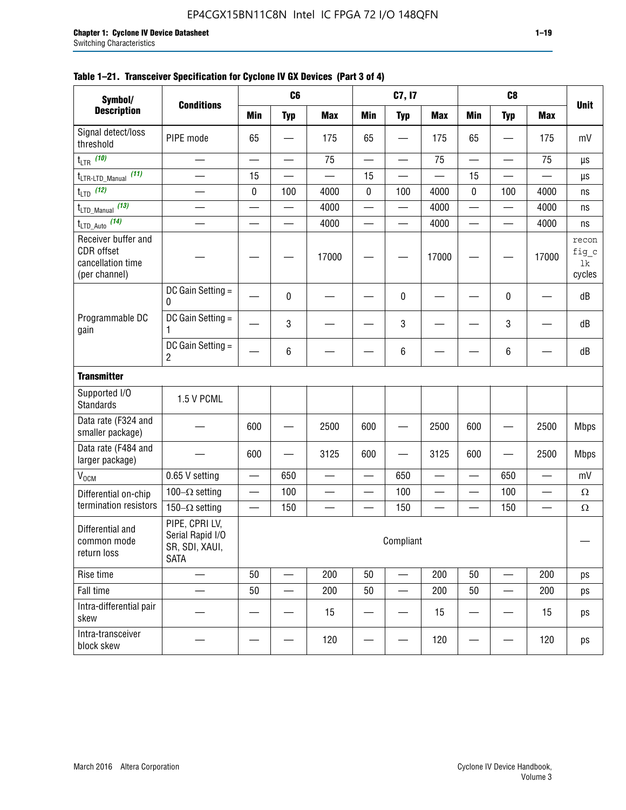| Symbol/<br><b>Description</b>                                           |                                                                                  |            | C <sub>6</sub>           |                          |                          | C7, I7                   |            |                          | C <sub>8</sub>           |                          |                                |
|-------------------------------------------------------------------------|----------------------------------------------------------------------------------|------------|--------------------------|--------------------------|--------------------------|--------------------------|------------|--------------------------|--------------------------|--------------------------|--------------------------------|
|                                                                         | <b>Conditions</b>                                                                | <b>Min</b> | <b>Typ</b>               | <b>Max</b>               | <b>Min</b>               | <b>Typ</b>               | <b>Max</b> | <b>Min</b>               | <b>Typ</b>               | <b>Max</b>               | <b>Unit</b>                    |
| Signal detect/loss<br>threshold                                         | PIPE mode                                                                        | 65         |                          | 175                      | 65                       |                          | 175        | 65                       |                          | 175                      | mV                             |
| $t_{LTR}$ (10)                                                          |                                                                                  |            | $\overline{\phantom{0}}$ | 75                       | $\overline{\phantom{0}}$ |                          | 75         | $\overline{\phantom{0}}$ |                          | 75                       | μs                             |
| (11)<br>t <sub>LTR-LTD_Manual</sub>                                     |                                                                                  | 15         |                          |                          | 15                       |                          |            | 15                       |                          |                          | μs                             |
| $t_{LTD}$ (12)                                                          |                                                                                  | 0          | 100                      | 4000                     | 0                        | 100                      | 4000       | $\mathbf 0$              | 100                      | 4000                     | ns                             |
| $t_{\text{LTD\_Manual}}$ (13)                                           |                                                                                  |            | —                        | 4000                     | —                        | —                        | 4000       | —                        | $\overline{\phantom{0}}$ | 4000                     | ns                             |
| $t_{\text{LTD\_Auto}}$ (14)                                             |                                                                                  |            |                          | 4000                     | $\overline{\phantom{0}}$ | $\overline{\phantom{0}}$ | 4000       | $\overline{\phantom{0}}$ | $\overline{\phantom{0}}$ | 4000                     | ns                             |
| Receiver buffer and<br>CDR offset<br>cancellation time<br>(per channel) |                                                                                  |            |                          | 17000                    |                          |                          | 17000      |                          |                          | 17000                    | recon<br>fig_c<br>lk<br>cycles |
|                                                                         | DC Gain Setting =<br>0                                                           |            | 0                        |                          |                          | 0                        |            |                          | 0                        |                          | dB                             |
| Programmable DC<br>gain                                                 | DC Gain Setting =<br>1                                                           |            | 3                        |                          |                          | 3                        |            |                          | 3                        |                          | dB                             |
|                                                                         | DC Gain Setting =<br>$\overline{c}$                                              |            | 6                        |                          |                          | 6                        |            |                          | 6                        |                          | dB                             |
| <b>Transmitter</b>                                                      |                                                                                  |            |                          |                          |                          |                          |            |                          |                          |                          |                                |
| Supported I/O<br><b>Standards</b>                                       | 1.5 V PCML                                                                       |            |                          |                          |                          |                          |            |                          |                          |                          |                                |
| Data rate (F324 and<br>smaller package)                                 |                                                                                  | 600        |                          | 2500                     | 600                      |                          | 2500       | 600                      |                          | 2500                     | <b>Mbps</b>                    |
| Data rate (F484 and<br>larger package)                                  |                                                                                  | 600        |                          | 3125                     | 600                      |                          | 3125       | 600                      |                          | 2500                     | <b>Mbps</b>                    |
| V <sub>OCM</sub>                                                        | 0.65 V setting                                                                   |            | 650                      |                          |                          | 650                      |            |                          | 650                      |                          | mV                             |
| Differential on-chip                                                    | 100 $-\Omega$ setting                                                            | —          | 100                      | $\overline{\phantom{0}}$ | $\overline{\phantom{0}}$ | 100                      |            | —                        | 100                      | —                        | $\Omega$                       |
| termination resistors                                                   | 150 $-\Omega$ setting                                                            |            | 150                      | $\qquad \qquad \qquad$   |                          | 150                      |            |                          | 150                      | $\overline{\phantom{0}}$ | $\Omega$                       |
| Differential and<br>common mode<br>return loss                          | PIPE, CPRI LV,<br>Serial Rapid I/O<br>Compliant<br>SR, SDI, XAUI,<br><b>SATA</b> |            |                          |                          |                          |                          |            |                          |                          |                          |                                |
| Rise time                                                               |                                                                                  | 50         |                          | 200                      | 50                       |                          | 200        | 50                       |                          | 200                      | ps                             |
| Fall time                                                               |                                                                                  | 50         |                          | 200                      | 50                       |                          | 200        | 50                       |                          | 200                      | ps                             |
| Intra-differential pair<br>skew                                         |                                                                                  |            |                          | 15                       |                          |                          | 15         |                          |                          | 15                       | ps                             |
| Intra-transceiver<br>block skew                                         |                                                                                  |            |                          | 120                      |                          |                          | 120        |                          |                          | 120                      | ps                             |

#### **Table 1–21. Transceiver Specification for Cyclone IV GX Devices (Part 3 of 4)**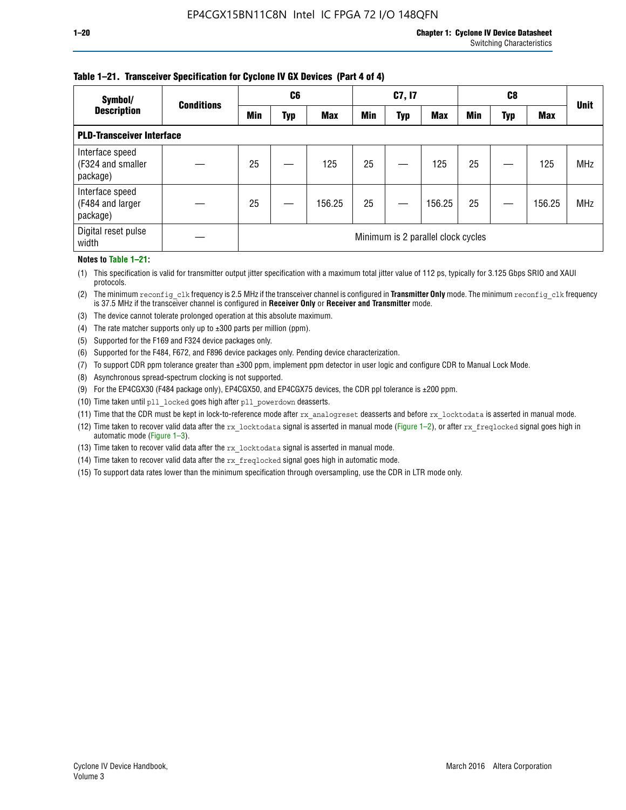#### **Table 1–21. Transceiver Specification for Cyclone IV GX Devices (Part 4 of 4)**

| Symbol/                                          | <b>Conditions</b> | C <sub>6</sub>                     |            |            | C7, I7 |     |            |            |     | <b>Unit</b> |            |
|--------------------------------------------------|-------------------|------------------------------------|------------|------------|--------|-----|------------|------------|-----|-------------|------------|
| <b>Description</b>                               |                   | <b>Min</b>                         | <b>Typ</b> | <b>Max</b> | Min    | Typ | <b>Max</b> | <b>Min</b> | Typ | <b>Max</b>  |            |
| <b>PLD-Transceiver Interface</b>                 |                   |                                    |            |            |        |     |            |            |     |             |            |
| Interface speed<br>(F324 and smaller<br>package) |                   | 25                                 |            | 125        | 25     |     | 125        | 25         |     | 125         | <b>MHz</b> |
| Interface speed<br>(F484 and larger<br>package)  |                   | 25                                 |            | 156.25     | 25     |     | 156.25     | 25         |     | 156.25      | <b>MHz</b> |
| Digital reset pulse<br>width                     |                   | Minimum is 2 parallel clock cycles |            |            |        |     |            |            |     |             |            |

#### **Notes to Table 1–21:**

(1) This specification is valid for transmitter output jitter specification with a maximum total jitter value of 112 ps, typically for 3.125 Gbps SRIO and XAUI protocols.

(2) The minimum reconfig\_clk frequency is 2.5 MHz if the transceiver channel is configured in **Transmitter Only** mode. The minimum reconfig\_clk frequency is 37.5 MHz if the transceiver channel is configured in **Receiver Only** or **Receiver and Transmitter** mode.

(3) The device cannot tolerate prolonged operation at this absolute maximum.

- (4) The rate matcher supports only up to  $\pm 300$  parts per million (ppm).
- (5) Supported for the F169 and F324 device packages only.
- (6) Supported for the F484, F672, and F896 device packages only. Pending device characterization.
- (7) To support CDR ppm tolerance greater than ±300 ppm, implement ppm detector in user logic and configure CDR to Manual Lock Mode.
- (8) Asynchronous spread-spectrum clocking is not supported.
- (9) For the EP4CGX30 (F484 package only), EP4CGX50, and EP4CGX75 devices, the CDR ppl tolerance is ±200 ppm.
- (10) Time taken until pll\_locked goes high after pll\_powerdown deasserts.
- (11) Time that the CDR must be kept in lock-to-reference mode after rx analogreset deasserts and before rx locktodata is asserted in manual mode.

(12) Time taken to recover valid data after the rx locktodata signal is asserted in manual mode (Figure 1–2), or after rx freqlocked signal goes high in automatic mode (Figure 1–3).

(13) Time taken to recover valid data after the rx locktodata signal is asserted in manual mode.

- (14) Time taken to recover valid data after the rx\_freqlocked signal goes high in automatic mode.
- (15) To support data rates lower than the minimum specification through oversampling, use the CDR in LTR mode only.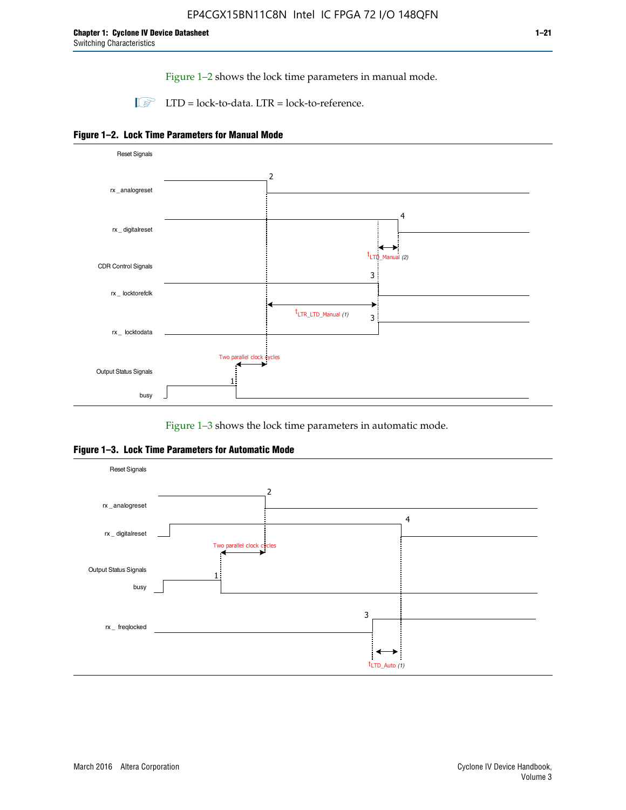Figure 1–2 shows the lock time parameters in manual mode.

 $\Box$  LTD = lock-to-data. LTR = lock-to-reference.





Figure 1–3 shows the lock time parameters in automatic mode.

**Figure 1–3. Lock Time Parameters for Automatic Mode**

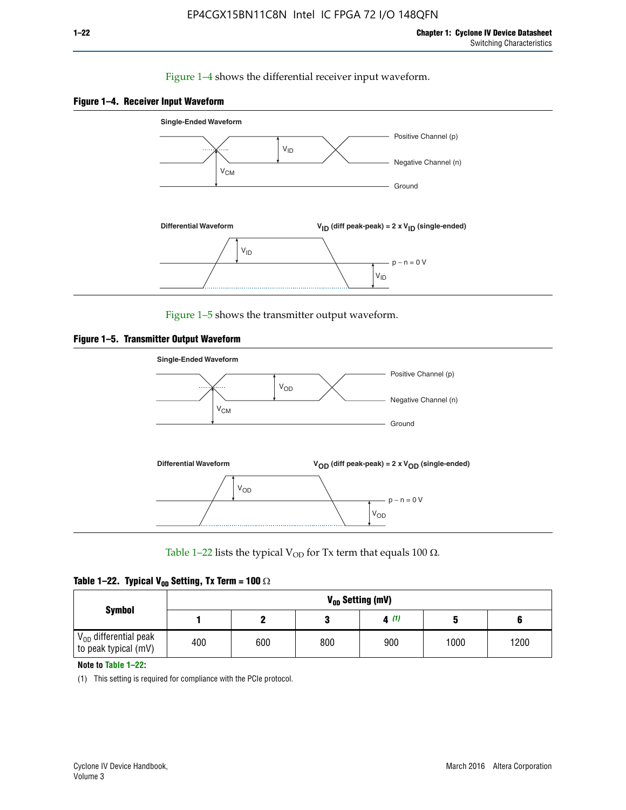#### Figure 1–4 shows the differential receiver input waveform.





Figure 1–5 shows the transmitter output waveform.





Table 1–22 lists the typical V<sub>OD</sub> for Tx term that equals 100  $\Omega$ .

|  |  | Table 1–22. Typical V <sub>0D</sub> Setting, Tx Term = 100 $\Omega$ |  |  |
|--|--|---------------------------------------------------------------------|--|--|
|--|--|---------------------------------------------------------------------|--|--|

|                                                        |     |     |     | V <sub>on</sub> Setting (mV) |      |      |
|--------------------------------------------------------|-----|-----|-----|------------------------------|------|------|
| <b>Symbol</b>                                          |     |     |     | 4(1)                         |      |      |
| $\rm V_{OD}$ differential peak<br>to peak typical (mV) | 400 | 600 | 800 | 900                          | 1000 | 1200 |

**Note to Table 1–22:**

(1) This setting is required for compliance with the PCIe protocol.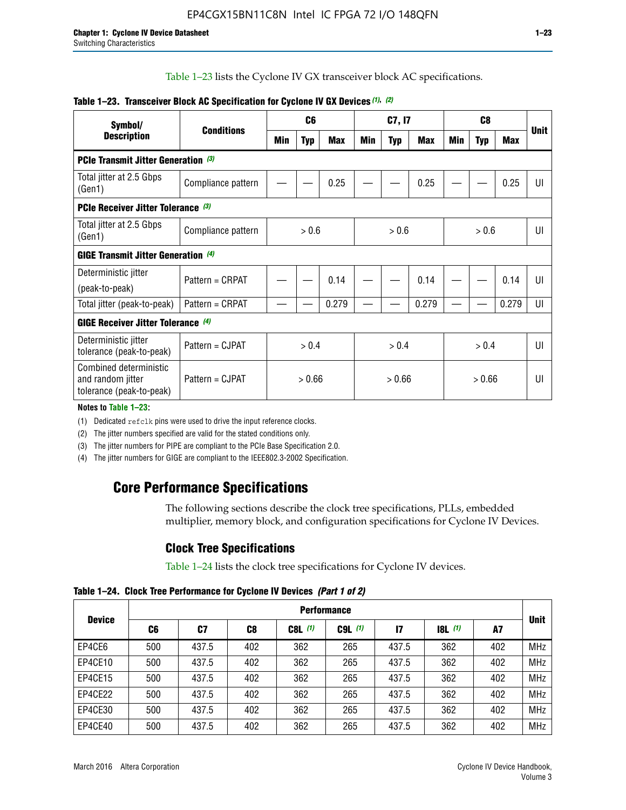Table 1–23 lists the Cyclone IV GX transceiver block AC specifications.

| Symbol/                                                                 |                    |        | C <sub>6</sub> |            | C7, I7 |            |            | C <sub>8</sub> |            |       | <b>Unit</b> |
|-------------------------------------------------------------------------|--------------------|--------|----------------|------------|--------|------------|------------|----------------|------------|-------|-------------|
| <b>Description</b>                                                      | <b>Conditions</b>  | Min    | <b>Typ</b>     | <b>Max</b> | Min    | <b>Typ</b> | <b>Max</b> | Min            | <b>Typ</b> | Max   |             |
| <b>PCIe Transmit Jitter Generation</b> (3)                              |                    |        |                |            |        |            |            |                |            |       |             |
| Total jitter at 2.5 Gbps<br>(Gen1)                                      | Compliance pattern |        |                | 0.25       |        |            | 0.25       |                |            | 0.25  | UI          |
| <b>PCIe Receiver Jitter Tolerance (3)</b>                               |                    |        |                |            |        |            |            |                |            |       |             |
| Total jitter at 2.5 Gbps<br>(Gen1)                                      | Compliance pattern |        | > 0.6          |            |        | > 0.6      |            |                | > 0.6      |       | UI          |
| <b>GIGE Transmit Jitter Generation (4)</b>                              |                    |        |                |            |        |            |            |                |            |       |             |
| Deterministic jitter<br>(peak-to-peak)                                  | Pattern = CRPAT    |        |                | 0.14       |        |            | 0.14       |                |            | 0.14  | UI          |
| Total jitter (peak-to-peak)                                             | Pattern = CRPAT    |        |                | 0.279      |        |            | 0.279      |                |            | 0.279 | UI          |
| <b>GIGE Receiver Jitter Tolerance (4)</b>                               |                    |        |                |            |        |            |            |                |            |       |             |
| Deterministic jitter<br>tolerance (peak-to-peak)                        | Pattern = CJPAT    |        | > 0.4          |            | > 0.4  |            |            | > 0.4          |            |       | UI          |
| Combined deterministic<br>and random jitter<br>tolerance (peak-to-peak) | Pattern = CJPAT    | > 0.66 |                | > 0.66     |        |            | > 0.66     |                |            | UI    |             |

#### **Table 1–23. Transceiver Block AC Specification for Cyclone IV GX Devices** *(1)***,** *(2)*

**Notes to Table 1–23:**

(1) Dedicated refclk pins were used to drive the input reference clocks.

(2) The jitter numbers specified are valid for the stated conditions only.

(3) The jitter numbers for PIPE are compliant to the PCIe Base Specification 2.0.

(4) The jitter numbers for GIGE are compliant to the IEEE802.3-2002 Specification.

## **Core Performance Specifications**

The following sections describe the clock tree specifications, PLLs, embedded multiplier, memory block, and configuration specifications for Cyclone IV Devices.

## **Clock Tree Specifications**

Table 1–24 lists the clock tree specifications for Cyclone IV devices.

**Table 1–24. Clock Tree Performance for Cyclone IV Devices** *(Part 1 of 2)*

|               | <b>Performance</b> |       |     |           |             |       |                  |     |             |  |  |  |
|---------------|--------------------|-------|-----|-----------|-------------|-------|------------------|-----|-------------|--|--|--|
| <b>Device</b> | C6                 | C7    | C8  | $C8L$ (1) | $C9L$ $(1)$ | 17    | <b>18L</b> $(1)$ | A7  | <b>Unit</b> |  |  |  |
| EP4CE6        | 500                | 437.5 | 402 | 362       | 265         | 437.5 | 362              | 402 | <b>MHz</b>  |  |  |  |
| EP4CE10       | 500                | 437.5 | 402 | 362       | 265         | 437.5 | 362              | 402 | <b>MHz</b>  |  |  |  |
| EP4CE15       | 500                | 437.5 | 402 | 362       | 265         | 437.5 | 362              | 402 | <b>MHz</b>  |  |  |  |
| EP4CE22       | 500                | 437.5 | 402 | 362       | 265         | 437.5 | 362              | 402 | <b>MHz</b>  |  |  |  |
| EP4CE30       | 500                | 437.5 | 402 | 362       | 265         | 437.5 | 362              | 402 | <b>MHz</b>  |  |  |  |
| EP4CE40       | 500                | 437.5 | 402 | 362       | 265         | 437.5 | 362              | 402 | <b>MHz</b>  |  |  |  |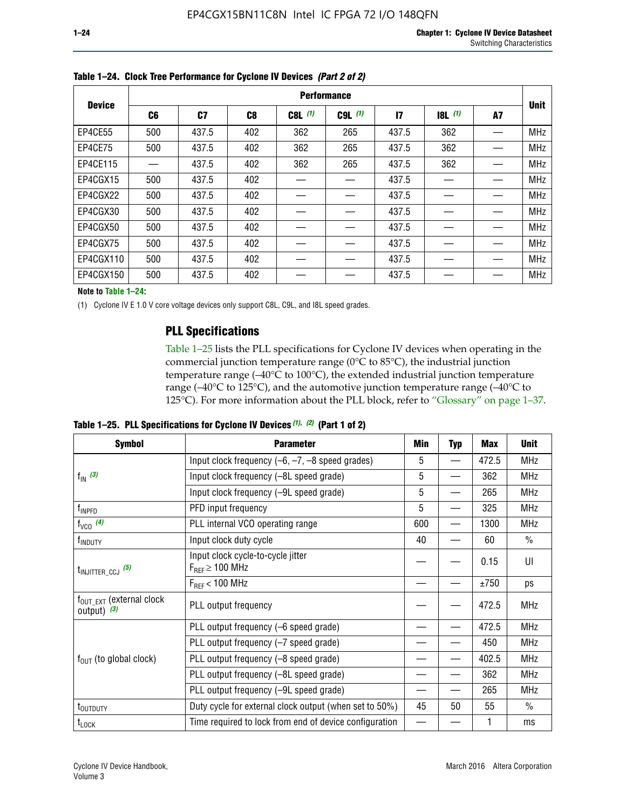|               |                |       |                |           | <b>Performance</b> |              |       |    |             |
|---------------|----------------|-------|----------------|-----------|--------------------|--------------|-------|----|-------------|
| <b>Device</b> | C <sub>6</sub> | C7    | C <sub>8</sub> | $C8L$ (1) | $C9L$ $(1)$        | $\mathbf{I}$ | 8L(1) | A7 | <b>Unit</b> |
| EP4CE55       | 500            | 437.5 | 402            | 362       | 265                | 437.5        | 362   |    | <b>MHz</b>  |
| EP4CE75       | 500            | 437.5 | 402            | 362       | 265                | 437.5        | 362   |    | <b>MHz</b>  |
| EP4CE115      |                | 437.5 | 402            | 362       | 265                | 437.5        | 362   |    | <b>MHz</b>  |
| EP4CGX15      | 500            | 437.5 | 402            |           |                    | 437.5        |       |    | <b>MHz</b>  |
| EP4CGX22      | 500            | 437.5 | 402            |           |                    | 437.5        |       |    | <b>MHz</b>  |
| EP4CGX30      | 500            | 437.5 | 402            |           |                    | 437.5        |       |    | <b>MHz</b>  |
| EP4CGX50      | 500            | 437.5 | 402            |           |                    | 437.5        |       |    | <b>MHz</b>  |
| EP4CGX75      | 500            | 437.5 | 402            |           |                    | 437.5        |       |    | <b>MHz</b>  |
| EP4CGX110     | 500            | 437.5 | 402            |           |                    | 437.5        |       |    | <b>MHz</b>  |
| EP4CGX150     | 500            | 437.5 | 402            |           |                    | 437.5        |       |    | <b>MHz</b>  |

**Table 1–24. Clock Tree Performance for Cyclone IV Devices** *(Part 2 of 2)*

**Note to Table 1–24:**

(1) Cyclone IV E 1.0 V core voltage devices only support C8L, C9L, and I8L speed grades.

### **PLL Specifications**

Table 1–25 lists the PLL specifications for Cyclone IV devices when operating in the commercial junction temperature range (0°C to 85°C), the industrial junction temperature range (–40°C to 100°C), the extended industrial junction temperature range (–40°C to 125°C), and the automotive junction temperature range (–40°C to 125°C). For more information about the PLL block, refer to "Glossary" on page 1–37.

**Table 1–25. PLL Specifications for Cyclone IV Devices** *(1), (2)* **(Part 1 of 2)**

| <b>Symbol</b>                                          | <b>Parameter</b>                                            | Min | <b>Typ</b>               | Max   | <b>Unit</b>   |
|--------------------------------------------------------|-------------------------------------------------------------|-----|--------------------------|-------|---------------|
|                                                        | Input clock frequency $(-6, -7, -8$ speed grades)           | 5   | $\overline{\phantom{0}}$ | 472.5 | <b>MHz</b>    |
| $f_{\text{IN}}(3)$                                     | Input clock frequency (-8L speed grade)                     | 5   |                          | 362   | <b>MHz</b>    |
|                                                        | Input clock frequency (-9L speed grade)                     | 5   |                          | 265   | <b>MHz</b>    |
| $f_{\mathsf{INPFD}}$                                   | PFD input frequency                                         | 5   |                          | 325   | <b>MHz</b>    |
| $f_{VCO}$ (4)                                          | PLL internal VCO operating range                            | 600 | —                        | 1300  | <b>MHz</b>    |
| f <sub>INDUTY</sub>                                    | Input clock duty cycle                                      | 40  |                          | 60    | $\frac{0}{0}$ |
| $t_{\text{INJITTER\_CCJ}}$ (5)                         | Input clock cycle-to-cycle jitter<br>$F_{REF} \geq 100$ MHz |     |                          | 0.15  | UI            |
|                                                        | $F_{REF}$ < 100 MHz                                         |     |                          | ±750  | ps            |
| $f_{\text{OUT\_EXT}}$ (external clock<br>output) $(3)$ | PLL output frequency                                        |     |                          | 472.5 | <b>MHz</b>    |
|                                                        | PLL output frequency (-6 speed grade)                       |     |                          | 472.5 | <b>MHz</b>    |
|                                                        | PLL output frequency (-7 speed grade)                       |     |                          | 450   | <b>MHz</b>    |
| $f_{OUT}$ (to global clock)                            | PLL output frequency (-8 speed grade)                       |     |                          | 402.5 | <b>MHz</b>    |
|                                                        | PLL output frequency (-8L speed grade)                      |     |                          | 362   | <b>MHz</b>    |
|                                                        | PLL output frequency (-9L speed grade)                      |     |                          | 265   | <b>MHz</b>    |
| t <sub>outputy</sub>                                   | Duty cycle for external clock output (when set to 50%)      | 45  | 50                       | 55    | $\frac{0}{0}$ |
| $t_{\text{LOCK}}$                                      | Time required to lock from end of device configuration      |     |                          | 1     | ms            |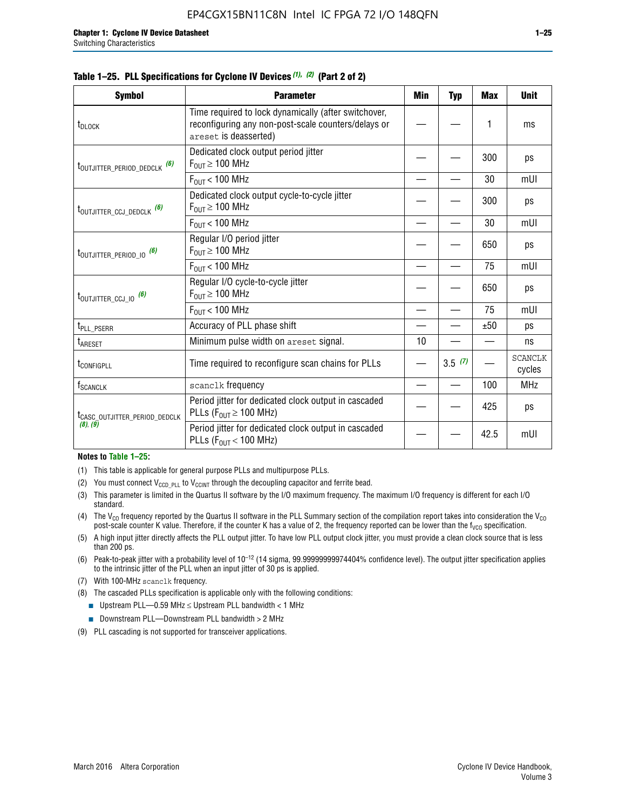|  |  | Table 1–25. PLL Specifications for Cyclone IV Devices $(1)$ , $(2)$ (Part 2 of 2) |  |  |
|--|--|-----------------------------------------------------------------------------------|--|--|
|--|--|-----------------------------------------------------------------------------------|--|--|

| <b>Symbol</b>                             | <b>Parameter</b>                                                                                                                     | Min | Typ    | <b>Max</b> | <b>Unit</b>              |
|-------------------------------------------|--------------------------------------------------------------------------------------------------------------------------------------|-----|--------|------------|--------------------------|
| t <sub>DLOCK</sub>                        | Time required to lock dynamically (after switchover,<br>reconfiguring any non-post-scale counters/delays or<br>areset is deasserted) |     |        | 1          | ms                       |
| t <sub>outjitter_period_dedclk</sub> (6)  | Dedicated clock output period jitter<br>$F_{OIII} \geq 100$ MHz                                                                      |     |        | 300        | ps                       |
|                                           | $F_{\text{OUT}}$ < 100 MHz                                                                                                           |     |        | 30         | mUI                      |
| t <sub>outjitter_ccj_dedclk</sub> (6)     | Dedicated clock output cycle-to-cycle jitter<br>$F_{OUT} \geq 100$ MHz                                                               |     |        | 300        | ps                       |
|                                           | $F_{OUT}$ < 100 MHz                                                                                                                  |     |        | 30         | mUI                      |
| t <sub>outjitter_period_io</sub> (6)      | Regular I/O period jitter<br>$F_{OUT} \geq 100$ MHz                                                                                  |     |        | 650        | ps                       |
|                                           | $F_{OUT}$ < 100 MHz                                                                                                                  |     |        | 75         | mUI                      |
| t <sub>outjitter_ccj_io</sub> (6)         | Regular I/O cycle-to-cycle jitter<br>$F_{OUT} \geq 100$ MHz                                                                          |     |        | 650        | ps                       |
|                                           | $F_{\text{OUT}}$ < 100 MHz                                                                                                           |     |        | 75         | mUI                      |
| t <sub>PLL_PSERR</sub>                    | Accuracy of PLL phase shift                                                                                                          |     |        | ±50        | ps                       |
| t <sub>ARESET</sub>                       | Minimum pulse width on areset signal.                                                                                                | 10  |        |            | ns                       |
| t <sub>configpll</sub>                    | Time required to reconfigure scan chains for PLLs                                                                                    |     | 3.5(7) |            | <b>SCANCLK</b><br>cycles |
| $f_{\text{SCANCLK}}$                      | scanclk frequency                                                                                                                    |     |        | 100        | <b>MHz</b>               |
| t <sub>CASC_OUTJITTER_PERIOD_DEDCLK</sub> | Period jitter for dedicated clock output in cascaded<br>PLLs ( $F_{OUT} \ge 100$ MHz)                                                |     |        | 425        | ps                       |
| (8), (9)                                  | Period jitter for dedicated clock output in cascaded<br>PLLs ( $F_{OUI}$ < 100 MHz)                                                  |     |        | 42.5       | mUI                      |

#### **Notes to Table 1–25:**

- (1) This table is applicable for general purpose PLLs and multipurpose PLLs.
- (2) You must connect  $V_{CCD-PLL}$  to  $V_{CCINT}$  through the decoupling capacitor and ferrite bead.
- (3) This parameter is limited in the Quartus II software by the I/O maximum frequency. The maximum I/O frequency is different for each I/O standard.
- (4) The  $V_{CO}$  frequency reported by the Quartus II software in the PLL Summary section of the compilation report takes into consideration the  $V_{CO}$ post-scale counter K value. Therefore, if the counter K has a value of 2, the frequency reported can be lower than the f<sub>VCO</sub> specification.
- (5) A high input jitter directly affects the PLL output jitter. To have low PLL output clock jitter, you must provide a clean clock source that is less than 200 ps.
- (6) Peak-to-peak jitter with a probability level of 10–12 (14 sigma, 99.99999999974404% confidence level). The output jitter specification applies to the intrinsic jitter of the PLL when an input jitter of 30 ps is applied.
- (7) With 100-MHz scanclk frequency.
- (8) The cascaded PLLs specification is applicable only with the following conditions:
	- **■** Upstream PLL—0.59 MHz  $\leq$  Upstream PLL bandwidth  $<$  1 MHz
	- Downstream PLL—Downstream PLL bandwidth > 2 MHz
- (9) PLL cascading is not supported for transceiver applications.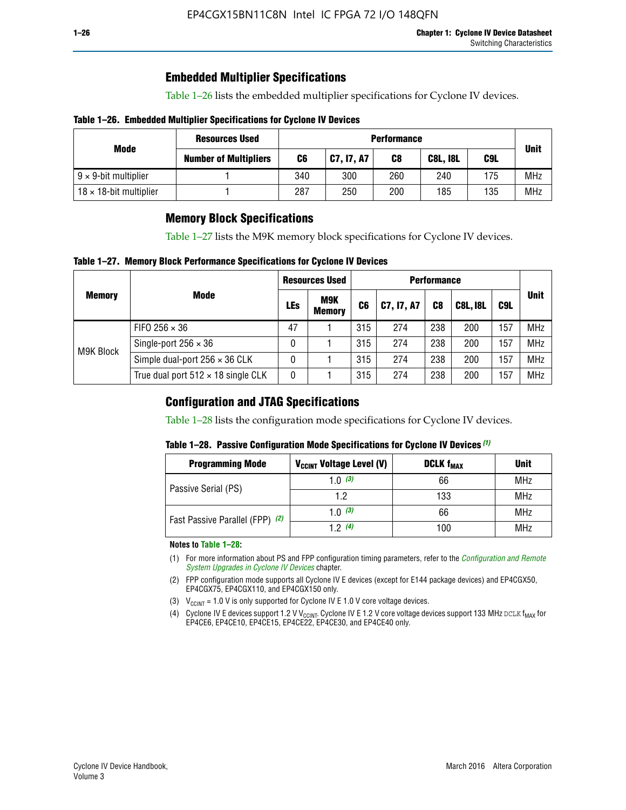## **Embedded Multiplier Specifications**

Table 1–26 lists the embedded multiplier specifications for Cyclone IV devices.

#### **Table 1–26. Embedded Multiplier Specifications for Cyclone IV Devices**

|                                | <b>Resources Used</b>        |     |            | <b>Performance</b> |                 |     |             |
|--------------------------------|------------------------------|-----|------------|--------------------|-----------------|-----|-------------|
| Mode                           | <b>Number of Multipliers</b> | C6  | C7, I7, A7 | C8                 | <b>C8L, I8L</b> | C9L | <b>Unit</b> |
| $9 \times 9$ -bit multiplier   |                              | 340 | 300        | 260                | 240             | 175 | <b>MHz</b>  |
| $18 \times 18$ -bit multiplier |                              | 287 | 250        | 200                | 185             | 135 | <b>MHz</b>  |

### **Memory Block Specifications**

Table 1–27 lists the M9K memory block specifications for Cyclone IV devices.

#### **Table 1–27. Memory Block Performance Specifications for Cyclone IV Devices**

|               |                                           |    | <b>Resources Used</b>       |                |            |                |                 |     |             |
|---------------|-------------------------------------------|----|-----------------------------|----------------|------------|----------------|-----------------|-----|-------------|
| <b>Memory</b> | <b>Mode</b>                               |    | <b>M9K</b><br><b>Memory</b> | C <sub>6</sub> | C7, I7, A7 | C <sub>8</sub> | <b>C8L, I8L</b> | C9L | <b>Unit</b> |
|               | FIFO 256 $\times$ 36                      | 47 |                             | 315            | 274        | 238            | 200             | 157 | <b>MHz</b>  |
| M9K Block     | Single-port $256 \times 36$               | 0  |                             | 315            | 274        | 238            | 200             | 157 | <b>MHz</b>  |
|               | Simple dual-port $256 \times 36$ CLK      | 0  |                             | 315            | 274        | 238            | 200             | 157 | <b>MHz</b>  |
|               | True dual port $512 \times 18$ single CLK | 0  |                             | 315            | 274        | 238            | 200             | 157 | <b>MHz</b>  |

### **Configuration and JTAG Specifications**

Table 1–28 lists the configuration mode specifications for Cyclone IV devices.

#### **Table 1–28. Passive Configuration Mode Specifications for Cyclone IV Devices** *(1)*

| <b>Programming Mode</b>         | V <sub>CCINT</sub> Voltage Level (V) | <b>DCLK f<sub>MAX</sub></b> | <b>Unit</b> |
|---------------------------------|--------------------------------------|-----------------------------|-------------|
| Passive Serial (PS)             | 1.0 $(3)$                            | 66                          | MHz         |
|                                 | 1.2                                  | 133                         | MHz         |
| Fast Passive Parallel (FPP) (2) | 1.0 $(3)$                            | 66                          | <b>MHz</b>  |
|                                 | 12(4)                                | 100                         | <b>MHz</b>  |

#### **Notes to Table 1–28:**

- (1) For more information about PS and FPP configuration timing parameters, refer to the *[Configuration and Remote](http://www.altera.com/literature/hb/cyclone-iv/cyiv-51008.pdf)  [System Upgrades in Cyclone IV Devices](http://www.altera.com/literature/hb/cyclone-iv/cyiv-51008.pdf)* chapter.
- (2) FPP configuration mode supports all Cyclone IV E devices (except for E144 package devices) and EP4CGX50, EP4CGX75, EP4CGX110, and EP4CGX150 only.
- (3)  $V_{CCMT}$  = 1.0 V is only supported for Cyclone IV E 1.0 V core voltage devices.
- (4) Cyclone IV E devices support 1.2 V V<sub>CCINT</sub>. Cyclone IV E 1.2 V core voltage devices support 133 MHz DCLK f<sub>MAX</sub> for EP4CE6, EP4CE10, EP4CE15, EP4CE22, EP4CE30, and EP4CE40 only.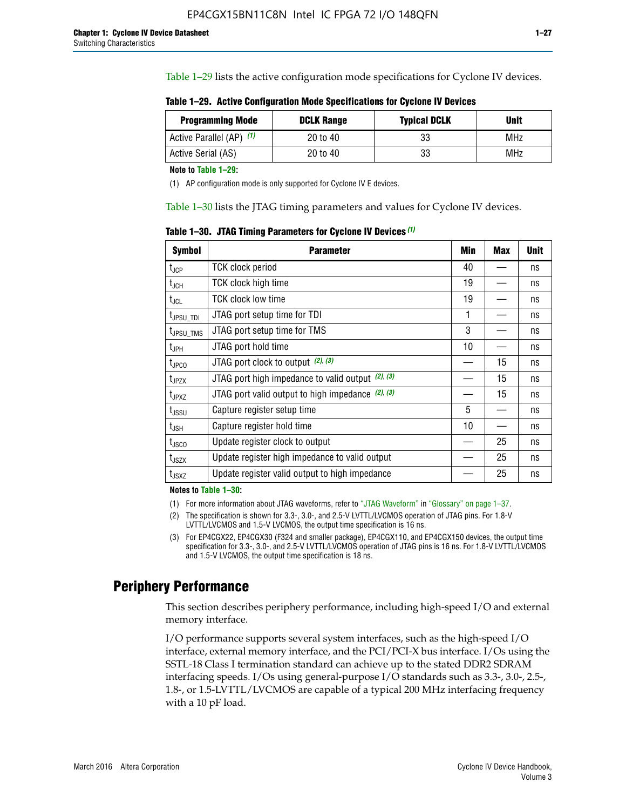Table 1–29 lists the active configuration mode specifications for Cyclone IV devices.

**Table 1–29. Active Configuration Mode Specifications for Cyclone IV Devices**

| <b>Programming Mode</b>  | <b>DCLK Range</b> | <b>Typical DCLK</b> | Unit |
|--------------------------|-------------------|---------------------|------|
| Active Parallel (AP) (1) | 20 to 40          | 33                  | MHz  |
| Active Serial (AS)       | 20 to 40          | 33                  | MHz  |

**Note to Table 1–29:**

(1) AP configuration mode is only supported for Cyclone IV E devices.

Table 1–30 lists the JTAG timing parameters and values for Cyclone IV devices.

**Table 1–30. JTAG Timing Parameters for Cyclone IV Devices** *(1)*

| Symbol                       | <b>Parameter</b>                                       | <b>Min</b> | <b>Max</b> | <b>Unit</b> |
|------------------------------|--------------------------------------------------------|------------|------------|-------------|
| t <sub>JCP</sub>             | <b>TCK clock period</b>                                | 40         |            | ns          |
| t <sub>JCH</sub>             | <b>TCK clock high time</b>                             | 19         |            | ns          |
| $t_{JCL}$                    | TCK clock low time                                     | 19         |            | ns          |
| t <sub>JPSU_TDI</sub>        | JTAG port setup time for TDI                           | 1          |            | ns          |
| t <sub>JPSU_TMS</sub>        | JTAG port setup time for TMS                           | 3          |            | ns          |
| t <sub>JPH</sub>             | JTAG port hold time                                    | 10         |            | ns          |
| t <sub>JPCO</sub>            | JTAG port clock to output $(2)$ , $(3)$                |            | 15         | ns          |
| t <sub>JPZX</sub>            | JTAG port high impedance to valid output $(2)$ , $(3)$ |            | 15         | ns          |
| t <sub>JPXZ</sub>            | JTAG port valid output to high impedance $(2)$ , $(3)$ |            | 15         | ns          |
| ${\rm t}_{\rm JSSU}$         | Capture register setup time                            | 5          |            | ns          |
| $\mathsf{t}_{\mathsf{JSH}}$  | Capture register hold time                             | 10         |            | ns          |
| $t_{\rm JSCO}$               | Update register clock to output                        |            | 25         | ns          |
| $t_{\footnotesize \rm JSZX}$ | Update register high impedance to valid output         |            | 25         | ns          |
| t <sub>JSXZ</sub>            | Update register valid output to high impedance         |            | 25         | ns          |

**Notes to Table 1–30:**

(1) For more information about JTAG waveforms, refer to "JTAG Waveform" in "Glossary" on page 1–37.

(2) The specification is shown for 3.3-, 3.0-, and 2.5-V LVTTL/LVCMOS operation of JTAG pins. For 1.8-V LVTTL/LVCMOS and 1.5-V LVCMOS, the output time specification is 16 ns.

(3) For EP4CGX22, EP4CGX30 (F324 and smaller package), EP4CGX110, and EP4CGX150 devices, the output time specification for 3.3-, 3.0-, and 2.5-V LVTTL/LVCMOS operation of JTAG pins is 16 ns. For 1.8-V LVTTL/LVCMOS and 1.5-V LVCMOS, the output time specification is 18 ns.

## **Periphery Performance**

This section describes periphery performance, including high-speed I/O and external memory interface.

I/O performance supports several system interfaces, such as the high-speed I/O interface, external memory interface, and the PCI/PCI-X bus interface. I/Os using the SSTL-18 Class I termination standard can achieve up to the stated DDR2 SDRAM interfacing speeds. I/Os using general-purpose I/O standards such as 3.3-, 3.0-, 2.5-, 1.8-, or 1.5-LVTTL/LVCMOS are capable of a typical 200 MHz interfacing frequency with a 10 pF load.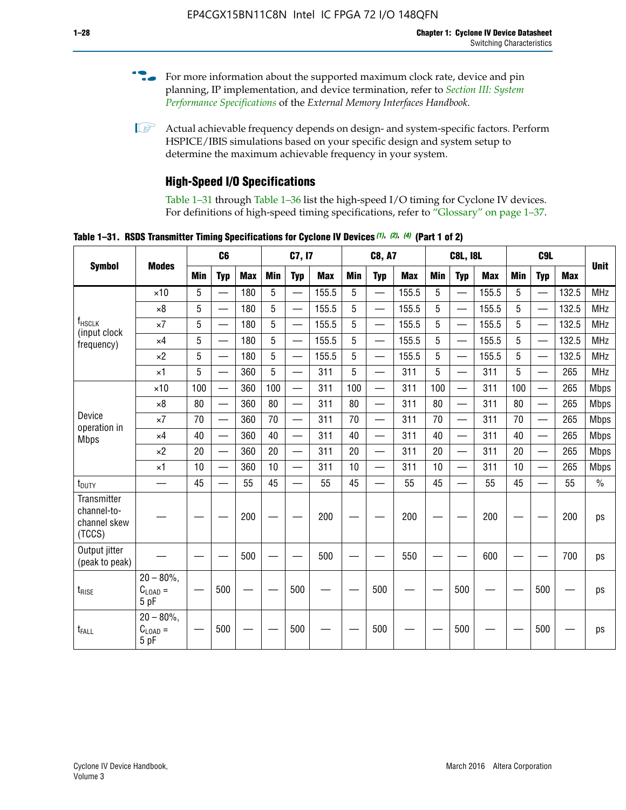- For more information about the supported maximum clock rate, device and pin planning, IP implementation, and device termination, refer to *[Section III: System](http://www.altera.com/literature/hb/external-memory/emi_intro_specs.pdf)  [Performance Specifications](http://www.altera.com/literature/hb/external-memory/emi_intro_specs.pdf)* of the *External Memory Interfaces Handbook*.
- **1 Actual achievable frequency depends on design- and system-specific factors. Perform** HSPICE/IBIS simulations based on your specific design and system setup to determine the maximum achievable frequency in your system.

### **High-Speed I/O Specifications**

Table 1–31 through Table 1–36 list the high-speed I/O timing for Cyclone IV devices. For definitions of high-speed timing specifications, refer to "Glossary" on page 1–37.

**Table 1–31. RSDS Transmitter Timing Specifications for Cyclone IV Devices** *(1)***,** *(2)***,** *(4)* **(Part 1 of 2)**

|                                                      |                                     |            | C <sub>6</sub>           |            | C7, I7     |                          |            | <b>C8, A7</b>   |                          |            | <b>C8L, I8L</b> |                          |            |            |                          |            |             |
|------------------------------------------------------|-------------------------------------|------------|--------------------------|------------|------------|--------------------------|------------|-----------------|--------------------------|------------|-----------------|--------------------------|------------|------------|--------------------------|------------|-------------|
| <b>Symbol</b>                                        | <b>Modes</b>                        | <b>Min</b> | <b>Typ</b>               | <b>Max</b> | <b>Min</b> | <b>Typ</b>               | <b>Max</b> | <b>Min</b>      | <b>Typ</b>               | <b>Max</b> | <b>Min</b>      | <b>Typ</b>               | <b>Max</b> | <b>Min</b> | <b>Typ</b>               | <b>Max</b> | <b>Unit</b> |
|                                                      | $\times$ 10                         | 5          |                          | 180        | 5          | —                        | 155.5      | 5               | $\overline{\phantom{0}}$ | 155.5      | 5               |                          | 155.5      | 5          |                          | 132.5      | <b>MHz</b>  |
|                                                      | $\times 8$                          | 5          |                          | 180        | 5          |                          | 155.5      | 5               | $\overline{\phantom{0}}$ | 155.5      | 5               |                          | 155.5      | 5          |                          | 132.5      | <b>MHz</b>  |
| f <sub>HSCLK</sub><br>(input clock                   | $\times 7$                          | 5          |                          | 180        | 5          |                          | 155.5      | 5               | $\overline{\phantom{0}}$ | 155.5      | 5               |                          | 155.5      | 5          |                          | 132.5      | <b>MHz</b>  |
| frequency)                                           | $\times$ 4                          | 5          |                          | 180        | 5          | $\overline{\phantom{0}}$ | 155.5      | $5\phantom{.0}$ | $\overline{\phantom{0}}$ | 155.5      | 5               |                          | 155.5      | 5          | $\overline{\phantom{0}}$ | 132.5      | <b>MHz</b>  |
|                                                      | $\times 2$                          | 5          | $\equiv$                 | 180        | 5          | $\overline{\phantom{0}}$ | 155.5      | 5               | $\equiv$                 | 155.5      | 5               | $\equiv$                 | 155.5      | 5          | $\overline{\phantom{0}}$ | 132.5      | <b>MHz</b>  |
|                                                      | $\times$ 1                          | 5          |                          | 360        | 5          |                          | 311        | 5               | $\equiv$                 | 311        | 5               | $\overline{\phantom{0}}$ | 311        | 5          |                          | 265        | <b>MHz</b>  |
|                                                      | $\times$ 10                         | 100        |                          | 360        | 100        |                          | 311        | 100             | $\overline{\phantom{0}}$ | 311        | 100             | $\overline{\phantom{0}}$ | 311        | 100        |                          | 265        | <b>Mbps</b> |
|                                                      | $\times 8$                          | 80         | $\overline{\phantom{0}}$ | 360        | 80         |                          | 311        | 80              | $\overline{\phantom{0}}$ | 311        | 80              | $\overline{\phantom{0}}$ | 311        | 80         | $\equiv$                 | 265        | <b>Mbps</b> |
| Device<br>operation in                               | $\times 7$                          | 70         | $\overline{\phantom{0}}$ | 360        | 70         | $\overline{\phantom{0}}$ | 311        | 70              | $\overline{\phantom{0}}$ | 311        | 70              | $\overline{\phantom{0}}$ | 311        | 70         | $\overline{\phantom{0}}$ | 265        | <b>Mbps</b> |
| <b>Mbps</b>                                          | $\times$ 4                          | 40         | $\overline{\phantom{0}}$ | 360        | 40         | $\overline{\phantom{0}}$ | 311        | 40              |                          | 311        | 40              |                          | 311        | 40         | $\equiv$                 | 265        | <b>Mbps</b> |
|                                                      | $\times 2$                          | 20         | $\overline{\phantom{0}}$ | 360        | 20         |                          | 311        | 20              |                          | 311        | 20              |                          | 311        | 20         | $\overline{\phantom{0}}$ | 265        | <b>Mbps</b> |
|                                                      | $\times$ 1                          | 10         | $\overline{\phantom{0}}$ | 360        | 10         |                          | 311        | 10              |                          | 311        | 10              |                          | 311        | 10         | $\equiv$                 | 265        | <b>Mbps</b> |
| t <sub>DUTY</sub>                                    | —                                   | 45         |                          | 55         | 45         |                          | 55         | 45              | $\overline{\phantom{0}}$ | 55         | 45              |                          | 55         | 45         |                          | 55         | $\%$        |
| Transmitter<br>channel-to-<br>channel skew<br>(TCCS) |                                     |            |                          | 200        |            |                          | 200        |                 |                          | 200        |                 |                          | 200        |            |                          | 200        | ps          |
| Output jitter<br>(peak to peak)                      |                                     |            |                          | 500        |            |                          | 500        |                 |                          | 550        |                 |                          | 600        |            |                          | 700        | ps          |
| t <sub>rise</sub>                                    | $20 - 80\%$<br>$C_{LOAD} =$<br>5 pF |            | 500                      |            |            | 500                      |            |                 | 500                      |            |                 | 500                      |            |            | 500                      |            | ps          |
| t <sub>FALL</sub>                                    | $20 - 80\%$<br>$C_{LOAD} =$<br>5 pF |            | 500                      |            |            | 500                      |            |                 | 500                      |            |                 | 500                      |            |            | 500                      |            | ps          |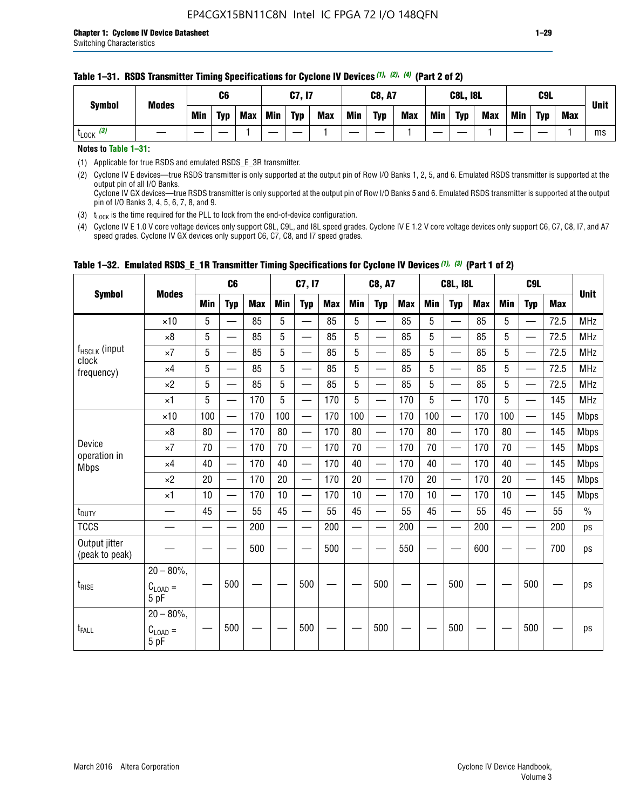#### **Table 1–31. RSDS Transmitter Timing Specifications for Cyclone IV Devices** *(1)***,** *(2)***,** *(4)* **(Part 2 of 2)**

**Notes to Table 1–31:**

(1) Applicable for true RSDS and emulated RSDS\_E\_3R transmitter.

(2) Cyclone IV E devices—true RSDS transmitter is only supported at the output pin of Row I/O Banks 1, 2, 5, and 6. Emulated RSDS transmitter is supported at the output pin of all I/O Banks. Cyclone IV GX devices—true RSDS transmitter is only supported at the output pin of Row I/O Banks 5 and 6. Emulated RSDS transmitter is supported at the output

pin of I/O Banks 3, 4, 5, 6, 7, 8, and 9.

(3)  $t_{\text{LOCK}}$  is the time required for the PLL to lock from the end-of-device configuration.

(4) Cyclone IV E 1.0 V core voltage devices only support C8L, C9L, and I8L speed grades. Cyclone IV E 1.2 V core voltage devices only support C6, C7, C8, I7, and A7 speed grades. Cyclone IV GX devices only support C6, C7, C8, and I7 speed grades.

|                                 |                                              |     | C <sub>6</sub>           |     | C7, I7     |                          |            | <b>C8, A7</b> |                                |     | <b>C8L, I8L</b> |                          |            |            | <b>Unit</b>              |            |               |
|---------------------------------|----------------------------------------------|-----|--------------------------|-----|------------|--------------------------|------------|---------------|--------------------------------|-----|-----------------|--------------------------|------------|------------|--------------------------|------------|---------------|
| <b>Symbol</b>                   | <b>Modes</b>                                 | Min | <b>Typ</b>               | Max | <b>Min</b> | <b>Typ</b>               | <b>Max</b> | <b>Min</b>    | <b>Typ</b>                     | Max | Min             | <b>Typ</b>               | <b>Max</b> | <b>Min</b> | <b>Typ</b>               | <b>Max</b> |               |
|                                 | $\times$ 10                                  | 5   | $\overline{\phantom{0}}$ | 85  | 5          | $\overline{\phantom{0}}$ | 85         | 5             | —                              | 85  | 5               | $\overline{\phantom{0}}$ | 85         | 5          |                          | 72.5       | <b>MHz</b>    |
|                                 | $\times 8$                                   | 5   | —                        | 85  | 5          | e e                      | 85         | 5             | —                              | 85  | 5               | $\overline{\phantom{0}}$ | 85         | 5          | —                        | 72.5       | <b>MHz</b>    |
| f <sub>HSCLK</sub> (input       | $\times 7$                                   | 5   | —                        | 85  | 5          | $\overline{\phantom{a}}$ | 85         | 5             | $\overline{\phantom{0}}$       | 85  | 5               | $\overline{\phantom{0}}$ | 85         | 5          |                          | 72.5       | <b>MHz</b>    |
| clock<br>frequency)             | $\times$ 4                                   | 5   | $\qquad \qquad$          | 85  | 5          | $\overline{\phantom{0}}$ | 85         | 5             | $\overline{\phantom{0}}$       | 85  | 5               | $\overline{\phantom{0}}$ | 85         | 5          |                          | 72.5       | <b>MHz</b>    |
|                                 | $\times 2$                                   | 5   | $\qquad \qquad$          | 85  | 5          | $\overline{\phantom{a}}$ | 85         | 5             | $\qquad \qquad$                | 85  | 5               | $\qquad \qquad$          | 85         | 5          | $\overline{\phantom{0}}$ | 72.5       | <b>MHz</b>    |
|                                 | $\times$ 1                                   | 5   | $\overline{\phantom{0}}$ | 170 | 5          |                          | 170        | 5             | $\overline{\phantom{0}}$       | 170 | 5               | $\overline{\phantom{0}}$ | 170        | 5          |                          | 145        | <b>MHz</b>    |
|                                 | $\times$ 10                                  | 100 | $\overline{\phantom{0}}$ | 170 | 100        | <u>in a</u>              | 170        | 100           | $\overline{\phantom{0}}$       | 170 | 100             |                          | 170        | 100        | $\qquad \qquad$          | 145        | <b>Mbps</b>   |
|                                 | $\times 8$                                   | 80  | $\overline{\phantom{0}}$ | 170 | 80         |                          | 170        | 80            | $\overline{\phantom{0}}$       | 170 | 80              |                          | 170        | 80         |                          | 145        | <b>Mbps</b>   |
| Device                          | $\times 7$                                   | 70  | $\qquad \qquad$          | 170 | 70         | $\qquad \qquad$          | 170        | 70            | $\qquad \qquad \longleftarrow$ | 170 | 70              | $\qquad \qquad$          | 170        | 70         |                          | 145        | <b>Mbps</b>   |
| operation in<br><b>Mbps</b>     | $\times$ 4                                   | 40  | $\qquad \qquad$          | 170 | 40         | —                        | 170        | 40            | $\overline{\phantom{0}}$       | 170 | 40              | $\overline{\phantom{0}}$ | 170        | 40         | —                        | 145        | <b>Mbps</b>   |
|                                 | $\times 2$                                   | 20  | $\overline{\phantom{0}}$ | 170 | 20         | $\overline{\phantom{0}}$ | 170        | 20            | $\overline{\phantom{0}}$       | 170 | 20              | $\overline{\phantom{0}}$ | 170        | 20         |                          | 145        | <b>Mbps</b>   |
|                                 | $\times$ 1                                   | 10  | $\overline{\phantom{0}}$ | 170 | 10         | $\overline{\phantom{0}}$ | 170        | 10            | $\overline{\phantom{0}}$       | 170 | 10              | $\overline{\phantom{0}}$ | 170        | 10         |                          | 145        | <b>Mbps</b>   |
| t <sub>DUTY</sub>               |                                              | 45  | $\overline{\phantom{0}}$ | 55  | 45         | $\sim$                   | 55         | 45            | —                              | 55  | 45              | $\overline{\phantom{0}}$ | 55         | 45         |                          | 55         | $\frac{0}{0}$ |
| <b>TCCS</b>                     |                                              |     |                          | 200 |            |                          | 200        | $\sim$        |                                | 200 |                 | $\overline{\phantom{0}}$ | 200        |            |                          | 200        | ps            |
| Output jitter<br>(peak to peak) |                                              |     |                          | 500 |            |                          | 500        |               |                                | 550 |                 |                          | 600        |            |                          | 700        | ps            |
| $t_{\text{RISE}}$               | $20 - 80\%$<br>$C_{LOAD} =$<br>5 pF          |     | 500                      |     |            | 500                      |            |               | 500                            |     |                 | 500                      |            |            | 500                      |            | ps            |
| t <sub>FALL</sub>               | $20 - 80\%$ ,<br>$C_{\text{LOAD}} =$<br>5 pF |     | 500                      |     |            | 500                      |            |               | 500                            |     |                 | 500                      |            |            | 500                      |            | ps            |

### **Table 1–32. Emulated RSDS\_E\_1R Transmitter Timing Specifications for Cyclone IV Devices** *(1), (3)* **(Part 1 of 2)**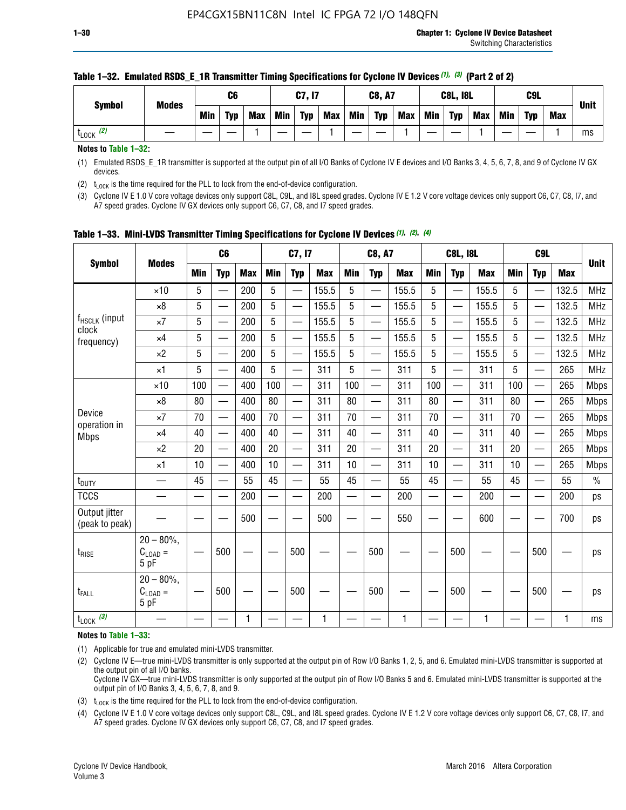| C6<br>C7, I7                                                                                                             | <b>C8, A7</b>            | <b>C8L, I8L</b>                 | C9L                             |             |
|--------------------------------------------------------------------------------------------------------------------------|--------------------------|---------------------------------|---------------------------------|-------------|
| <b>Modes</b><br><b>Symbol</b><br><b>Typ</b><br><b>Min</b><br><b>Max</b><br>Min<br><b>Min</b><br><b>Typ</b><br><b>Max</b> | <b>Typ</b><br><b>Max</b> | Min<br><b>Typ</b><br><b>Max</b> | Min<br><b>Typ</b><br><b>Max</b> | <b>Unit</b> |
| (2)<br>LLOCK                                                                                                             |                          |                                 |                                 | ms          |

#### **Table 1–32. Emulated RSDS\_E\_1R Transmitter Timing Specifications for Cyclone IV Devices** *(1), (3)* **(Part 2 of 2)**

**Notes to Table 1–32:**

(1) Emulated RSDS\_E\_1R transmitter is supported at the output pin of all I/O Banks of Cyclone IV E devices and I/O Banks 3, 4, 5, 6, 7, 8, and 9 of Cyclone IV GX devices.

(2)  $t_{\text{LOCK}}$  is the time required for the PLL to lock from the end-of-device configuration.

(3) Cyclone IV E 1.0 V core voltage devices only support C8L, C9L, and I8L speed grades. Cyclone IV E 1.2 V core voltage devices only support C6, C7, C8, I7, and A7 speed grades. Cyclone IV GX devices only support C6, C7, C8, and I7 speed grades.

|                                 |                                           |     | C <sub>6</sub>           |            |                          | C7, I7                   |            |            | <b>C8, A7</b>            |              |            | <b>C8L, I8L</b>          |            |            | C <sub>9</sub> L         |            | <b>Unit</b> |
|---------------------------------|-------------------------------------------|-----|--------------------------|------------|--------------------------|--------------------------|------------|------------|--------------------------|--------------|------------|--------------------------|------------|------------|--------------------------|------------|-------------|
| <b>Symbol</b>                   | <b>Modes</b>                              | Min | <b>Typ</b>               | <b>Max</b> | <b>Min</b>               | <b>Typ</b>               | <b>Max</b> | <b>Min</b> | <b>Typ</b>               | <b>Max</b>   | <b>Min</b> | <b>Typ</b>               | <b>Max</b> | <b>Min</b> | <b>Typ</b>               | <b>Max</b> |             |
|                                 | $\times$ 10                               | 5   |                          | 200        | 5                        | —                        | 155.5      | 5          | $\overline{\phantom{0}}$ | 155.5        | 5          | $\overline{\phantom{0}}$ | 155.5      | 5          | $\overline{\phantom{0}}$ | 132.5      | <b>MHz</b>  |
|                                 | $\times 8$                                | 5   |                          | 200        | 5                        | $\overline{\phantom{0}}$ | 155.5      | 5          | —                        | 155.5        | 5          |                          | 155.5      | 5          |                          | 132.5      | <b>MHz</b>  |
| f <sub>HSCLK</sub> (input       | $\times 7$                                | 5   | $\qquad \qquad$          | 200        | 5                        | ÷,                       | 155.5      | 5          | —                        | 155.5        | 5          |                          | 155.5      | 5          |                          | 132.5      | <b>MHz</b>  |
| clock<br>frequency)             | $\times$ 4                                | 5   | $\overline{\phantom{0}}$ | 200        | 5                        | —                        | 155.5      | 5          | $\overline{\phantom{0}}$ | 155.5        | 5          |                          | 155.5      | 5          | $\overline{\phantom{0}}$ | 132.5      | <b>MHz</b>  |
|                                 | $\times 2$                                | 5   | $\overline{\phantom{0}}$ | 200        | 5                        | $\overline{\phantom{0}}$ | 155.5      | 5          | $\overline{\phantom{0}}$ | 155.5        | 5          | $\overline{\phantom{0}}$ | 155.5      | 5          |                          | 132.5      | <b>MHz</b>  |
|                                 | $\times$ 1                                | 5   | $\overline{\phantom{0}}$ | 400        | 5                        |                          | 311        | 5          | —                        | 311          | 5          | $\overline{\phantom{0}}$ | 311        | 5          |                          | 265        | <b>MHz</b>  |
|                                 | $\times$ 10                               | 100 |                          | 400        | 100                      | $\overline{\phantom{0}}$ | 311        | 100        | $\overline{\phantom{0}}$ | 311          | 100        | $\overline{\phantom{0}}$ | 311        | 100        |                          | 265        | <b>Mbps</b> |
|                                 | $\times 8$                                | 80  | $\overline{\phantom{0}}$ | 400        | 80                       | $\overline{\phantom{0}}$ | 311        | 80         | $\overline{\phantom{0}}$ | 311          | 80         | $\overline{\phantom{0}}$ | 311        | 80         |                          | 265        | <b>Mbps</b> |
| Device                          | $\times 7$                                | 70  |                          | 400        | 70                       |                          | 311        | 70         | $\overline{\phantom{0}}$ | 311          | 70         |                          | 311        | 70         |                          | 265        | <b>Mbps</b> |
| operation in<br><b>Mbps</b>     | $\times 4$                                | 40  | $\overline{\phantom{0}}$ | 400        | 40                       |                          | 311        | 40         | $\overline{\phantom{0}}$ | 311          | 40         | —                        | 311        | 40         |                          | 265        | <b>Mbps</b> |
|                                 | $\times 2$                                | 20  |                          | 400        | 20                       | —                        | 311        | 20         | $\overline{\phantom{0}}$ | 311          | 20         | $\overline{\phantom{0}}$ | 311        | 20         |                          | 265        | <b>Mbps</b> |
|                                 | ×1                                        | 10  | $\overline{\phantom{0}}$ | 400        | 10                       |                          | 311        | 10         | $\overline{\phantom{0}}$ | 311          | 10         | —                        | 311        | 10         |                          | 265        | <b>Mbps</b> |
| t <sub>DUTY</sub>               |                                           | 45  |                          | 55         | 45                       | $\overline{\phantom{0}}$ | 55         | 45         | $\overline{\phantom{0}}$ | 55           | 45         | $\overline{\phantom{0}}$ | 55         | 45         |                          | 55         | $\%$        |
| <b>TCCS</b>                     |                                           |     |                          | 200        | $\overline{\phantom{0}}$ |                          | 200        |            |                          | 200          | —          |                          | 200        |            |                          | 200        | ps          |
| Output jitter<br>(peak to peak) |                                           |     |                          | 500        |                          |                          | 500        |            |                          | 550          |            |                          | 600        |            |                          | 700        | ps          |
| $t_{\sf RISE}$                  | $20 - 80\%$ ,<br>$C_{LOAD} =$<br>5 pF     |     | 500                      |            |                          | 500                      |            |            | 500                      |              |            | 500                      |            |            | 500                      |            | ps          |
| t <sub>FALL</sub>               | $20 - 80\%$<br>$\rm C_{LOAD}$ $=$<br>5 pF |     | 500                      |            |                          | 500                      |            |            | 500                      |              |            | 500                      |            |            | 500                      |            | ps          |
| $t_{\text{LOCK}}$ (3)           |                                           |     |                          | 1          |                          |                          | 1          |            |                          | $\mathbf{1}$ |            |                          | 1          |            |                          | 1          | ms          |

**Table 1–33. Mini-LVDS Transmitter Timing Specifications for Cyclone IV Devices** *(1)***,** *(2)***,** *(4)*

**Notes to Table 1–33:**

(1) Applicable for true and emulated mini-LVDS transmitter.

(2) Cyclone IV E—true mini-LVDS transmitter is only supported at the output pin of Row I/O Banks 1, 2, 5, and 6. Emulated mini-LVDS transmitter is supported at the output pin of all I/O banks.

Cyclone IV GX—true mini-LVDS transmitter is only supported at the output pin of Row I/O Banks 5 and 6. Emulated mini-LVDS transmitter is supported at the output pin of I/O Banks 3, 4, 5, 6, 7, 8, and 9.

(3)  $t_{\text{LOCK}}$  is the time required for the PLL to lock from the end-of-device configuration.

(4) Cyclone IV E 1.0 V core voltage devices only support C8L, C9L, and I8L speed grades. Cyclone IV E 1.2 V core voltage devices only support C6, C7, C8, I7, and A7 speed grades. Cyclone IV GX devices only support C6, C7, C8, and I7 speed grades.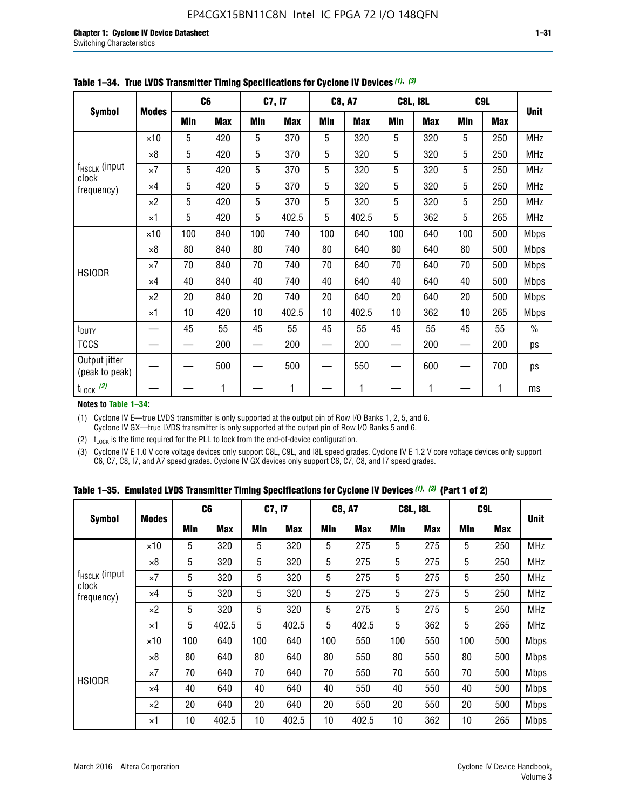|                                 |              |     | C <sub>6</sub> |     | C7, I7     |            | <b>C8, A7</b> |             | <b>C8L, I8L</b> |            | C <sub>9</sub> L |               |
|---------------------------------|--------------|-----|----------------|-----|------------|------------|---------------|-------------|-----------------|------------|------------------|---------------|
| <b>Symbol</b>                   | <b>Modes</b> | Min | <b>Max</b>     | Min | <b>Max</b> | <b>Min</b> | <b>Max</b>    | <b>Min</b>  | <b>Max</b>      | <b>Min</b> | <b>Max</b>       | <b>Unit</b>   |
|                                 | $\times$ 10  | 5   | 420            | 5   | 370        | 5          | 320           | 5           | 320             | 5          | 250              | <b>MHz</b>    |
|                                 | $\times 8$   | 5   | 420            | 5   | 370        | 5          | 320           | $\mathbf 5$ | 320             | 5          | 250              | <b>MHz</b>    |
| $f_{HSCLK}$ (input              | $\times 7$   | 5   | 420            | 5   | 370        | 5          | 320           | 5           | 320             | 5          | 250              | <b>MHz</b>    |
| clock<br>frequency)             | $\times 4$   | 5   | 420            | 5   | 370        | 5          | 320           | 5           | 320             | 5          | 250              | <b>MHz</b>    |
|                                 | $\times 2$   | 5   | 420            | 5   | 370        | 5          | 320           | 5           | 320             | 5          | 250              | MHz           |
|                                 | $\times$ 1   | 5   | 420            | 5   | 402.5      | 5          | 402.5         | 5           | 362             | 5          | 265              | <b>MHz</b>    |
|                                 | $\times$ 10  | 100 | 840            | 100 | 740        | 100        | 640           | 100         | 640             | 100        | 500              | Mbps          |
|                                 | $\times 8$   | 80  | 840            | 80  | 740        | 80         | 640           | 80          | 640             | 80         | 500              | <b>Mbps</b>   |
| <b>HSIODR</b>                   | $\times 7$   | 70  | 840            | 70  | 740        | 70         | 640           | 70          | 640             | 70         | 500              | <b>Mbps</b>   |
|                                 | $\times$ 4   | 40  | 840            | 40  | 740        | 40         | 640           | 40          | 640             | 40         | 500              | <b>Mbps</b>   |
|                                 | $\times 2$   | 20  | 840            | 20  | 740        | 20         | 640           | 20          | 640             | 20         | 500              | <b>Mbps</b>   |
|                                 | $\times$ 1   | 10  | 420            | 10  | 402.5      | 10         | 402.5         | 10          | 362             | 10         | 265              | <b>Mbps</b>   |
| t <sub>DUTY</sub>               |              | 45  | 55             | 45  | 55         | 45         | 55            | 45          | 55              | 45         | 55               | $\frac{0}{0}$ |
| <b>TCCS</b>                     |              |     | 200            |     | 200        |            | 200           |             | 200             |            | 200              | ps            |
| Output jitter<br>(peak to peak) |              |     | 500            |     | 500        |            | 550           |             | 600             |            | 700              | ps            |
| $t_{\text{LOCK}}$ (2)           |              |     | 1              |     | 1          |            | 1             |             | 1               |            | 1                | ms            |

**Table 1–34. True LVDS Transmitter Timing Specifications for Cyclone IV Devices** *(1)***,** *(3)*

**Notes to Table 1–34:**

(1) Cyclone IV E—true LVDS transmitter is only supported at the output pin of Row I/O Banks 1, 2, 5, and 6. Cyclone IV GX—true LVDS transmitter is only supported at the output pin of Row I/O Banks 5 and 6.

(2)  $t_{\text{LOCK}}$  is the time required for the PLL to lock from the end-of-device configuration.

(3) Cyclone IV E 1.0 V core voltage devices only support C8L, C9L, and I8L speed grades. Cyclone IV E 1.2 V core voltage devices only support C6, C7, C8, I7, and A7 speed grades. Cyclone IV GX devices only support C6, C7, C8, and I7 speed grades.

|  |  |  |  |  |  | Table 1–35. Emulated LVDS Transmitter Timing Specifications for Cyclone IV Devices <sup>(1), (3)</sup> (Part 1 of 2) |  |  |
|--|--|--|--|--|--|----------------------------------------------------------------------------------------------------------------------|--|--|
|--|--|--|--|--|--|----------------------------------------------------------------------------------------------------------------------|--|--|

|                             |              | C <sub>6</sub> |            | C7, I7     |            | <b>C8, A7</b> |            | <b>C8L, I8L</b> |            |            | C <sub>9</sub> L |             |
|-----------------------------|--------------|----------------|------------|------------|------------|---------------|------------|-----------------|------------|------------|------------------|-------------|
| <b>Symbol</b>               | <b>Modes</b> | Min            | <b>Max</b> | <b>Min</b> | <b>Max</b> | <b>Min</b>    | <b>Max</b> | <b>Min</b>      | <b>Max</b> | <b>Min</b> | <b>Max</b>       | <b>Unit</b> |
|                             | $\times$ 10  | 5              | 320        | 5          | 320        | 5             | 275        | 5               | 275        | 5          | 250              | <b>MHz</b>  |
|                             | $\times 8$   | 5              | 320        | 5          | 320        | 5             | 275        | 5               | 275        | 5          | 250              | <b>MHz</b>  |
| $f_{HSCLK}$ (input<br>clock | $\times 7$   | 5              | 320        | 5          | 320        | 5             | 275        | 5               | 275        | 5          | 250              | <b>MHz</b>  |
| frequency)                  | $\times$ 4   | 5              | 320        | 5          | 320        | 5             | 275        | 5               | 275        | 5          | 250              | <b>MHz</b>  |
|                             | $\times 2$   | 5              | 320        | 5          | 320        | 5             | 275        | 5               | 275        | 5          | 250              | <b>MHz</b>  |
|                             | $\times$ 1   | 5              | 402.5      | 5          | 402.5      | 5             | 402.5      | 5               | 362        | 5          | 265              | <b>MHz</b>  |
|                             | $\times$ 10  | 100            | 640        | 100        | 640        | 100           | 550        | 100             | 550        | 100        | 500              | <b>Mbps</b> |
|                             | $\times 8$   | 80             | 640        | 80         | 640        | 80            | 550        | 80              | 550        | 80         | 500              | <b>Mbps</b> |
| <b>HSIODR</b>               | $\times 7$   | 70             | 640        | 70         | 640        | 70            | 550        | 70              | 550        | 70         | 500              | <b>Mbps</b> |
|                             | $\times$ 4   | 40             | 640        | 40         | 640        | 40            | 550        | 40              | 550        | 40         | 500              | <b>Mbps</b> |
|                             | $\times 2$   | 20             | 640        | 20         | 640        | 20            | 550        | 20              | 550        | 20         | 500              | <b>Mbps</b> |
|                             | $\times$ 1   | 10             | 402.5      | 10         | 402.5      | 10            | 402.5      | 10              | 362        | 10         | 265              | <b>Mbps</b> |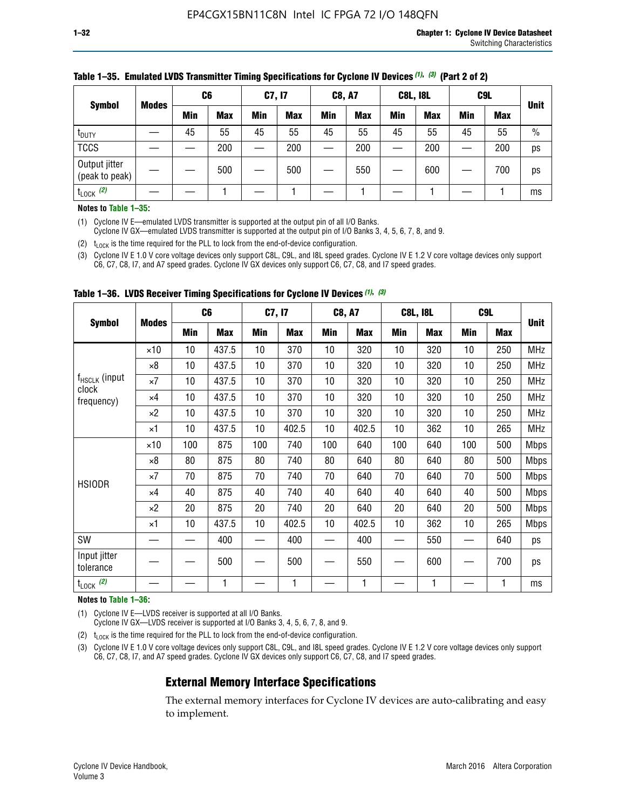| <b>Symbol</b>                   |              | C <sub>6</sub> |            | C7, I7     |            | <b>C8, A7</b> |            | <b>C8L, I8L</b> |            |            | C <sub>9</sub> L |               |
|---------------------------------|--------------|----------------|------------|------------|------------|---------------|------------|-----------------|------------|------------|------------------|---------------|
|                                 | <b>Modes</b> | Min            | <b>Max</b> | <b>Min</b> | <b>Max</b> | <b>Min</b>    | <b>Max</b> | <b>Min</b>      | <b>Max</b> | <b>Min</b> | <b>Max</b>       | <b>Unit</b>   |
| t <sub>DUTY</sub>               |              | 45             | 55         | 45         | 55         | 45            | 55         | 45              | 55         | 45         | 55               | $\frac{0}{0}$ |
| <b>TCCS</b>                     |              |                | 200        |            | 200        |               | 200        |                 | 200        |            | 200              | ps            |
| Output jitter<br>(peak to peak) |              |                | 500        |            | 500        |               | 550        |                 | 600        |            | 700              | ps            |
| $t_{\text{LOCK}}$ (2)           |              |                |            |            |            |               |            |                 |            |            |                  | ms            |

#### **Table 1–35. Emulated LVDS Transmitter Timing Specifications for Cyclone IV Devices** *(1)***,** *(3)* **(Part 2 of 2)**

#### **Notes to Table 1–35:**

(1) Cyclone IV E—emulated LVDS transmitter is supported at the output pin of all I/O Banks.

Cyclone IV GX—emulated LVDS transmitter is supported at the output pin of I/O Banks 3, 4, 5, 6, 7, 8, and 9.

(2)  $t_{\text{LOCK}}$  is the time required for the PLL to lock from the end-of-device configuration.

(3) Cyclone IV E 1.0 V core voltage devices only support C8L, C9L, and I8L speed grades. Cyclone IV E 1.2 V core voltage devices only support C6, C7, C8, I7, and A7 speed grades. Cyclone IV GX devices only support C6, C7, C8, and I7 speed grades.

|                                    |              | C <sub>6</sub> |            | C7, I7 |            | <b>C8, A7</b> |            |     | <b>C8L, I8L</b> | C <sub>9</sub> L         |     |             |
|------------------------------------|--------------|----------------|------------|--------|------------|---------------|------------|-----|-----------------|--------------------------|-----|-------------|
| <b>Symbol</b>                      | <b>Modes</b> | <b>Min</b>     | <b>Max</b> | Min    | <b>Max</b> | Min           | <b>Max</b> | Min | <b>Max</b>      | <b>Min</b>               | Max | <b>Unit</b> |
|                                    | $\times$ 10  | 10             | 437.5      | 10     | 370        | 10            | 320        | 10  | 320             | 10                       | 250 | <b>MHz</b>  |
|                                    | ×8           | 10             | 437.5      | 10     | 370        | 10            | 320        | 10  | 320             | 10                       | 250 | <b>MHz</b>  |
| f <sub>HSCLK</sub> (input<br>clock | ×7           | 10             | 437.5      | 10     | 370        | 10            | 320        | 10  | 320             | 10                       | 250 | <b>MHz</b>  |
| frequency)                         | $\times 4$   | 10             | 437.5      | 10     | 370        | 10            | 320        | 10  | 320             | 10                       | 250 | <b>MHz</b>  |
|                                    | $\times 2$   | 10             | 437.5      | 10     | 370        | 10            | 320        | 10  | 320             | 10                       | 250 | <b>MHz</b>  |
|                                    | ×1           | 10             | 437.5      | 10     | 402.5      | 10            | 402.5      | 10  | 362             | 10                       | 265 | <b>MHz</b>  |
|                                    | $\times$ 10  | 100            | 875        | 100    | 740        | 100           | 640        | 100 | 640             | 100                      | 500 | <b>Mbps</b> |
|                                    | $\times 8$   | 80             | 875        | 80     | 740        | 80            | 640        | 80  | 640             | 80                       | 500 | <b>Mbps</b> |
| <b>HSIODR</b>                      | ×7           | 70             | 875        | 70     | 740        | 70            | 640        | 70  | 640             | 70                       | 500 | <b>Mbps</b> |
|                                    | $\times 4$   | 40             | 875        | 40     | 740        | 40            | 640        | 40  | 640             | 40                       | 500 | <b>Mbps</b> |
|                                    | $\times 2$   | 20             | 875        | 20     | 740        | 20            | 640        | 20  | 640             | 20                       | 500 | <b>Mbps</b> |
|                                    | ×1           | 10             | 437.5      | 10     | 402.5      | 10            | 402.5      | 10  | 362             | 10                       | 265 | <b>Mbps</b> |
| SW                                 |              |                | 400        |        | 400        |               | 400        |     | 550             | —                        | 640 | ps          |
| Input jitter<br>tolerance          |              |                | 500        |        | 500        |               | 550        |     | 600             | $\overline{\phantom{0}}$ | 700 | ps          |
| $t_{\text{LOCK}}$ (2)              |              |                | 1          |        | 1          |               | 1          |     | 1               |                          |     | ms          |

**Table 1–36. LVDS Receiver Timing Specifications for Cyclone IV Devices** *(1)***,** *(3)*

#### **Notes to Table 1–36:**

(1) Cyclone IV E—LVDS receiver is supported at all I/O Banks.

Cyclone IV GX—LVDS receiver is supported at I/O Banks 3, 4, 5, 6, 7, 8, and 9.

(2)  $t_{\text{LOCK}}$  is the time required for the PLL to lock from the end-of-device configuration.

(3) Cyclone IV E 1.0 V core voltage devices only support C8L, C9L, and I8L speed grades. Cyclone IV E 1.2 V core voltage devices only support C6, C7, C8, I7, and A7 speed grades. Cyclone IV GX devices only support C6, C7, C8, and I7 speed grades.

#### **External Memory Interface Specifications**

The external memory interfaces for Cyclone IV devices are auto-calibrating and easy to implement.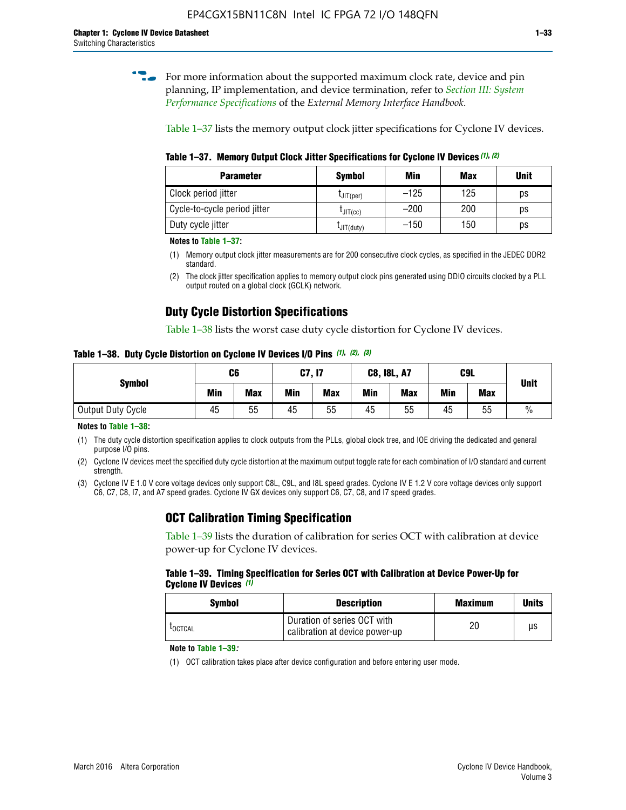**for more information about the supported maximum clock rate, device and pin** planning, IP implementation, and device termination, refer to *[Section III: System](http://www.altera.com/literature/hb/external-memory/emi_intro_specs.pdf)  [Performance Specifications](http://www.altera.com/literature/hb/external-memory/emi_intro_specs.pdf)* of the *External Memory Interface Handbook*.

Table 1–37 lists the memory output clock jitter specifications for Cyclone IV devices.

**Table 1–37. Memory Output Clock Jitter Specifications for Cyclone IV Devices** *(1)***,** *(2)*

| <b>Parameter</b>             | <b>Symbol</b>  | Min    | <b>Max</b> | <b>Unit</b> |
|------------------------------|----------------|--------|------------|-------------|
| Clock period jitter          | $L$ JIT(per)   | $-125$ | 125        | ps          |
| Cycle-to-cycle period jitter | $L$ JIT $(cc)$ | $-200$ | 200        | ps          |
| Duty cycle jitter            | LJIT(duty)     | $-150$ | 150        | рs          |

**Notes to Table 1–37:**

- (1) Memory output clock jitter measurements are for 200 consecutive clock cycles, as specified in the JEDEC DDR2 standard.
- (2) The clock jitter specification applies to memory output clock pins generated using DDIO circuits clocked by a PLL output routed on a global clock (GCLK) network.

## **Duty Cycle Distortion Specifications**

Table 1–38 lists the worst case duty cycle distortion for Cyclone IV devices.

**Table 1–38. Duty Cycle Distortion on Cyclone IV Devices I/O Pins** *(1)***,** *(2), (3)*

| <b>Symbol</b>     | C <sub>6</sub> |            | C7, I7     |            | <b>C8, I8L, A7</b> |            | C9L        | <b>Unit</b> |               |
|-------------------|----------------|------------|------------|------------|--------------------|------------|------------|-------------|---------------|
|                   | Min            | <b>Max</b> | <b>Min</b> | <b>Max</b> | Min                | <b>Max</b> | <b>Min</b> | <b>Max</b>  |               |
| Output Duty Cycle | 45             | 55         | 45         | 55         | 45                 | 55         | 45         | 55          | $\frac{0}{0}$ |

**Notes to Table 1–38:**

(1) The duty cycle distortion specification applies to clock outputs from the PLLs, global clock tree, and IOE driving the dedicated and general purpose I/O pins.

(2) Cyclone IV devices meet the specified duty cycle distortion at the maximum output toggle rate for each combination of I/O standard and current strength.

(3) Cyclone IV E 1.0 V core voltage devices only support C8L, C9L, and I8L speed grades. Cyclone IV E 1.2 V core voltage devices only support C6, C7, C8, I7, and A7 speed grades. Cyclone IV GX devices only support C6, C7, C8, and I7 speed grades.

## **OCT Calibration Timing Specification**

Table 1–39 lists the duration of calibration for series OCT with calibration at device power-up for Cyclone IV devices.

#### **Table 1–39. Timing Specification for Series OCT with Calibration at Device Power-Up for Cyclone IV Devices** *(1)*

| Symbol  | <b>Description</b>                                            | <b>Maximum</b> | <b>Units</b> |
|---------|---------------------------------------------------------------|----------------|--------------|
| LOCTCAL | Duration of series OCT with<br>calibration at device power-up | 20             | μs           |

#### **Note to Table 1–39***:*

(1) OCT calibration takes place after device configuration and before entering user mode.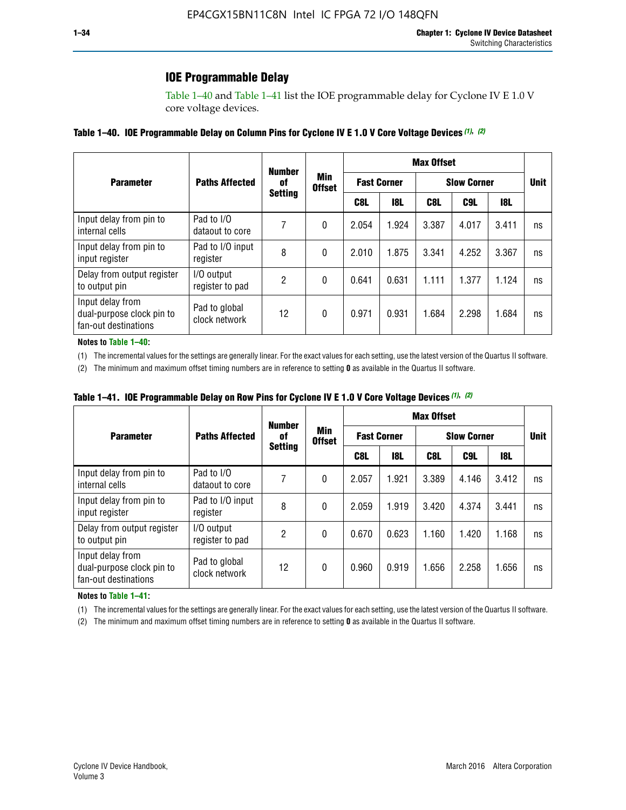### **IOE Programmable Delay**

Table 1–40 and Table 1–41 list the IOE programmable delay for Cyclone IV E 1.0 V core voltage devices.

#### **Table 1–40. IOE Programmable Delay on Column Pins for Cyclone IV E 1.0 V Core Voltage Devices** *(1)***,** *(2)*

|                                                                       |                                | <b>Number</b>  | Min<br><b>Offset</b> | <b>Max Offset</b>  |            |                    |             |       |    |  |
|-----------------------------------------------------------------------|--------------------------------|----------------|----------------------|--------------------|------------|--------------------|-------------|-------|----|--|
| <b>Parameter</b>                                                      | <b>Paths Affected</b>          | 0f             |                      | <b>Fast Corner</b> |            | <b>Slow Corner</b> | <b>Unit</b> |       |    |  |
|                                                                       |                                | <b>Setting</b> |                      | C8L                | <b>18L</b> | C8L                | C9L         | 18L   |    |  |
| Input delay from pin to<br>internal cells                             | Pad to I/O<br>dataout to core  |                | 0                    | 2.054              | 1.924      | 3.387              | 4.017       | 3.411 | ns |  |
| Input delay from pin to<br>input register                             | Pad to I/O input<br>register   | 8              | 0                    | 2.010              | 1.875      | 3.341              | 4.252       | 3.367 | ns |  |
| Delay from output register<br>to output pin                           | I/O output<br>register to pad  | 2              | 0                    | 0.641              | 0.631      | 1.111              | 1.377       | 1.124 | ns |  |
| Input delay from<br>dual-purpose clock pin to<br>fan-out destinations | Pad to global<br>clock network | 12             | 0                    | 0.971              | 0.931      | 1.684              | 2.298       | 1.684 | ns |  |

#### **Notes to Table 1–40:**

(1) The incremental values for the settings are generally linear. For the exact values for each setting, use the latest version of the Quartus II software.

(2) The minimum and maximum offset timing numbers are in reference to setting **0** as available in the Quartus II software.

| Table 1–41. IOE Programmable Delay on Row Pins for Cyclone IV E 1.0 V Core Voltage Devices (1), (2) |  |  |
|-----------------------------------------------------------------------------------------------------|--|--|
|-----------------------------------------------------------------------------------------------------|--|--|

|                                                                       |                                | <b>Number</b>  | Min<br><b>Offset</b> | <b>Max Offset</b> |                    |                    |             |       |    |  |
|-----------------------------------------------------------------------|--------------------------------|----------------|----------------------|-------------------|--------------------|--------------------|-------------|-------|----|--|
| <b>Parameter</b>                                                      | <b>Paths Affected</b>          | 0f             |                      |                   | <b>Fast Corner</b> | <b>Slow Corner</b> | <b>Unit</b> |       |    |  |
|                                                                       |                                | <b>Setting</b> |                      | C8L               | <b>18L</b>         | C8L                | C9L         | 18L   |    |  |
| Input delay from pin to<br>internal cells                             | Pad to I/O<br>dataout to core  |                | 0                    | 2.057             | 1.921              | 3.389              | 4.146       | 3.412 | ns |  |
| Input delay from pin to<br>input register                             | Pad to I/O input<br>register   | 8              | 0                    | 2.059             | 1.919              | 3.420              | 4.374       | 3.441 | ns |  |
| Delay from output register<br>to output pin                           | I/O output<br>register to pad  | 2              | 0                    | 0.670             | 0.623              | 1.160              | 1.420       | 1.168 | ns |  |
| Input delay from<br>dual-purpose clock pin to<br>fan-out destinations | Pad to global<br>clock network | 12             | 0                    | 0.960             | 0.919              | 1.656              | 2.258       | 1.656 | ns |  |

#### **Notes to Table 1–41:**

(1) The incremental values for the settings are generally linear. For the exact values for each setting, use the latest version of the Quartus II software.

(2) The minimum and maximum offset timing numbers are in reference to setting **0** as available in the Quartus II software.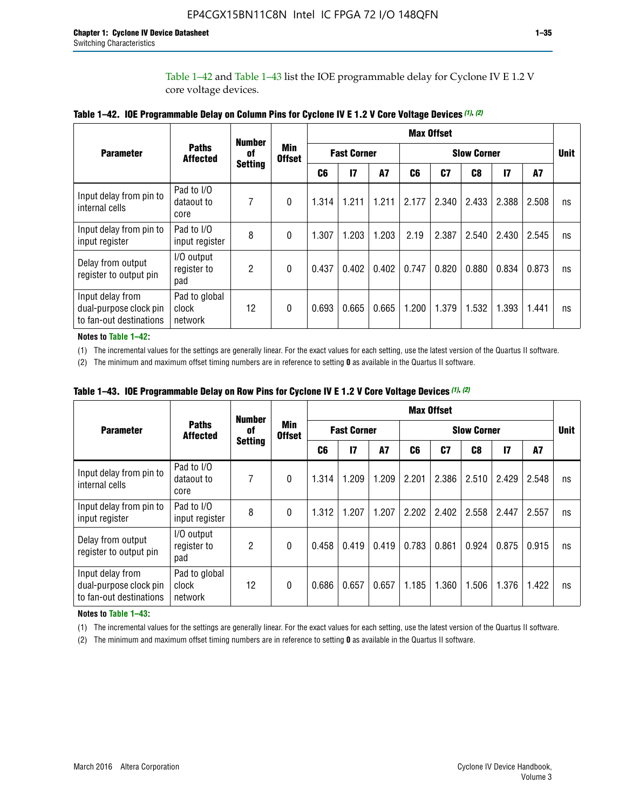Table 1–42 and Table 1–43 list the IOE programmable delay for Cyclone IV E 1.2 V core voltage devices.

|                                                                       |                                   | <b>Number</b>  |                             | <b>Max Offset</b>  |              |           |                    |       |       |               |       |             |
|-----------------------------------------------------------------------|-----------------------------------|----------------|-----------------------------|--------------------|--------------|-----------|--------------------|-------|-------|---------------|-------|-------------|
| <b>Parameter</b>                                                      | <b>Paths</b><br><b>Affected</b>   | of             | <b>Min</b><br><b>Offset</b> | <b>Fast Corner</b> |              |           | <b>Slow Corner</b> |       |       |               |       | <b>Unit</b> |
|                                                                       |                                   | <b>Setting</b> |                             | C <sub>6</sub>     | $\mathbf{I}$ | <b>A7</b> | C6                 | C7    | C8    | $\mathsf{I}7$ | A7    |             |
| Input delay from pin to<br>internal cells                             | Pad to I/O<br>dataout to<br>core  | 7              | 0                           | 1.314              | 1.211        | 1.211     | 2.177              | 2.340 | 2.433 | 2.388         | 2.508 | ns          |
| Input delay from pin to<br>input register                             | Pad to I/O<br>input register      | 8              | $\Omega$                    | 1.307              | 1.203        | 1.203     | 2.19               | 2.387 | 2.540 | 2.430         | 2.545 | ns          |
| Delay from output<br>register to output pin                           | I/O output<br>register to<br>pad  | 2              | 0                           | 0.437              | 0.402        | 0.402     | 0.747              | 0.820 | 0.880 | 0.834         | 0.873 | ns          |
| Input delay from<br>dual-purpose clock pin<br>to fan-out destinations | Pad to global<br>clock<br>network | 12             | 0                           | 0.693              | 0.665        | 0.665     | 1.200              | 1.379 | 1.532 | 1.393         | 1.441 | ns          |

**Table 1–42. IOE Programmable Delay on Column Pins for Cyclone IV E 1.2 V Core Voltage Devices** *(1)***,** *(2)*

**Notes to Table 1–42:**

(1) The incremental values for the settings are generally linear. For the exact values for each setting, use the latest version of the Quartus II software.

(2) The minimum and maximum offset timing numbers are in reference to setting **0** as available in the Quartus II software.

|                                                                       |                                   | <b>Number</b>  |                      | <b>Max Offset</b>  |       |       |                    |       |       |               |       |             |
|-----------------------------------------------------------------------|-----------------------------------|----------------|----------------------|--------------------|-------|-------|--------------------|-------|-------|---------------|-------|-------------|
| <b>Parameter</b>                                                      | <b>Paths</b><br><b>Affected</b>   | 0f             | Min<br><b>Offset</b> | <b>Fast Corner</b> |       |       | <b>Slow Corner</b> |       |       |               |       | <b>Unit</b> |
|                                                                       |                                   | <b>Setting</b> |                      | C6                 | 17    | A7    | C6                 | C7    | C8    | $\mathsf{I}7$ | A7    |             |
| Input delay from pin to<br>internal cells                             | Pad to I/O<br>dataout to<br>core  | 7              | 0                    | 1.314              | 1.209 | 1.209 | 2.201              | 2.386 | 2.510 | 2.429         | 2.548 | ns          |
| Input delay from pin to<br>input register                             | Pad to I/O<br>input register      | 8              | $\theta$             | 1.312              | 1.207 | 1.207 | 2.202              | 2.402 | 2.558 | 2.447         | 2.557 | ns          |
| Delay from output<br>register to output pin                           | I/O output<br>register to<br>pad  | $\overline{2}$ | 0                    | 0.458              | 0.419 | 0.419 | 0.783              | 0.861 | 0.924 | 0.875         | 0.915 | ns          |
| Input delay from<br>dual-purpose clock pin<br>to fan-out destinations | Pad to global<br>clock<br>network | 12             | 0                    | 0.686              | 0.657 | 0.657 | 1.185              | 1.360 | 1.506 | 1.376         | 1.422 | ns          |

**Table 1–43. IOE Programmable Delay on Row Pins for Cyclone IV E 1.2 V Core Voltage Devices** *(1)***,** *(2)*

#### **Notes to Table 1–43:**

(1) The incremental values for the settings are generally linear. For the exact values for each setting, use the latest version of the Quartus II software.

(2) The minimum and maximum offset timing numbers are in reference to setting **0** as available in the Quartus II software.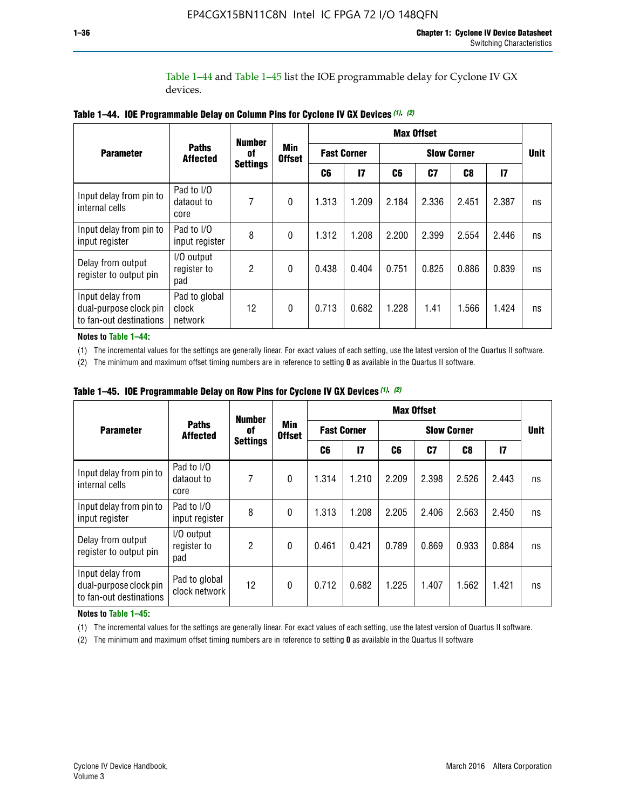Table 1–44 and Table 1–45 list the IOE programmable delay for Cyclone IV GX devices.

|                                                                       |                                   | <b>Number</b>   |                      | <b>Max Offset</b>  |       |                    |       |       |               |             |
|-----------------------------------------------------------------------|-----------------------------------|-----------------|----------------------|--------------------|-------|--------------------|-------|-------|---------------|-------------|
| <b>Parameter</b>                                                      | <b>Paths</b><br><b>Affected</b>   | 0f              | Min<br><b>Offset</b> | <b>Fast Corner</b> |       | <b>Slow Corner</b> |       |       |               | <b>Unit</b> |
|                                                                       |                                   | <b>Settings</b> |                      | C6                 | 17    | C6                 | C7    | C8    | $\mathsf{I}7$ |             |
| Input delay from pin to<br>internal cells                             | Pad to I/O<br>dataout to<br>core  | 7               | 0                    | 1.313              | 1.209 | 2.184              | 2.336 | 2.451 | 2.387         | ns          |
| Input delay from pin to<br>input register                             | Pad to I/O<br>input register      | 8               | $\theta$             | 1.312              | 1.208 | 2.200              | 2.399 | 2.554 | 2.446         | ns          |
| Delay from output<br>register to output pin                           | I/O output<br>register to<br>pad  | 2               | 0                    | 0.438              | 0.404 | 0.751              | 0.825 | 0.886 | 0.839         | ns          |
| Input delay from<br>dual-purpose clock pin<br>to fan-out destinations | Pad to global<br>clock<br>network | 12              | $\mathbf{0}$         | 0.713              | 0.682 | 1.228              | 1.41  | 1.566 | 1.424         | ns          |

**Table 1–44. IOE Programmable Delay on Column Pins for Cyclone IV GX Devices** *(1)***,** *(2)*

**Notes to Table 1–44:**

(1) The incremental values for the settings are generally linear. For exact values of each setting, use the latest version of the Quartus II software.

(2) The minimum and maximum offset timing numbers are in reference to setting **0** as available in the Quartus II software.

|                                                                       |                                  | <b>Number</b>   |               |                    |       |                    | <b>Max Offset</b> |                |               |             |
|-----------------------------------------------------------------------|----------------------------------|-----------------|---------------|--------------------|-------|--------------------|-------------------|----------------|---------------|-------------|
| <b>Parameter</b>                                                      | <b>Paths</b><br><b>Affected</b>  | 0f              |               | <b>Fast Corner</b> |       | <b>Slow Corner</b> |                   |                |               | <b>Unit</b> |
|                                                                       |                                  | <b>Settings</b> | <b>Offset</b> | C6                 | 17    | C6                 | C7                | C <sub>8</sub> | $\mathsf{I}7$ |             |
| Input delay from pin to<br>internal cells                             | Pad to I/O<br>dataout to<br>core | 7               | $\mathbf{0}$  | 1.314              | 1.210 | 2.209              | 2.398             | 2.526          | 2.443         | ns          |
| Input delay from pin to<br>input register                             | Pad to I/O<br>input register     | 8               | $\mathbf{0}$  | 1.313              | 1.208 | 2.205              | 2.406             | 2.563          | 2.450         | ns          |
| Delay from output<br>register to output pin                           | I/O output<br>register to<br>pad | $\overline{2}$  | $\mathbf{0}$  | 0.461              | 0.421 | 0.789              | 0.869             | 0.933          | 0.884         | ns          |
| Input delay from<br>dual-purpose clock pin<br>to fan-out destinations | Pad to global<br>clock network   | 12              | 0             | 0.712              | 0.682 | 1.225              | 1.407             | 1.562          | 1.421         | ns          |

**Table 1–45. IOE Programmable Delay on Row Pins for Cyclone IV GX Devices** *(1)***,** *(2)*

#### **Notes to Table 1–45:**

(1) The incremental values for the settings are generally linear. For exact values of each setting, use the latest version of Quartus II software.

(2) The minimum and maximum offset timing numbers are in reference to setting **0** as available in the Quartus II software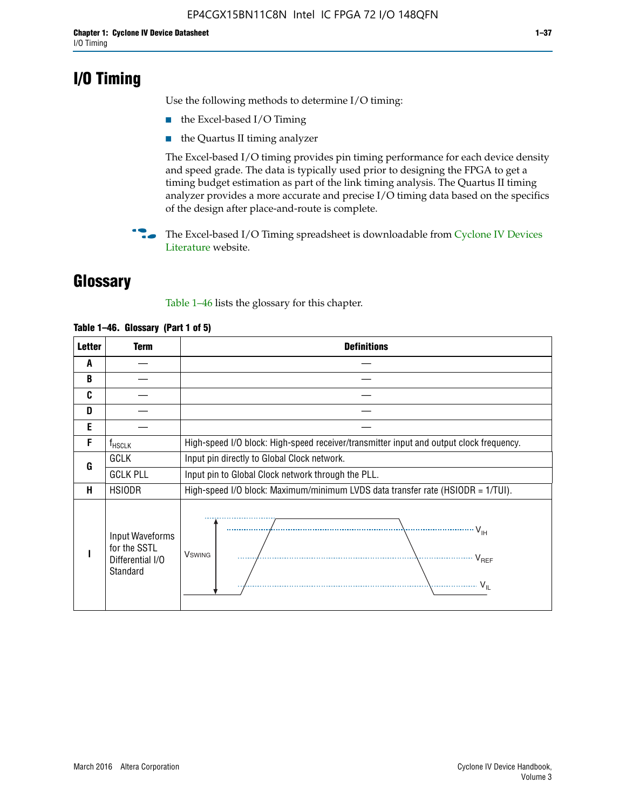## **I/O Timing**

Use the following methods to determine I/O timing:

- the Excel-based I/O Timing
- the Quartus II timing analyzer

The Excel-based I/O timing provides pin timing performance for each device density and speed grade. The data is typically used prior to designing the FPGA to get a timing budget estimation as part of the link timing analysis. The Quartus II timing analyzer provides a more accurate and precise I/O timing data based on the specifics of the design after place-and-route is complete.

**For The Excel-based I/O Timing spreadsheet is downloadable from Cyclone IV Devices** [Literature](http://www.altera.com/literature/lit-cyclone-iv.jsp) website.

## **Glossary**

Table 1–46 lists the glossary for this chapter.

| <b>Letter</b> | <b>Term</b>                                                     | <b>Definitions</b>                                                                                                                               |  |  |  |  |
|---------------|-----------------------------------------------------------------|--------------------------------------------------------------------------------------------------------------------------------------------------|--|--|--|--|
| A             |                                                                 |                                                                                                                                                  |  |  |  |  |
| B             |                                                                 |                                                                                                                                                  |  |  |  |  |
| C             |                                                                 |                                                                                                                                                  |  |  |  |  |
| D             |                                                                 |                                                                                                                                                  |  |  |  |  |
| E             |                                                                 |                                                                                                                                                  |  |  |  |  |
| F             | $f_{\sf HSCLK}$                                                 | High-speed I/O block: High-speed receiver/transmitter input and output clock frequency.                                                          |  |  |  |  |
| G             | <b>GCLK</b>                                                     | Input pin directly to Global Clock network.                                                                                                      |  |  |  |  |
|               | <b>GCLK PLL</b>                                                 | Input pin to Global Clock network through the PLL.                                                                                               |  |  |  |  |
| н             | <b>HSIODR</b>                                                   | High-speed I/O block: Maximum/minimum LVDS data transfer rate (HSIODR = 1/TUI).                                                                  |  |  |  |  |
|               | Input Waveforms<br>for the SSTL<br>Differential I/O<br>Standard | $\frac{1}{\sqrt{1+\frac{1}{2}}}\left\{ \frac{1}{\sqrt{1+\frac{1}{2}}}\right\}$<br><b>V</b> swing<br>$\cdots$ $V_{REF}$<br>\<br>$\sim V_{\rm IL}$ |  |  |  |  |

#### **Table 1–46. Glossary (Part 1 of 5)**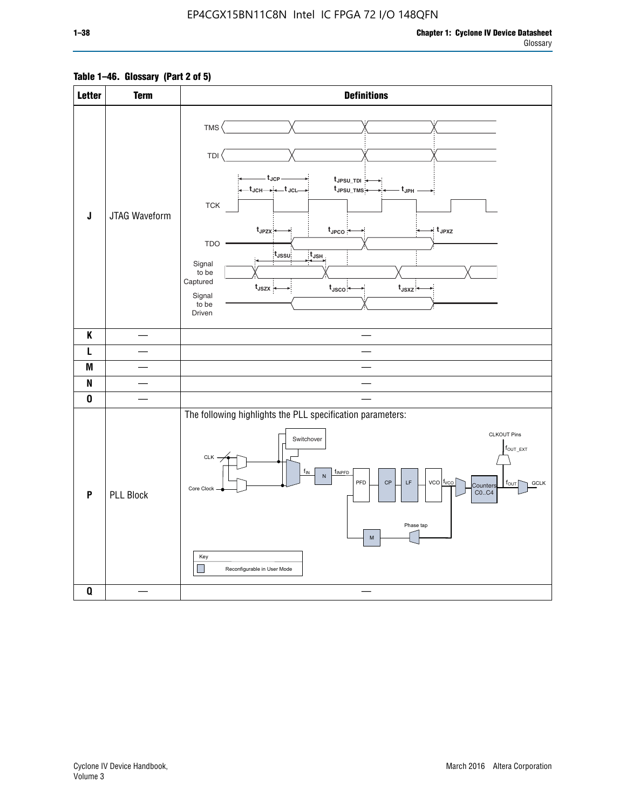### **Table 1–46. Glossary (Part 2 of 5)**

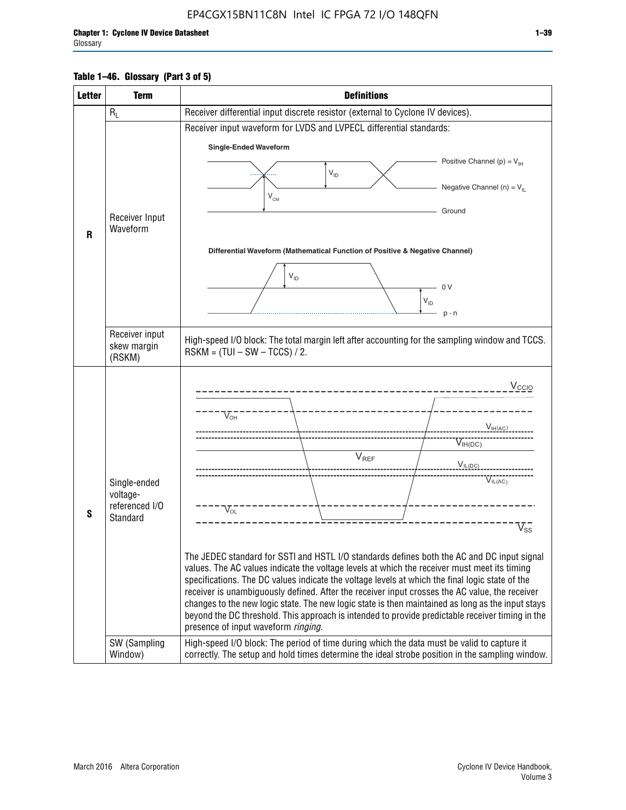#### **Table 1–46. Glossary (Part 3 of 5)**

| <b>Letter</b> | <b>Term</b>                                                            | <b>Definitions</b>                                                                                                                                                                                                                                                                                                                                                                                                                                                                                                                                                                                                                                                                                                                                                                                                                                                                                                                        |  |  |  |  |  |
|---------------|------------------------------------------------------------------------|-------------------------------------------------------------------------------------------------------------------------------------------------------------------------------------------------------------------------------------------------------------------------------------------------------------------------------------------------------------------------------------------------------------------------------------------------------------------------------------------------------------------------------------------------------------------------------------------------------------------------------------------------------------------------------------------------------------------------------------------------------------------------------------------------------------------------------------------------------------------------------------------------------------------------------------------|--|--|--|--|--|
|               | $R_L$                                                                  | Receiver differential input discrete resistor (external to Cyclone IV devices).                                                                                                                                                                                                                                                                                                                                                                                                                                                                                                                                                                                                                                                                                                                                                                                                                                                           |  |  |  |  |  |
|               |                                                                        | Receiver input waveform for LVDS and LVPECL differential standards:                                                                                                                                                                                                                                                                                                                                                                                                                                                                                                                                                                                                                                                                                                                                                                                                                                                                       |  |  |  |  |  |
|               |                                                                        | <b>Single-Ended Waveform</b>                                                                                                                                                                                                                                                                                                                                                                                                                                                                                                                                                                                                                                                                                                                                                                                                                                                                                                              |  |  |  |  |  |
|               |                                                                        | Positive Channel (p) = $V_{\text{H}}$                                                                                                                                                                                                                                                                                                                                                                                                                                                                                                                                                                                                                                                                                                                                                                                                                                                                                                     |  |  |  |  |  |
|               |                                                                        | $V_{ID}$                                                                                                                                                                                                                                                                                                                                                                                                                                                                                                                                                                                                                                                                                                                                                                                                                                                                                                                                  |  |  |  |  |  |
|               |                                                                        | Negative Channel (n) = $V_{\parallel}$<br>$V_{CM}$                                                                                                                                                                                                                                                                                                                                                                                                                                                                                                                                                                                                                                                                                                                                                                                                                                                                                        |  |  |  |  |  |
|               | Receiver Input                                                         | Ground                                                                                                                                                                                                                                                                                                                                                                                                                                                                                                                                                                                                                                                                                                                                                                                                                                                                                                                                    |  |  |  |  |  |
| $\mathbf{R}$  | Waveform                                                               |                                                                                                                                                                                                                                                                                                                                                                                                                                                                                                                                                                                                                                                                                                                                                                                                                                                                                                                                           |  |  |  |  |  |
|               |                                                                        | Differential Waveform (Mathematical Function of Positive & Negative Channel)                                                                                                                                                                                                                                                                                                                                                                                                                                                                                                                                                                                                                                                                                                                                                                                                                                                              |  |  |  |  |  |
|               |                                                                        |                                                                                                                                                                                                                                                                                                                                                                                                                                                                                                                                                                                                                                                                                                                                                                                                                                                                                                                                           |  |  |  |  |  |
|               |                                                                        | $V_{ID}$<br>0 <sup>V</sup>                                                                                                                                                                                                                                                                                                                                                                                                                                                                                                                                                                                                                                                                                                                                                                                                                                                                                                                |  |  |  |  |  |
|               |                                                                        | $V_{ID}$                                                                                                                                                                                                                                                                                                                                                                                                                                                                                                                                                                                                                                                                                                                                                                                                                                                                                                                                  |  |  |  |  |  |
|               |                                                                        | $p - n$                                                                                                                                                                                                                                                                                                                                                                                                                                                                                                                                                                                                                                                                                                                                                                                                                                                                                                                                   |  |  |  |  |  |
|               | Receiver input<br>skew margin                                          | High-speed I/O block: The total margin left after accounting for the sampling window and TCCS.                                                                                                                                                                                                                                                                                                                                                                                                                                                                                                                                                                                                                                                                                                                                                                                                                                            |  |  |  |  |  |
|               | (RSKM)                                                                 | $RSKM = (TUI - SW - TCCS) / 2.$                                                                                                                                                                                                                                                                                                                                                                                                                                                                                                                                                                                                                                                                                                                                                                                                                                                                                                           |  |  |  |  |  |
| S             | Single-ended<br>voltage-<br>referenced I/O<br>Standard<br>SW (Sampling | $V_{CCIO}$<br>$V_{\text{\tiny OH}}^-$<br>V <sub>IH</sub> (AC)<br>$V_{IH(DC)}$<br>V <sub>REF</sub><br>$V_{I L (DC)}$<br>$\overline{V_{IL(AC)}}$<br>$V_{OL}$<br>$\overline{V}_{\text{SS}}$<br>The JEDEC standard for SSTI and HSTL I/O standards defines both the AC and DC input signal<br>values. The AC values indicate the voltage levels at which the receiver must meet its timing<br>specifications. The DC values indicate the voltage levels at which the final logic state of the<br>receiver is unambiguously defined. After the receiver input crosses the AC value, the receiver<br>changes to the new logic state. The new logic state is then maintained as long as the input stays<br>beyond the DC threshold. This approach is intended to provide predictable receiver timing in the<br>presence of input waveform ringing.<br>High-speed I/O block: The period of time during which the data must be valid to capture it |  |  |  |  |  |
|               | Window)                                                                | correctly. The setup and hold times determine the ideal strobe position in the sampling window.                                                                                                                                                                                                                                                                                                                                                                                                                                                                                                                                                                                                                                                                                                                                                                                                                                           |  |  |  |  |  |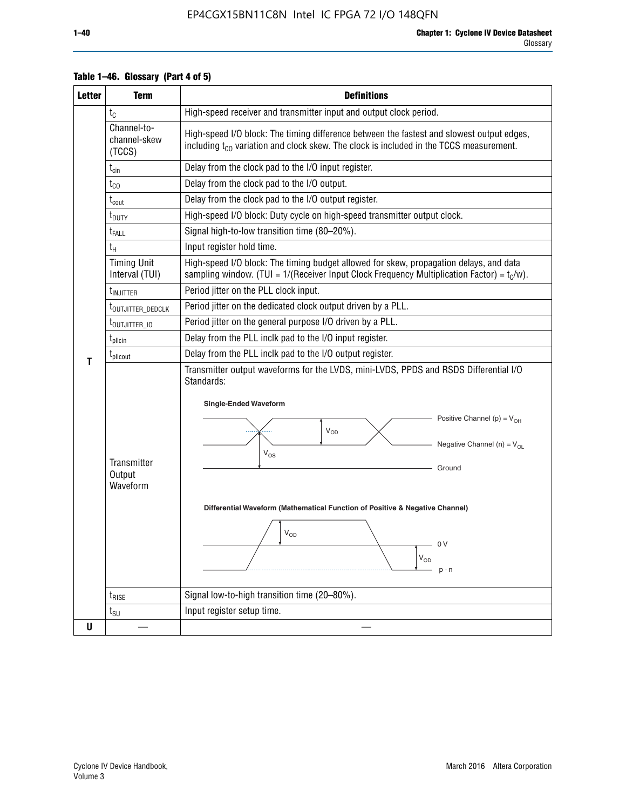| <b>Letter</b> | <b>Term</b>                           | <b>Definitions</b>                                                                                                                                                                                                                                                                                                                                                                   |  |  |  |  |  |  |
|---------------|---------------------------------------|--------------------------------------------------------------------------------------------------------------------------------------------------------------------------------------------------------------------------------------------------------------------------------------------------------------------------------------------------------------------------------------|--|--|--|--|--|--|
|               | $t_{C}$                               | High-speed receiver and transmitter input and output clock period.                                                                                                                                                                                                                                                                                                                   |  |  |  |  |  |  |
|               | Channel-to-<br>channel-skew<br>(TCCS) | High-speed I/O block: The timing difference between the fastest and slowest output edges,<br>including $t_{C0}$ variation and clock skew. The clock is included in the TCCS measurement.                                                                                                                                                                                             |  |  |  |  |  |  |
|               | $t_{\text{cin}}$                      | Delay from the clock pad to the I/O input register.                                                                                                                                                                                                                                                                                                                                  |  |  |  |  |  |  |
|               | $t_{\rm CO}$                          | Delay from the clock pad to the I/O output.                                                                                                                                                                                                                                                                                                                                          |  |  |  |  |  |  |
|               | $t_{\text{cout}}$                     | Delay from the clock pad to the I/O output register.                                                                                                                                                                                                                                                                                                                                 |  |  |  |  |  |  |
|               | t <sub>DUTY</sub>                     | High-speed I/O block: Duty cycle on high-speed transmitter output clock.                                                                                                                                                                                                                                                                                                             |  |  |  |  |  |  |
|               | t <sub>FALL</sub>                     | Signal high-to-low transition time (80-20%).                                                                                                                                                                                                                                                                                                                                         |  |  |  |  |  |  |
|               | $t_{H}$                               | Input register hold time.                                                                                                                                                                                                                                                                                                                                                            |  |  |  |  |  |  |
|               | <b>Timing Unit</b><br>Interval (TUI)  | High-speed I/O block: The timing budget allowed for skew, propagation delays, and data<br>sampling window. (TUI = $1/($ Receiver Input Clock Frequency Multiplication Factor) = $t_c/w$ ).                                                                                                                                                                                           |  |  |  |  |  |  |
|               | t <sub>INJITTER</sub>                 | Period jitter on the PLL clock input.                                                                                                                                                                                                                                                                                                                                                |  |  |  |  |  |  |
|               | t <sub>outjitter_dedclk</sub>         | Period jitter on the dedicated clock output driven by a PLL.                                                                                                                                                                                                                                                                                                                         |  |  |  |  |  |  |
|               | t <sub>outjitter_io</sub>             | Period jitter on the general purpose I/O driven by a PLL.                                                                                                                                                                                                                                                                                                                            |  |  |  |  |  |  |
|               | $t_{\text{pllcin}}$                   | Delay from the PLL inclk pad to the I/O input register.                                                                                                                                                                                                                                                                                                                              |  |  |  |  |  |  |
| т             | t <sub>plicout</sub>                  | Delay from the PLL inclk pad to the I/O output register.                                                                                                                                                                                                                                                                                                                             |  |  |  |  |  |  |
|               | Transmitter<br>Output<br>Waveform     | Transmitter output waveforms for the LVDS, mini-LVDS, PPDS and RSDS Differential I/O<br>Standards:<br><b>Single-Ended Waveform</b><br>Positive Channel (p) = $V_{OH}$<br>VOD<br>Negative Channel (n) = $V_{OL}$<br>$V_{OS}$<br>Ground<br>Differential Waveform (Mathematical Function of Positive & Negative Channel)<br>$\rm V_{OD}$<br>0V<br>$\mathsf{V}_{\mathsf{OD}}$<br>$p - n$ |  |  |  |  |  |  |
|               | $t_{\rm RISE}$                        | Signal low-to-high transition time (20-80%).                                                                                                                                                                                                                                                                                                                                         |  |  |  |  |  |  |
|               | $t_{\text{SU}}$                       | Input register setup time.                                                                                                                                                                                                                                                                                                                                                           |  |  |  |  |  |  |
| U             |                                       |                                                                                                                                                                                                                                                                                                                                                                                      |  |  |  |  |  |  |

#### **Table 1–46. Glossary (Part 4 of 5)**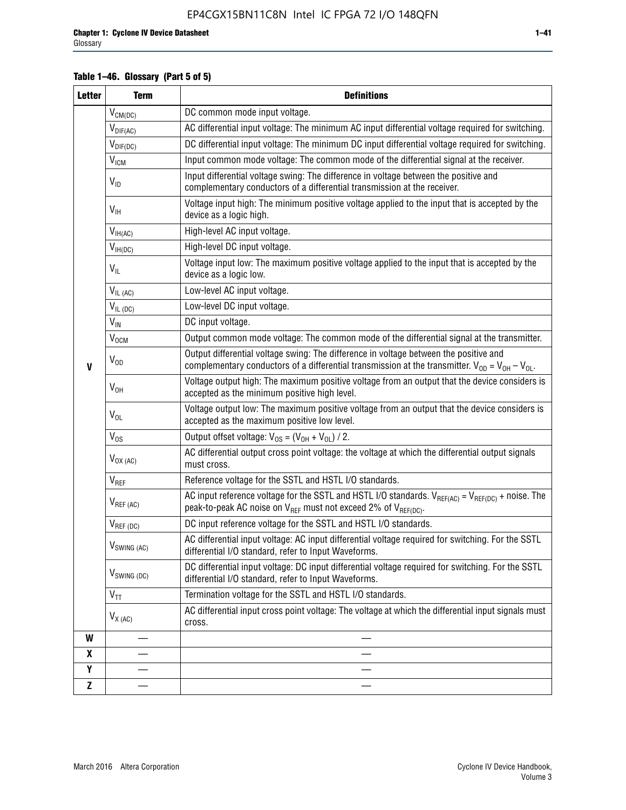#### **Table 1–46. Glossary (Part 5 of 5)**

| <b>Letter</b> | <b>Term</b>             | <b>Definitions</b>                                                                                                                                                                                |
|---------------|-------------------------|---------------------------------------------------------------------------------------------------------------------------------------------------------------------------------------------------|
|               | $V_{CM(DC)}$            | DC common mode input voltage.                                                                                                                                                                     |
|               | $V_{DIF(AC)}$           | AC differential input voltage: The minimum AC input differential voltage required for switching.                                                                                                  |
|               | $V_{DIF(DC)}$           | DC differential input voltage: The minimum DC input differential voltage required for switching.                                                                                                  |
|               | V <sub>ICM</sub>        | Input common mode voltage: The common mode of the differential signal at the receiver.                                                                                                            |
|               | $V_{ID}$                | Input differential voltage swing: The difference in voltage between the positive and<br>complementary conductors of a differential transmission at the receiver.                                  |
|               | $V_{\text{IH}}$         | Voltage input high: The minimum positive voltage applied to the input that is accepted by the<br>device as a logic high.                                                                          |
|               | $V_{IH(AC)}$            | High-level AC input voltage.                                                                                                                                                                      |
|               | $V_{IH(DC)}$            | High-level DC input voltage.                                                                                                                                                                      |
|               | $V_{IL}$                | Voltage input low: The maximum positive voltage applied to the input that is accepted by the<br>device as a logic low.                                                                            |
|               | $V_{IL(AC)}$            | Low-level AC input voltage.                                                                                                                                                                       |
|               | $V_{IL(DC)}$            | Low-level DC input voltage.                                                                                                                                                                       |
|               | $V_{\text{IN}}$         | DC input voltage.                                                                                                                                                                                 |
|               | $V_{OCM}$               | Output common mode voltage: The common mode of the differential signal at the transmitter.                                                                                                        |
| $\mathbf{V}$  | $V_{OD}$                | Output differential voltage swing: The difference in voltage between the positive and<br>complementary conductors of a differential transmission at the transmitter. $V_{OD} = V_{OH} - V_{OL}$ . |
|               | $V_{OH}$                | Voltage output high: The maximum positive voltage from an output that the device considers is<br>accepted as the minimum positive high level.                                                     |
|               | $V_{OL}$                | Voltage output low: The maximum positive voltage from an output that the device considers is<br>accepted as the maximum positive low level.                                                       |
|               | $V_{OS}$                | Output offset voltage: $V_{OS} = (V_{OH} + V_{OL}) / 2$ .                                                                                                                                         |
|               | $V_{OX (AC)}$           | AC differential output cross point voltage: the voltage at which the differential output signals<br>must cross.                                                                                   |
|               | V <sub>REF</sub>        | Reference voltage for the SSTL and HSTL I/O standards.                                                                                                                                            |
|               | $V_{REF\,(AC)}$         | AC input reference voltage for the SSTL and HSTL I/O standards. $V_{REF(AC)} = V_{REF(DC)} +$ noise. The<br>peak-to-peak AC noise on $V_{REF}$ must not exceed 2% of $V_{REF(DC)}$ .              |
|               | $V_{REF(DC)}$           | DC input reference voltage for the SSTL and HSTL I/O standards.                                                                                                                                   |
|               | $V_{\text{SWING (AC)}}$ | AC differential input voltage: AC input differential voltage required for switching. For the SSTL<br>differential I/O standard, refer to Input Waveforms.                                         |
|               | $V_{SWING (DC)}$        | DC differential input voltage: DC input differential voltage required for switching. For the SSTL<br>differential I/O standard, refer to Input Waveforms.                                         |
|               | $V_{TT}$                | Termination voltage for the SSTL and HSTL I/O standards.                                                                                                                                          |
|               | $V_{X(AC)}$             | AC differential input cross point voltage: The voltage at which the differential input signals must<br>cross.                                                                                     |
| W             |                         |                                                                                                                                                                                                   |
| X             |                         |                                                                                                                                                                                                   |
| Υ             |                         |                                                                                                                                                                                                   |
| Z             |                         |                                                                                                                                                                                                   |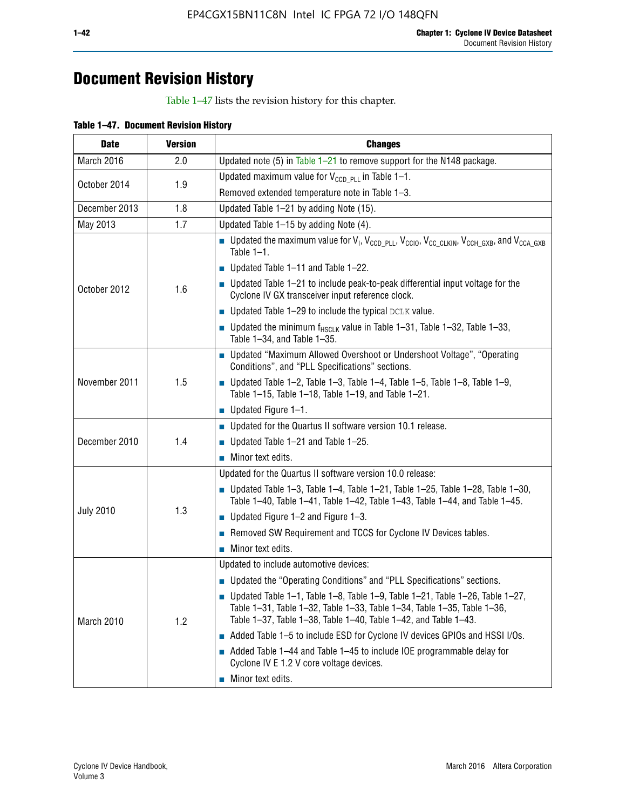## **Document Revision History**

Table 1–47 lists the revision history for this chapter.

| Table 1-47. Document Revision History |  |  |
|---------------------------------------|--|--|
|                                       |  |  |

| <b>Date</b>         | <b>Version</b> | <b>Changes</b>                                                                                                                                                                                                                            |  |  |  |  |
|---------------------|----------------|-------------------------------------------------------------------------------------------------------------------------------------------------------------------------------------------------------------------------------------------|--|--|--|--|
| March 2016          | 2.0            | Updated note (5) in Table $1-21$ to remove support for the N148 package.                                                                                                                                                                  |  |  |  |  |
| October 2014<br>1.9 |                | Updated maximum value for $V_{CCD, PL}$ in Table 1-1.                                                                                                                                                                                     |  |  |  |  |
|                     |                | Removed extended temperature note in Table 1-3.                                                                                                                                                                                           |  |  |  |  |
| December 2013       | 1.8            | Updated Table 1-21 by adding Note (15).                                                                                                                                                                                                   |  |  |  |  |
| May 2013            | 1.7            | Updated Table 1-15 by adding Note (4).                                                                                                                                                                                                    |  |  |  |  |
|                     |                | <b>D</b> Updated the maximum value for $V_1$ , $V_{CCD}$ <sub>PLL</sub> , $V_{CC10}$ , $V_{CC_1CLKIN}$ , $V_{CCH_GXB}$ , and $V_{CCA_GXB}$<br>Table $1-1$ .                                                                               |  |  |  |  |
|                     |                | $\blacksquare$ Updated Table 1-11 and Table 1-22.                                                                                                                                                                                         |  |  |  |  |
| October 2012        | 1.6            | $\blacksquare$ Updated Table 1-21 to include peak-to-peak differential input voltage for the<br>Cyclone IV GX transceiver input reference clock.                                                                                          |  |  |  |  |
|                     |                | $\blacksquare$ Updated Table 1-29 to include the typical DCLK value.                                                                                                                                                                      |  |  |  |  |
|                     |                | <b>Updated the minimum f<sub>HSCLK</sub></b> value in Table 1-31, Table 1-32, Table 1-33,<br>Table 1-34, and Table 1-35.                                                                                                                  |  |  |  |  |
| November 2011       | 1.5            | ■ Updated "Maximum Allowed Overshoot or Undershoot Voltage", "Operating<br>Conditions", and "PLL Specifications" sections.                                                                                                                |  |  |  |  |
|                     |                | Updated Table 1-2, Table 1-3, Table 1-4, Table 1-5, Table 1-8, Table 1-9,<br>Table 1-15, Table 1-18, Table 1-19, and Table 1-21.                                                                                                          |  |  |  |  |
|                     |                | ■ Updated Figure $1-1$ .                                                                                                                                                                                                                  |  |  |  |  |
|                     |                | • Updated for the Quartus II software version 10.1 release.                                                                                                                                                                               |  |  |  |  |
| December 2010       | 1.4            | $\blacksquare$ Updated Table 1-21 and Table 1-25.                                                                                                                                                                                         |  |  |  |  |
|                     |                | $\blacksquare$ Minor text edits.                                                                                                                                                                                                          |  |  |  |  |
|                     |                | Updated for the Quartus II software version 10.0 release:                                                                                                                                                                                 |  |  |  |  |
|                     |                | Updated Table 1-3, Table 1-4, Table 1-21, Table 1-25, Table 1-28, Table 1-30,<br>Table 1-40, Table 1-41, Table 1-42, Table 1-43, Table 1-44, and Table 1-45.                                                                              |  |  |  |  |
| <b>July 2010</b>    | 1.3            | ■ Updated Figure $1-2$ and Figure $1-3$ .                                                                                                                                                                                                 |  |  |  |  |
|                     |                | Removed SW Requirement and TCCS for Cyclone IV Devices tables.                                                                                                                                                                            |  |  |  |  |
|                     |                | $\blacksquare$ Minor text edits.                                                                                                                                                                                                          |  |  |  |  |
|                     |                | Updated to include automotive devices:                                                                                                                                                                                                    |  |  |  |  |
|                     |                | • Updated the "Operating Conditions" and "PLL Specifications" sections.                                                                                                                                                                   |  |  |  |  |
| March 2010          | 1.2            | $\blacksquare$ Updated Table 1-1, Table 1-8, Table 1-9, Table 1-21, Table 1-26, Table 1-27,<br>Table 1-31, Table 1-32, Table 1-33, Table 1-34, Table 1-35, Table 1-36,<br>Table 1-37, Table 1-38, Table 1-40, Table 1-42, and Table 1-43. |  |  |  |  |
|                     |                | Added Table 1-5 to include ESD for Cyclone IV devices GPIOs and HSSI I/Os.                                                                                                                                                                |  |  |  |  |
|                     |                | Added Table 1-44 and Table 1-45 to include IOE programmable delay for<br>Cyclone IV E 1.2 V core voltage devices.                                                                                                                         |  |  |  |  |
|                     |                | Minor text edits.                                                                                                                                                                                                                         |  |  |  |  |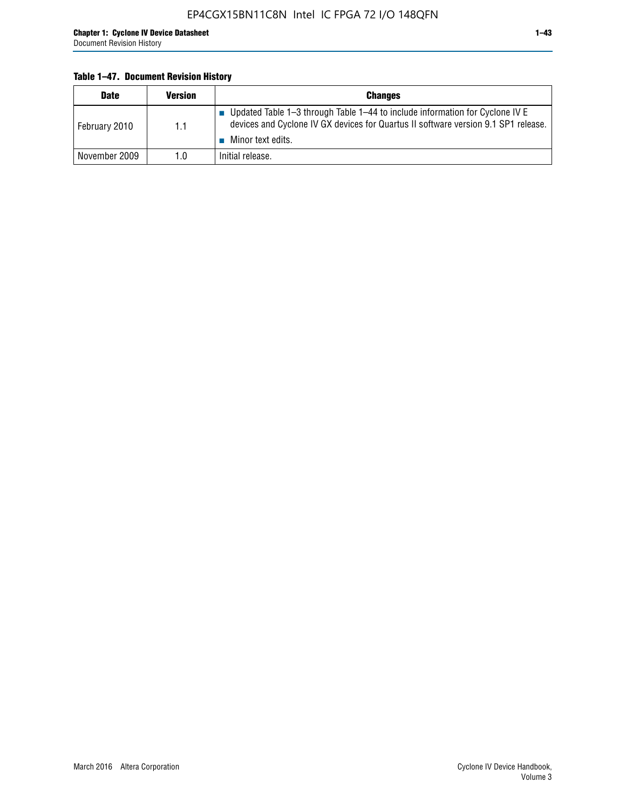#### **Table 1–47. Document Revision History**

| <b>Date</b>   | <b>Version</b> | <b>Changes</b>                                                                                                                                                                          |
|---------------|----------------|-----------------------------------------------------------------------------------------------------------------------------------------------------------------------------------------|
| February 2010 | 1.1            | Updated Table 1-3 through Table 1-44 to include information for Cyclone IV E<br>devices and Cyclone IV GX devices for Quartus II software version 9.1 SP1 release.<br>Minor text edits. |
| November 2009 | 1.0            | Initial release.                                                                                                                                                                        |